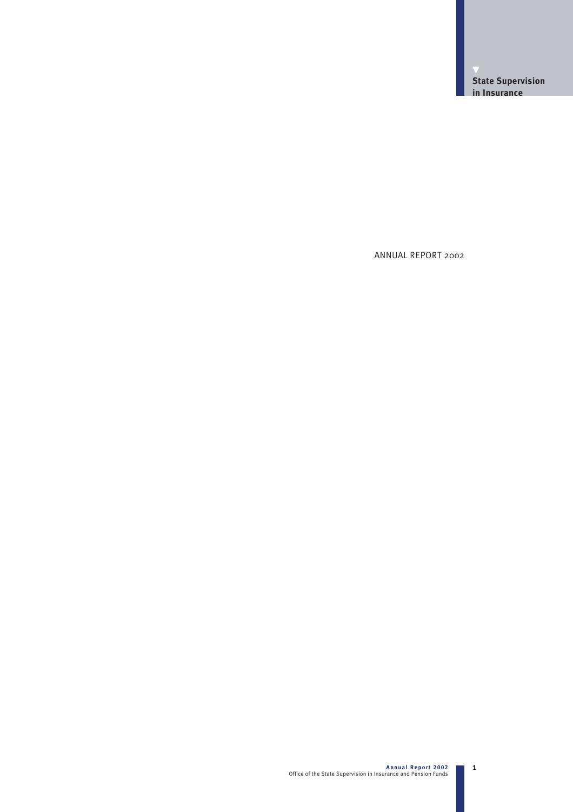ANNUAL REPORT 2002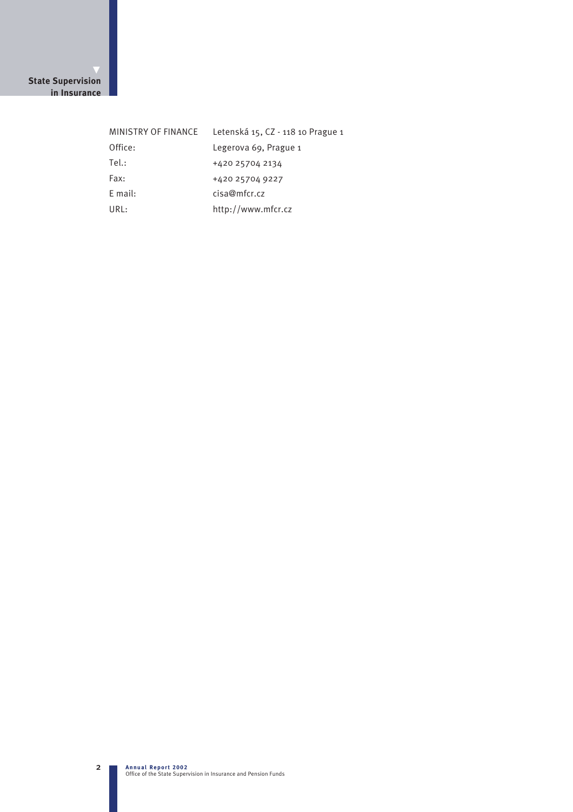## **State Supervision in Insurance**

| MINISTRY OF FINANCE | Letenská 15, CZ - 118 10 Prague 1 |
|---------------------|-----------------------------------|
| Office:             | Legerova 69, Prague 1             |
| Tel:                | +420 25704 2134                   |
| Fax:                | +420 25704 9227                   |
| $E$ mail:           | cisa@mfcr.cz                      |
| URL:                | http://www.mfcr.cz                |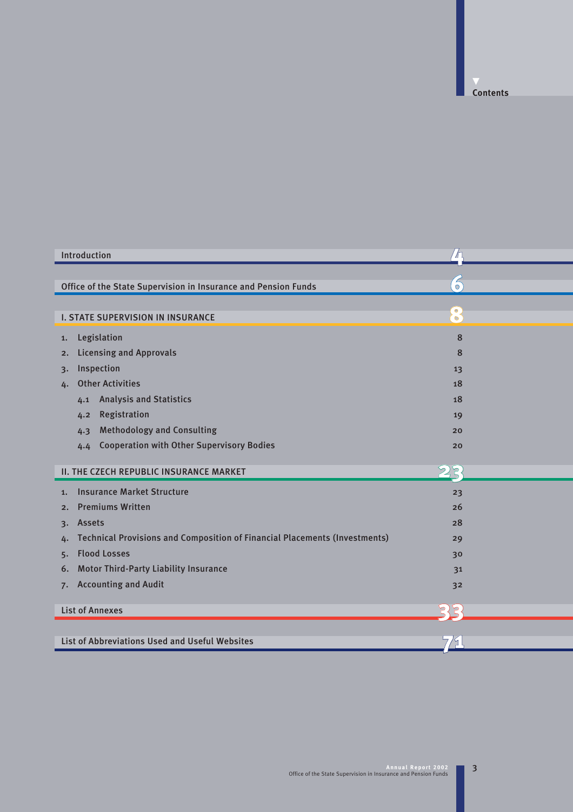**Contents**

| Introduction                                                                            | ′∕⊓                    |  |
|-----------------------------------------------------------------------------------------|------------------------|--|
|                                                                                         |                        |  |
| Office of the State Supervision in Insurance and Pension Funds                          | $\overline{O}$         |  |
| <b>I. STATE SUPERVISION IN INSURANCE</b>                                                | $\bullet$<br>$\bullet$ |  |
| Legislation<br>1.                                                                       | 8                      |  |
| <b>Licensing and Approvals</b><br>2.                                                    | 8                      |  |
| Inspection<br>3.                                                                        | 13                     |  |
| <b>Other Activities</b><br>4.                                                           | 18                     |  |
| <b>Analysis and Statistics</b><br>4.1                                                   | 18                     |  |
| Registration<br>4.2                                                                     | 19                     |  |
| <b>Methodology and Consulting</b><br>4.3                                                | 20                     |  |
| <b>Cooperation with Other Supervisory Bodies</b><br>4.4                                 | 20                     |  |
| <b>II. THE CZECH REPUBLIC INSURANCE MARKET</b>                                          | 223.                   |  |
| <b>Insurance Market Structure</b><br>1.                                                 | 23                     |  |
| <b>Premiums Written</b><br>2.                                                           | 26                     |  |
| <b>Assets</b><br>3.                                                                     | 28                     |  |
| <b>Technical Provisions and Composition of Financial Placements (Investments)</b><br>4. | 29                     |  |
| <b>Flood Losses</b><br>5.                                                               | 30                     |  |
| <b>Motor Third-Party Liability Insurance</b><br>6.                                      | 31                     |  |
| <b>Accounting and Audit</b><br>7.                                                       | 32                     |  |
| <b>List of Annexes</b>                                                                  |                        |  |
|                                                                                         |                        |  |
| List of Abbreviations Used and Useful Websites                                          | 79.                    |  |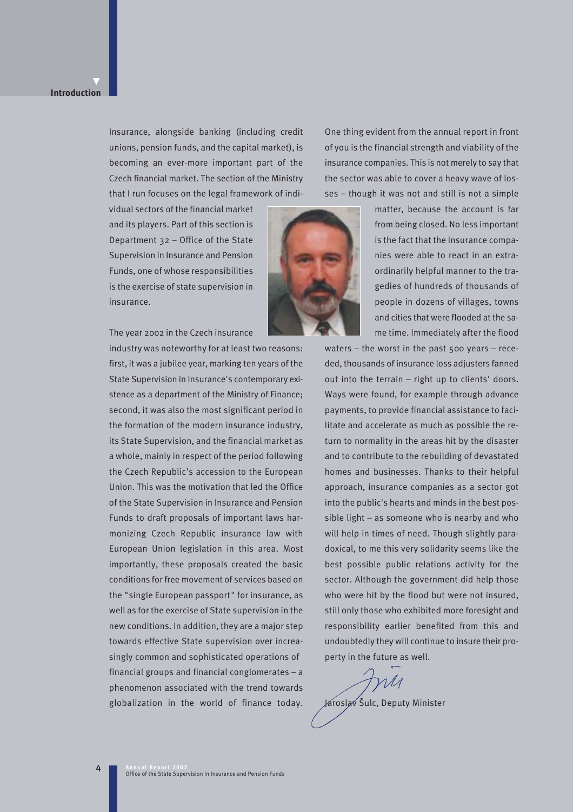#### **Introduction**

▼

Insurance, alongside banking (including credit unions, pension funds, and the capital market), is becoming an ever-more important part of the Czech financial market. The section of the Ministry that I run focuses on the legal framework of indi-

vidual sectors of the financial market and its players. Part of this section is Department 32 – Office of the State Supervision in Insurance and Pension Funds, one of whose responsibilities is the exercise of state supervision in insurance.



The year 2002 in the Czech insurance

industry was noteworthy for at least two reasons: first, it was a jubilee year, marking ten years of the State Supervision in Insurance's contemporary existence as a department of the Ministry of Finance; second, it was also the most significant period in the formation of the modern insurance industry, its State Supervision, and the financial market as a whole, mainly in respect of the period following the Czech Republic's accession to the European Union. This was the motivation that led the Office of the State Supervision in Insurance and Pension Funds to draft proposals of important laws harmonizing Czech Republic insurance law with European Union legislation in this area. Most importantly, these proposals created the basic conditions for free movement of services based on the "single European passport" for insurance, as well as for the exercise of State supervision in the new conditions. In addition, they are a major step towards effective State supervision over increasingly common and sophisticated operations of financial groups and financial conglomerates – a phenomenon associated with the trend towards globalization in the world of finance today.

One thing evident from the annual report in front of you is the financial strength and viability of the insurance companies. This is not merely to say that the sector was able to cover a heavy wave of losses – though it was not and still is not a simple

> matter, because the account is far from being closed. No less important is the fact that the insurance companies were able to react in an extraordinarily helpful manner to the tragedies of hundreds of thousands of people in dozens of villages, towns and cities that were flooded at the same time. Immediately after the flood

waters – the worst in the past 500 years – receded, thousands of insurance loss adjusters fanned out into the terrain – right up to clients' doors. Ways were found, for example through advance payments, to provide financial assistance to facilitate and accelerate as much as possible the return to normality in the areas hit by the disaster and to contribute to the rebuilding of devastated homes and businesses. Thanks to their helpful approach, insurance companies as a sector got into the public's hearts and minds in the best possible light – as someone who is nearby and who will help in times of need. Though slightly paradoxical, to me this very solidarity seems like the best possible public relations activity for the sector. Although the government did help those who were hit by the flood but were not insured, still only those who exhibited more foresight and responsibility earlier benefited from this and undoubtedly they will continue to insure their property in the future as well.

rM

Jaroslav Šulc, Deputy Minister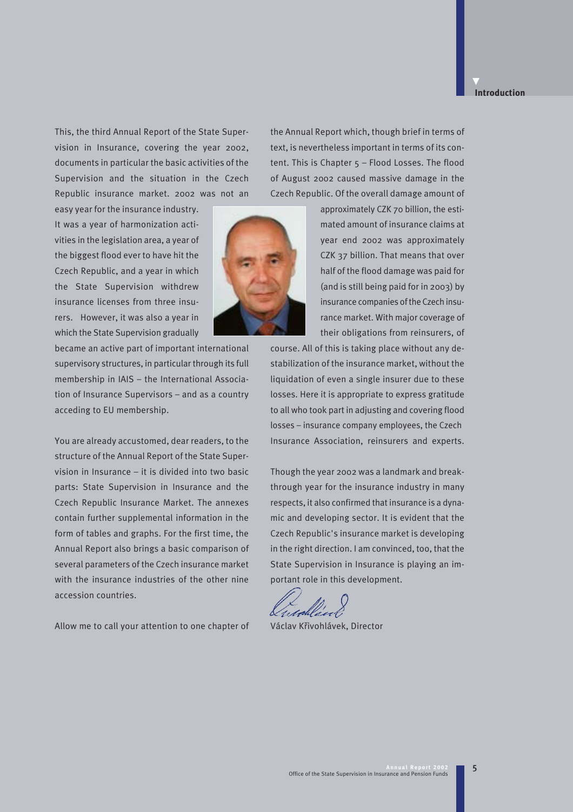## **Introduction**

▼

This, the third Annual Report of the State Supervision in Insurance, covering the year 2002, documents in particular the basic activities of the Supervision and the situation in the Czech Republic insurance market. 2002 was not an

easy year for the insurance industry. It was a year of harmonization activities in the legislation area, a year of the biggest flood ever to have hit the Czech Republic, and a year in which the State Supervision withdrew insurance licenses from three insurers. However, it was also a year in which the State Supervision gradually

became an active part of important international supervisory structures, in particular through its full membership in IAIS – the International Association of Insurance Supervisors – and as a country acceding to EU membership.

You are already accustomed, dear readers, to the structure of the Annual Report of the State Supervision in Insurance – it is divided into two basic parts: State Supervision in Insurance and the Czech Republic Insurance Market. The annexes contain further supplemental information in the form of tables and graphs. For the first time, the Annual Report also brings a basic comparison of several parameters of the Czech insurance market with the insurance industries of the other nine accession countries.

Allow me to call your attention to one chapter of



approximately CZK 70 billion, the estimated amount of insurance claims at year end 2002 was approximately CZK 37 billion. That means that over half of the flood damage was paid for (and is still being paid for in 2003) by insurance companies of the Czech insurance market. With major coverage of their obligations from reinsurers, of

course. All of this is taking place without any destabilization of the insurance market, without the liquidation of even a single insurer due to these losses. Here it is appropriate to express gratitude to all who took part in adjusting and covering flood losses – insurance company employees, the Czech Insurance Association, reinsurers and experts.

Though the year 2002 was a landmark and breakthrough year for the insurance industry in many respects, it also confirmed that insurance is a dynamic and developing sector. It is evident that the Czech Republic's insurance market is developing in the right direction. I am convinced, too, that the State Supervision in Insurance is playing an important role in this development.

Václav Kfiivohlávek, Director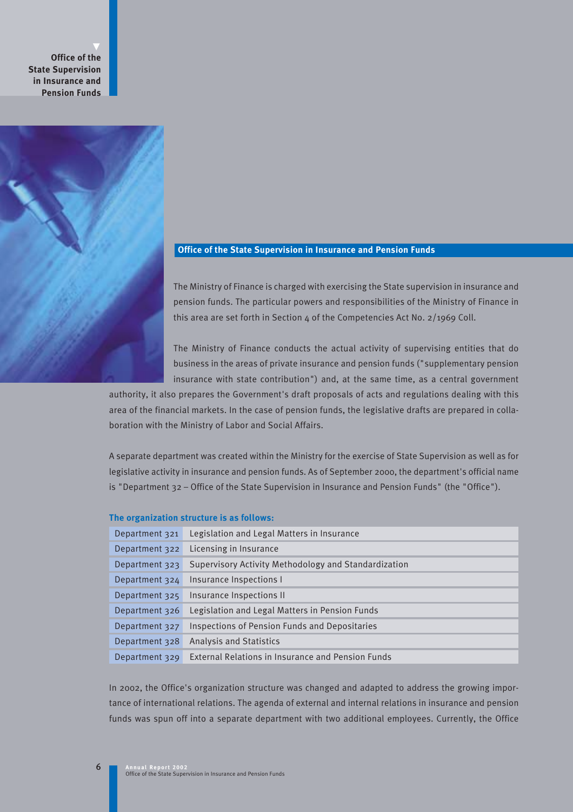**Office of the State Supervision in Insurance and Pension Funds** 



## **Office of the State Supervision in Insurance and Pension Funds**

The Ministry of Finance is charged with exercising the State supervision in insurance and pension funds. The particular powers and responsibilities of the Ministry of Finance in this area are set forth in Section 4 of the Competencies Act No. 2/1969 Coll.

The Ministry of Finance conducts the actual activity of supervising entities that do business in the areas of private insurance and pension funds ("supplementary pension insurance with state contribution") and, at the same time, as a central government

authority, it also prepares the Government's draft proposals of acts and regulations dealing with this area of the financial markets. In the case of pension funds, the legislative drafts are prepared in collaboration with the Ministry of Labor and Social Affairs.

A separate department was created within the Ministry for the exercise of State Supervision as well as for legislative activity in insurance and pension funds. As of September 2000, the department's official name is "Department 32 – Office of the State Supervision in Insurance and Pension Funds" (the "Office").

#### **The organization structure is as follows:**

| Department 321 | Legislation and Legal Matters in Insurance           |
|----------------|------------------------------------------------------|
| Department 322 | Licensing in Insurance                               |
| Department 323 | Supervisory Activity Methodology and Standardization |
| Department 324 | Insurance Inspections I                              |
| Department 325 | Insurance Inspections II                             |
| Department 326 | Legislation and Legal Matters in Pension Funds       |
| Department 327 | Inspections of Pension Funds and Depositaries        |
| Department 328 | <b>Analysis and Statistics</b>                       |
| Department 329 | External Relations in Insurance and Pension Funds    |

In 2002, the Office's organization structure was changed and adapted to address the growing importance of international relations. The agenda of external and internal relations in insurance and pension funds was spun off into a separate department with two additional employees. Currently, the Office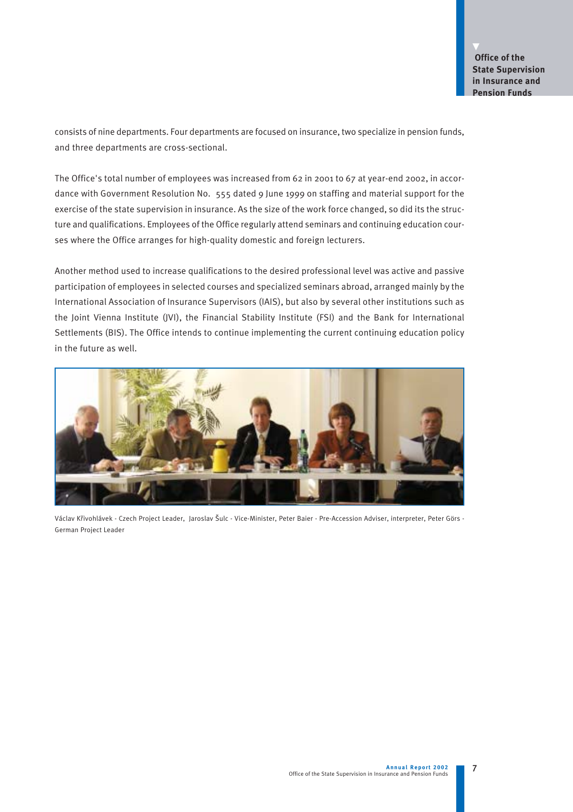consists of nine departments. Four departments are focused on insurance, two specialize in pension funds, and three departments are cross-sectional.

The Office's total number of employees was increased from 62 in 2001 to 67 at year-end 2002, in accordance with Government Resolution No. 555 dated 9 June 1999 on staffing and material support for the exercise of the state supervision in insurance. As the size of the work force changed, so did its the structure and qualifications. Employees of the Office regularly attend seminars and continuing education courses where the Office arranges for high-quality domestic and foreign lecturers.

Another method used to increase qualifications to the desired professional level was active and passive participation of employees in selected courses and specialized seminars abroad, arranged mainly by the International Association of Insurance Supervisors (IAIS), but also by several other institutions such as the Joint Vienna Institute (JVI), the Financial Stability Institute (FSI) and the Bank for International Settlements (BIS). The Office intends to continue implementing the current continuing education policy in the future as well.



Václav Křivohlávek - Czech Project Leader, Jaroslav Šulc - Vice-Minister, Peter Baier - Pre-Accession Adviser, interpreter, Peter Görs -German Project Leader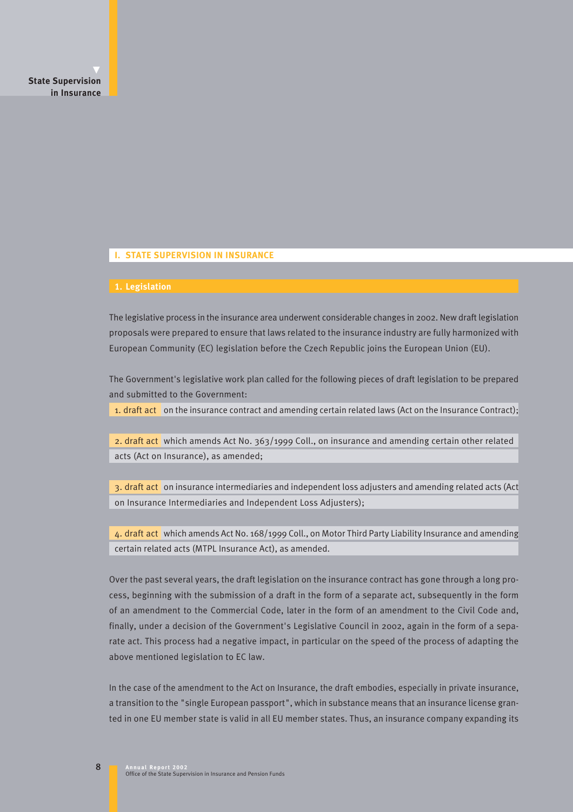#### **I. STATE SUPERVISION IN INSURANCE**

#### **1. Legislation**

The legislative process in the insurance area underwent considerable changes in 2002. New draft legislation proposals were prepared to ensure that laws related to the insurance industry are fully harmonized with European Community (EC) legislation before the Czech Republic joins the European Union (EU).

The Government's legislative work plan called for the following pieces of draft legislation to be prepared and submitted to the Government:

1. draft act on the insurance contract and amending certain related laws (Act on the Insurance Contract);

2. draft act which amends Act No. 363/1999 Coll., on insurance and amending certain other related acts (Act on Insurance), as amended;

3. draft act on insurance intermediaries and independent loss adjusters and amending related acts (Act on Insurance Intermediaries and Independent Loss Adjusters);

4. draft act which amends Act No. 168/1999 Coll., on Motor Third Party Liability Insurance and amending certain related acts (MTPL Insurance Act), as amended.

Over the past several years, the draft legislation on the insurance contract has gone through a long process, beginning with the submission of a draft in the form of a separate act, subsequently in the form of an amendment to the Commercial Code, later in the form of an amendment to the Civil Code and, finally, under a decision of the Government's Legislative Council in 2002, again in the form of a separate act. This process had a negative impact, in particular on the speed of the process of adapting the above mentioned legislation to EC law.

In the case of the amendment to the Act on Insurance, the draft embodies, especially in private insurance, a transition to the "single European passport", which in substance means that an insurance license granted in one EU member state is valid in all EU member states. Thus, an insurance company expanding its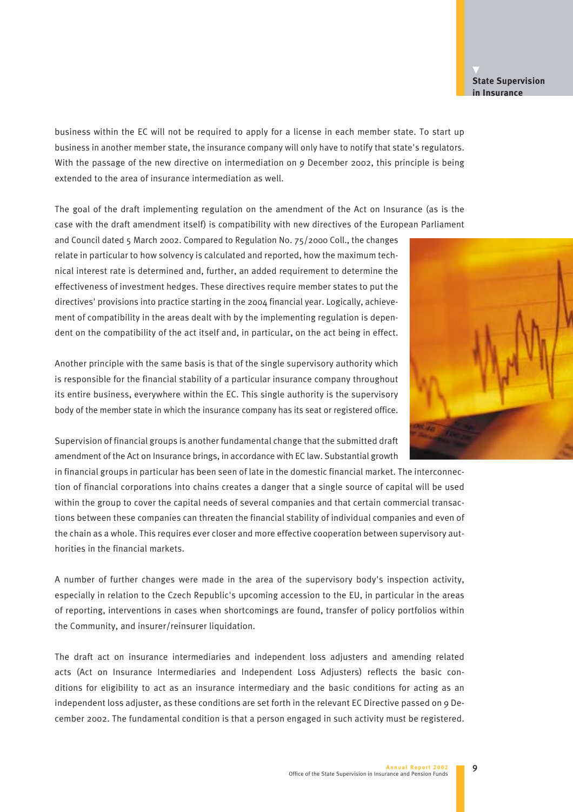#### **Annual Report 2002**  Office of the State Supervision in Insurance and Pension Funds

9

## **State Supervision in Insurance**

business within the EC will not be required to apply for a license in each member state. To start up business in another member state, the insurance company will only have to notify that state's regulators. With the passage of the new directive on intermediation on 9 December 2002, this principle is being extended to the area of insurance intermediation as well.

The goal of the draft implementing regulation on the amendment of the Act on Insurance (as is the case with the draft amendment itself) is compatibility with new directives of the European Parliament

and Council dated 5 March 2002. Compared to Regulation No. 75/2000 Coll., the changes relate in particular to how solvency is calculated and reported, how the maximum technical interest rate is determined and, further, an added requirement to determine the effectiveness of investment hedges. These directives require member states to put the directives' provisions into practice starting in the 2004 financial year. Logically, achievement of compatibility in the areas dealt with by the implementing regulation is dependent on the compatibility of the act itself and, in particular, on the act being in effect.

Another principle with the same basis is that of the single supervisory authority which is responsible for the financial stability of a particular insurance company throughout its entire business, everywhere within the EC. This single authority is the supervisory body of the member state in which the insurance company has its seat or registered office.

Supervision of financial groups is another fundamental change that the submitted draft amendment of the Act on Insurance brings, in accordance with EC law. Substantial growth

in financial groups in particular has been seen of late in the domestic financial market. The interconnection of financial corporations into chains creates a danger that a single source of capital will be used within the group to cover the capital needs of several companies and that certain commercial transactions between these companies can threaten the financial stability of individual companies and even of the chain as a whole. This requires ever closer and more effective cooperation between supervisory authorities in the financial markets.

A number of further changes were made in the area of the supervisory body's inspection activity, especially in relation to the Czech Republic's upcoming accession to the EU, in particular in the areas of reporting, interventions in cases when shortcomings are found, transfer of policy portfolios within the Community, and insurer/reinsurer liquidation.

The draft act on insurance intermediaries and independent loss adjusters and amending related acts (Act on Insurance Intermediaries and Independent Loss Adjusters) reflects the basic conditions for eligibility to act as an insurance intermediary and the basic conditions for acting as an independent loss adjuster, as these conditions are set forth in the relevant EC Directive passed on 9 December 2002. The fundamental condition is that a person engaged in such activity must be registered.

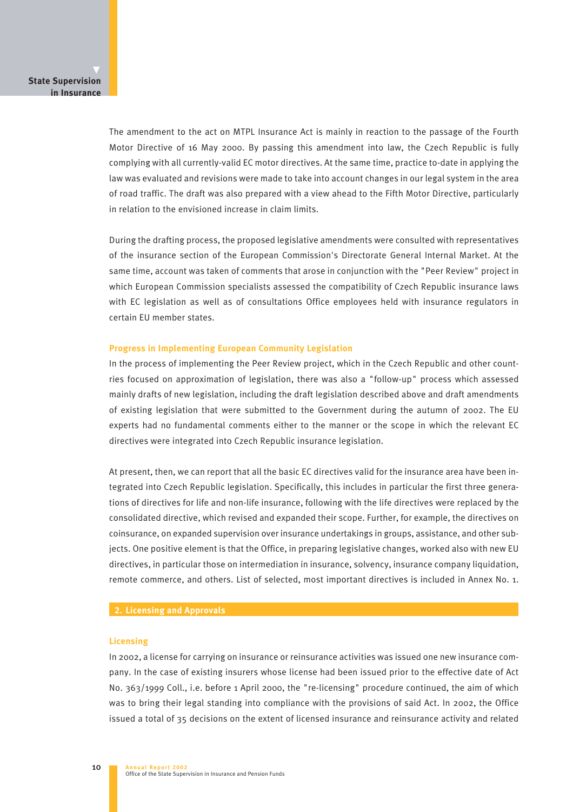The amendment to the act on MTPL Insurance Act is mainly in reaction to the passage of the Fourth Motor Directive of 16 May 2000. By passing this amendment into law, the Czech Republic is fully complying with all currently-valid EC motor directives. At the same time, practice to-date in applying the law was evaluated and revisions were made to take into account changes in our legal system in the area of road traffic. The draft was also prepared with a view ahead to the Fifth Motor Directive, particularly in relation to the envisioned increase in claim limits.

During the drafting process, the proposed legislative amendments were consulted with representatives of the insurance section of the European Commission's Directorate General Internal Market. At the same time, account was taken of comments that arose in conjunction with the "Peer Review" project in which European Commission specialists assessed the compatibility of Czech Republic insurance laws with EC legislation as well as of consultations Office employees held with insurance regulators in certain EU member states.

#### **Progress in Implementing European Community Legislation**

In the process of implementing the Peer Review project, which in the Czech Republic and other countries focused on approximation of legislation, there was also a "follow-up" process which assessed mainly drafts of new legislation, including the draft legislation described above and draft amendments of existing legislation that were submitted to the Government during the autumn of 2002. The EU experts had no fundamental comments either to the manner or the scope in which the relevant EC directives were integrated into Czech Republic insurance legislation.

At present, then, we can report that all the basic EC directives valid for the insurance area have been integrated into Czech Republic legislation. Specifically, this includes in particular the first three generations of directives for life and non-life insurance, following with the life directives were replaced by the consolidated directive, which revised and expanded their scope. Further, for example, the directives on coinsurance, on expanded supervision over insurance undertakings in groups, assistance, and other subjects. One positive element is that the Office, in preparing legislative changes, worked also with new EU directives, in particular those on intermediation in insurance, solvency, insurance company liquidation, remote commerce, and others. List of selected, most important directives is included in Annex No. 1.

## **2. Licensing and Approvals**

#### **Licensing**

In 2002, a license for carrying on insurance or reinsurance activities was issued one new insurance company. In the case of existing insurers whose license had been issued prior to the effective date of Act No. 363/1999 Coll., i.e. before 1 April 2000, the "re-licensing" procedure continued, the aim of which was to bring their legal standing into compliance with the provisions of said Act. In 2002, the Office issued a total of 35 decisions on the extent of licensed insurance and reinsurance activity and related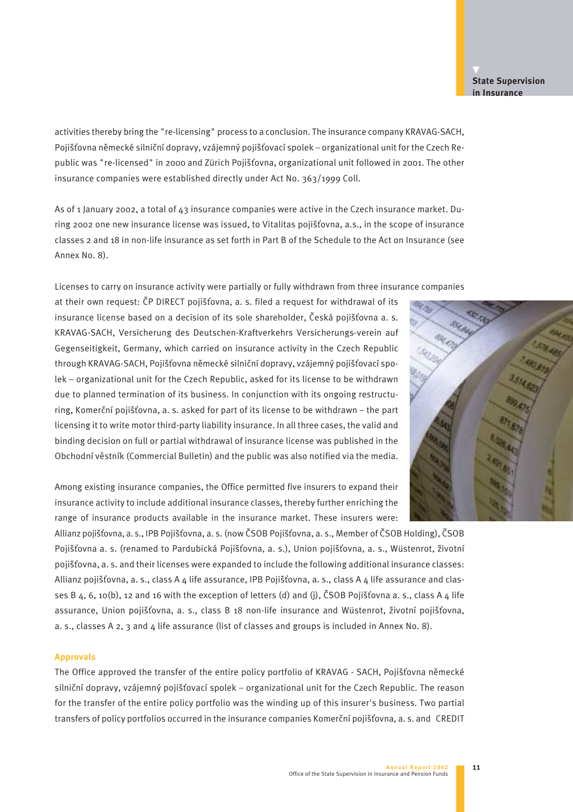## **State Supervision in Insurance**

activities thereby bring the "re-licensing" process to a conclusion. The insurance company KRAVAG-SACH, Pojišťovna německé silniční dopravy, vzájemný pojišťovací spolek – organizational unit for the Czech Republic was "re-licensed" in 2000 and Zürich Pojišťovna, organizational unit followed in 2001. The other insurance companies were established directly under Act No. 363/1999 Coll.

As of 1 January 2002, a total of 43 insurance companies were active in the Czech insurance market. During 2002 one new insurance license was issued, to Vitalitas pojišťovna, a.s., in the scope of insurance classes 2 and 18 in non-life insurance as set forth in Part B of the Schedule to the Act on Insurance (see Annex No. 8).

## Licenses to carry on insurance activity were partially or fully withdrawn from three insurance companies

at their own request: ČP DIRECT pojišťovna, a. s. filed a request for withdrawal of its insurance license based on a decision of its sole shareholder, Česká pojišťovna a. s. KRAVAG-SACH, Versicherung des Deutschen-Kraftverkehrs Versicherungs-verein auf Gegenseitigkeit, Germany, which carried on insurance activity in the Czech Republic through KRAVAG-SACH, Pojišťovna německé silniční dopravy, vzájemný pojišťovací spolek – organizational unit for the Czech Republic, asked for its license to be withdrawn due to planned termination of its business. In conjunction with its ongoing restructuring, Komerční pojišťovna, a. s. asked for part of its license to be withdrawn – the part licensing it to write motor third-party liability insurance. In all three cases, the valid and binding decision on full or partial withdrawal of insurance license was published in the Obchodní věstník (Commercial Bulletin) and the public was also notified via the media.

Among existing insurance companies, the Office permitted five insurers to expand their insurance activity to include additional insurance classes, thereby further enriching the range of insurance products available in the insurance market. These insurers were:

Allianz pojišťovna, a. s., IPB Pojišťovna, a. s. (now ČSOB Pojišťovna, a. s., Member of ČSOB Holding), ČSOB Pojišťovna a. s. (renamed to Pardubická Pojišťovna, a. s.), Union pojišťovna, a. s., Wüstenrot, životní pojišťovna, a. s. and their licenses were expanded to include the following additional insurance classes: Allianz pojišťovna, a. s., class A 4 life assurance, IPB Pojišťovna, a. s., class A 4 life assurance and classes B  $4, 6, 10(b)$ , 12 and 16 with the exception of letters (d) and (j), ČSOB Pojišťovna a. s., class A 4 life assurance, Union pojišťovna, a. s., class B 18 non-life insurance and Wüstenrot, životní pojišťovna, a. s., classes A 2, 3 and 4 life assurance (list of classes and groups is included in Annex No. 8).

#### **Approvals**

The Office approved the transfer of the entire policy portfolio of KRAVAG - SACH, Pojišťovna německé silniční dopravy, vzájemný pojišťovací spolek – organizational unit for the Czech Republic. The reason for the transfer of the entire policy portfolio was the winding up of this insurer's business. Two partial transfers of policy portfolios occurred in the insurance companies Komerční pojišťovna, a. s. and CREDIT

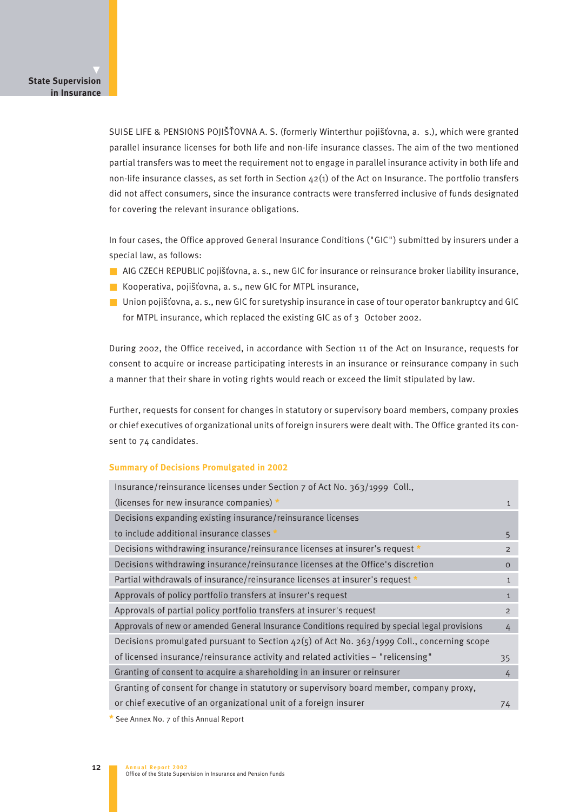SUISE LIFE & PENSIONS POJIŠŤOVNA A. S. (formerly Winterthur pojišťovna, a. s.), which were granted parallel insurance licenses for both life and non-life insurance classes. The aim of the two mentioned partial transfers was to meet the requirement not to engage in parallel insurance activity in both life and non-life insurance classes, as set forth in Section  $42(i)$  of the Act on Insurance. The portfolio transfers did not affect consumers, since the insurance contracts were transferred inclusive of funds designated for covering the relevant insurance obligations.

In four cases, the Office approved General Insurance Conditions ("GIC") submitted by insurers under a special law, as follows:

- AIG CZECH REPUBLIC pojišťovna, a. s., new GIC for insurance or reinsurance broker liability insurance,
- Kooperativa, pojišťovna, a. s., new GIC for MTPL insurance,
- **■** Union pojišťovna, a. s., new GIC for suretyship insurance in case of tour operator bankruptcy and GIC for MTPL insurance, which replaced the existing GIC as of 3 October 2002.

During 2002, the Office received, in accordance with Section 11 of the Act on Insurance, requests for consent to acquire or increase participating interests in an insurance or reinsurance company in such a manner that their share in voting rights would reach or exceed the limit stipulated by law.

Further, requests for consent for changes in statutory or supervisory board members, company proxies or chief executives of organizational units of foreign insurers were dealt with. The Office granted its consent to 74 candidates.

#### **Summary of Decisions Promulgated in 2002**

| Insurance/reinsurance licenses under Section 7 of Act No. 363/1999 Coll.,                     |                |
|-----------------------------------------------------------------------------------------------|----------------|
| (licenses for new insurance companies) $*$                                                    | $\mathbf{1}$   |
| Decisions expanding existing insurance/reinsurance licenses                                   |                |
| to include additional insurance classes *                                                     | 5              |
| Decisions withdrawing insurance/reinsurance licenses at insurer's request *                   | $\overline{2}$ |
| Decisions withdrawing insurance/reinsurance licenses at the Office's discretion               | $\Omega$       |
| Partial withdrawals of insurance/reinsurance licenses at insurer's request *                  | $\mathbf{1}$   |
| Approvals of policy portfolio transfers at insurer's request                                  | $\mathbf{1}$   |
| Approvals of partial policy portfolio transfers at insurer's request                          | $\overline{2}$ |
| Approvals of new or amended General Insurance Conditions required by special legal provisions | 4              |
| Decisions promulgated pursuant to Section $42(5)$ of Act No. 363/1999 Coll., concerning scope |                |
| of licensed insurance/reinsurance activity and related activities – "relicensing"             | 35             |
| Granting of consent to acquire a shareholding in an insurer or reinsurer                      | 4              |
| Granting of consent for change in statutory or supervisory board member, company proxy,       |                |
| or chief executive of an organizational unit of a foreign insurer                             | 74             |
|                                                                                               |                |

\* See Annex No. 7 of this Annual Report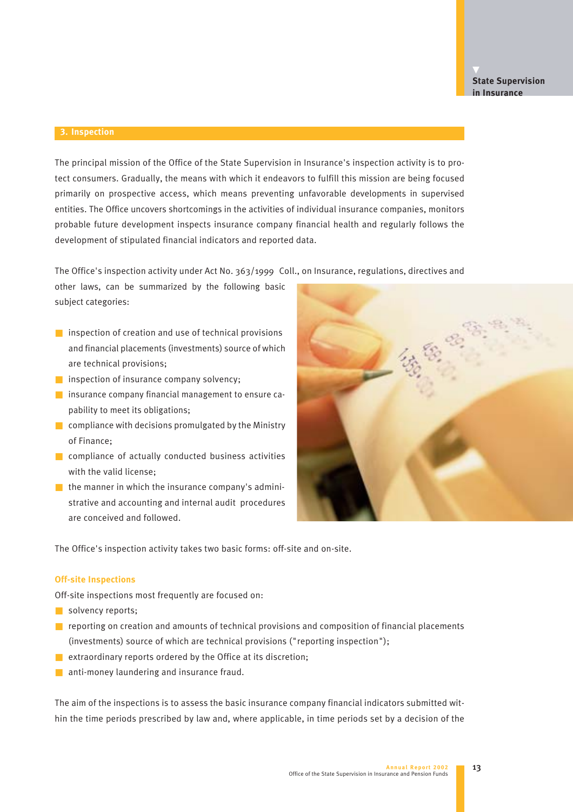#### **3. Inspection**

The principal mission of the Office of the State Supervision in Insurance's inspection activity is to protect consumers. Gradually, the means with which it endeavors to fulfill this mission are being focused primarily on prospective access, which means preventing unfavorable developments in supervised entities. The Office uncovers shortcomings in the activities of individual insurance companies, monitors probable future development inspects insurance company financial health and regularly follows the development of stipulated financial indicators and reported data.

The Office's inspection activity under Act No. 363/1999 Coll., on Insurance, regulations, directives and

other laws, can be summarized by the following basic subject categories:

- $\blacksquare$  inspection of creation and use of technical provisions and financial placements (investments) source of which are technical provisions;
- inspection of insurance company solvency;
- insurance company financial management to ensure capability to meet its obligations;
- compliance with decisions promulgated by the Ministry of Finance;
- compliance of actually conducted business activities with the valid license;
- $\blacksquare$  the manner in which the insurance company's administrative and accounting and internal audit procedures are conceived and followed.



The Office's inspection activity takes two basic forms: off-site and on-site.

#### **Off-site Inspections**

Off-site inspections most frequently are focused on:

- solvency reports;
- reporting on creation and amounts of technical provisions and composition of financial placements (investments) source of which are technical provisions ("reporting inspection");
- extraordinary reports ordered by the Office at its discretion;
- anti-money laundering and insurance fraud.

The aim of the inspections is to assess the basic insurance company financial indicators submitted within the time periods prescribed by law and, where applicable, in time periods set by a decision of the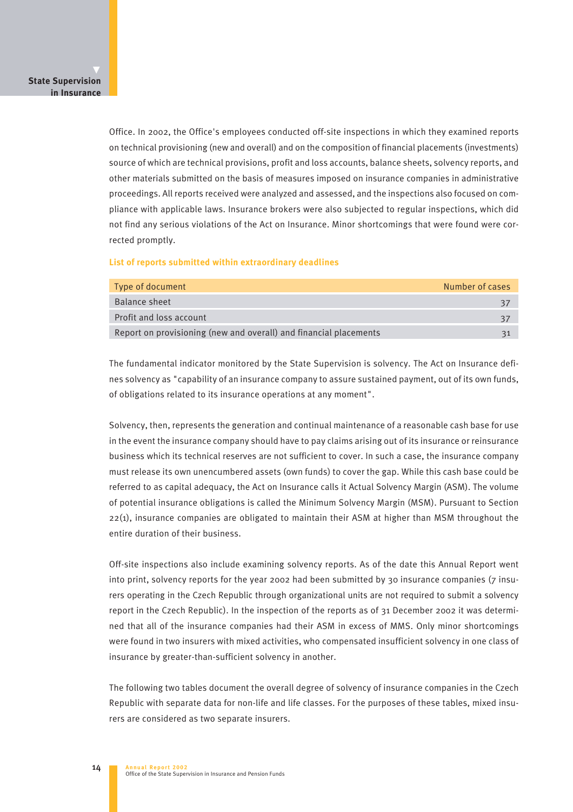Office. In 2002, the Office's employees conducted off-site inspections in which they examined reports on technical provisioning (new and overall) and on the composition of financial placements (investments) source of which are technical provisions, profit and loss accounts, balance sheets, solvency reports, and other materials submitted on the basis of measures imposed on insurance companies in administrative proceedings. All reports received were analyzed and assessed, and the inspections also focused on compliance with applicable laws. Insurance brokers were also subjected to regular inspections, which did not find any serious violations of the Act on Insurance. Minor shortcomings that were found were corrected promptly.

#### **List of reports submitted within extraordinary deadlines**

| Type of document                                                  | Number of cases |
|-------------------------------------------------------------------|-----------------|
| Balance sheet                                                     | 37              |
| Profit and loss account                                           | 37              |
| Report on provisioning (new and overall) and financial placements |                 |

The fundamental indicator monitored by the State Supervision is solvency. The Act on Insurance defines solvency as "capability of an insurance company to assure sustained payment, out of its own funds, of obligations related to its insurance operations at any moment".

Solvency, then, represents the generation and continual maintenance of a reasonable cash base for use in the event the insurance company should have to pay claims arising out of its insurance or reinsurance business which its technical reserves are not sufficient to cover. In such a case, the insurance company must release its own unencumbered assets (own funds) to cover the gap. While this cash base could be referred to as capital adequacy, the Act on Insurance calls it Actual Solvency Margin (ASM). The volume of potential insurance obligations is called the Minimum Solvency Margin (MSM). Pursuant to Section 22(1), insurance companies are obligated to maintain their ASM at higher than MSM throughout the entire duration of their business.

Off-site inspections also include examining solvency reports. As of the date this Annual Report went into print, solvency reports for the year 2002 had been submitted by 30 insurance companies (7 insurers operating in the Czech Republic through organizational units are not required to submit a solvency report in the Czech Republic). In the inspection of the reports as of 31 December 2002 it was determined that all of the insurance companies had their ASM in excess of MMS. Only minor shortcomings were found in two insurers with mixed activities, who compensated insufficient solvency in one class of insurance by greater-than-sufficient solvency in another.

The following two tables document the overall degree of solvency of insurance companies in the Czech Republic with separate data for non-life and life classes. For the purposes of these tables, mixed insurers are considered as two separate insurers.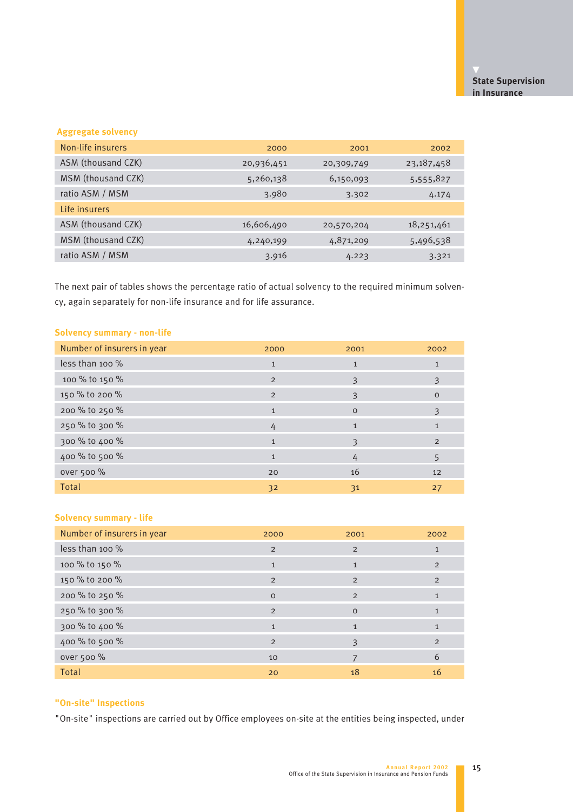## **Aggregate solvency**

| Non-life insurers  | 2000       | 2001       | 2002         |
|--------------------|------------|------------|--------------|
| ASM (thousand CZK) | 20,936,451 | 20,309,749 | 23, 187, 458 |
| MSM (thousand CZK) | 5,260,138  | 6,150,093  | 5,555,827    |
| ratio ASM / MSM    | 3.980      | 3.302      | 4.174        |
| Life insurers      |            |            |              |
| ASM (thousand CZK) | 16,606,490 | 20,570,204 | 18,251,461   |
| MSM (thousand CZK) | 4,240,199  | 4,871,209  | 5,496,538    |
| ratio ASM / MSM    | 3.916      | 4.223      | 3.321        |

The next pair of tables shows the percentage ratio of actual solvency to the required minimum solvency, again separately for non-life insurance and for life assurance.

## **Solvency summary - non-life**

| Number of insurers in year | 2000         | 2001         | 2002         |
|----------------------------|--------------|--------------|--------------|
| less than 100 $%$          | $\mathbf{1}$ | $\mathbf{1}$ | $\mathbf{1}$ |
| 100 % to 150 %             | 2            | 3            | 3            |
| 150 % to 200 %             | 2            | 3            | $\circ$      |
| 200 % to 250 %             | $\mathbf{1}$ | $\Omega$     | 3            |
| 250 % to 300 %             | 4            | $\mathbf{1}$ | $\mathbf{1}$ |
| 300 % to 400 %             | $\mathbf{1}$ | 3            | 2            |
| 400 % to 500 %             | $\mathbf{1}$ | 4            | 5            |
| over 500 %                 | 20           | 16           | 12           |
| <b>Total</b>               | 32           | 31           | 27           |

## **Solvency summary - life**

| Number of insurers in year | 2000           | 2001           | 2002          |
|----------------------------|----------------|----------------|---------------|
| less than 100 %            | $\overline{2}$ | $\overline{2}$ | $\mathbf{1}$  |
| 100 % to 150 %             | $\mathbf{1}$   | $\mathbf{1}$   | 2             |
| 150 % to 200 %             | $\overline{2}$ | $\overline{2}$ | 2             |
| 200 % to 250 %             | $\Omega$       | 2              | $\mathbf{1}$  |
| 250 % to 300 %             | $\overline{2}$ | $\Omega$       | $\mathbf{1}$  |
| 300 % to 400 %             | $\mathbf{1}$   | $\mathbf{1}$   | $\mathbf{1}$  |
| 400 % to 500 %             | $\overline{2}$ | $\mathcal{E}$  | $\mathcal{P}$ |
| over 500 %                 | 10             | 7              | 6             |
| Total                      | 20             | 18             | 16            |

## **"On-site" Inspections**

"On-site" inspections are carried out by Office employees on-site at the entities being inspected, under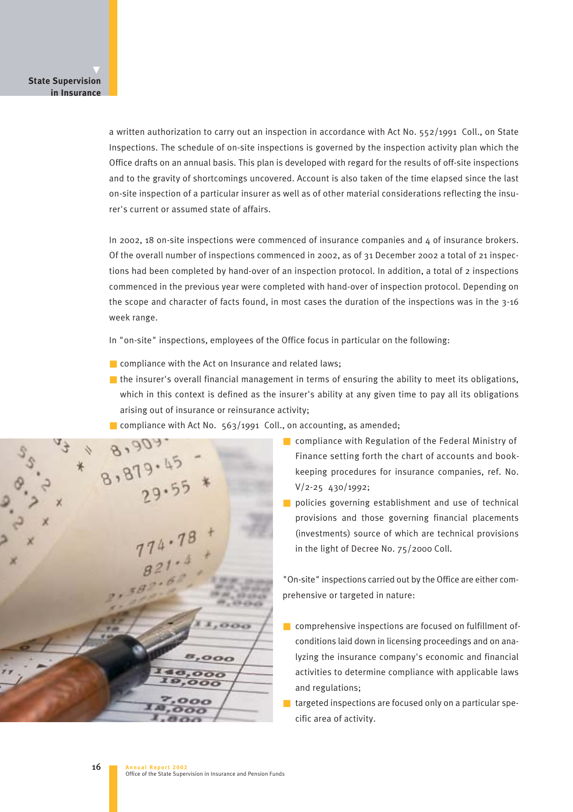a written authorization to carry out an inspection in accordance with Act No. 552/1991 Coll., on State Inspections. The schedule of on-site inspections is governed by the inspection activity plan which the Office drafts on an annual basis. This plan is developed with regard for the results of off-site inspections and to the gravity of shortcomings uncovered. Account is also taken of the time elapsed since the last on-site inspection of a particular insurer as well as of other material considerations reflecting the insurer's current or assumed state of affairs.

In 2002, 18 on-site inspections were commenced of insurance companies and 4 of insurance brokers. Of the overall number of inspections commenced in 2002, as of 31 December 2002 a total of 21 inspections had been completed by hand-over of an inspection protocol. In addition, a total of 2 inspections commenced in the previous year were completed with hand-over of inspection protocol. Depending on the scope and character of facts found, in most cases the duration of the inspections was in the 3-16 week range.

In "on-site" inspections, employees of the Office focus in particular on the following:

- compliance with the Act on Insurance and related laws;
- the insurer's overall financial management in terms of ensuring the ability to meet its obligations, which in this context is defined as the insurer's ability at any given time to pay all its obligations arising out of insurance or reinsurance activity;
- compliance with Act No. 563/1991 Coll., on accounting, as amended;

 $8,879.45$ 

- compliance with Regulation of the Federal Ministry of Finance setting forth the chart of accounts and bookkeeping procedures for insurance companies, ref. No. V/2-25 430/1992;
- policies governing establishment and use of technical provisions and those governing financial placements (investments) source of which are technical provisions in the light of Decree No. 75/2000 Coll.

"On-site" inspections carried out by the Office are either comprehensive or targeted in nature:

- comprehensive inspections are focused on fulfillment ofconditions laid down in licensing proceedings and on analyzing the insurance company's economic and financial activities to determine compliance with applicable laws and regulations;
- $\blacksquare$  targeted inspections are focused only on a particular specific area of activity.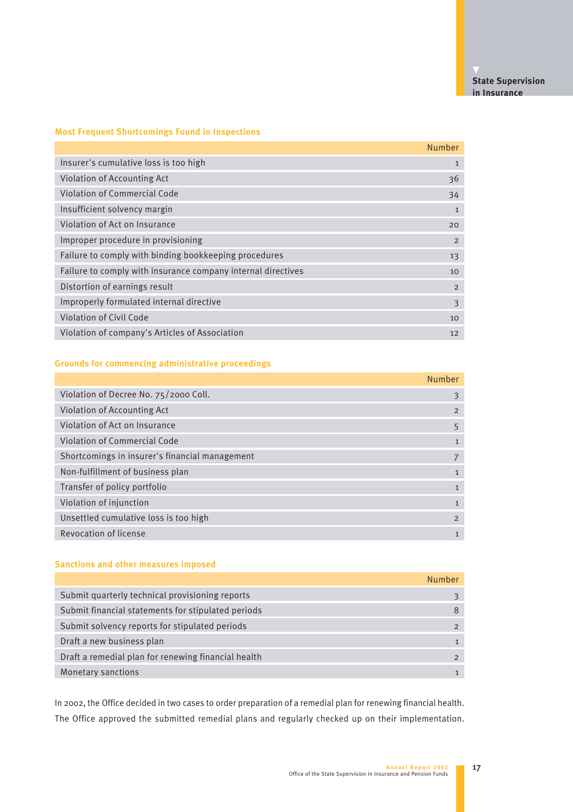## **Most Frequent Shortcomings Found in Inspections**

|                                                              | <b>Number</b>  |
|--------------------------------------------------------------|----------------|
| Insurer's cumulative loss is too high                        | $\mathbf{1}$   |
| Violation of Accounting Act                                  | 36             |
| <b>Violation of Commercial Code</b>                          | 34             |
| Insufficient solvency margin                                 | $\mathbf{1}$   |
| Violation of Act on Insurance                                | 20             |
| Improper procedure in provisioning                           | $\overline{2}$ |
| Failure to comply with binding bookkeeping procedures        | 13             |
| Failure to comply with insurance company internal directives | 10             |
| Distortion of earnings result                                | $\overline{2}$ |
| Improperly formulated internal directive                     | 3              |
| Violation of Civil Code                                      | 10             |
| Violation of company's Articles of Association               | 12             |

## **Grounds for commencing administrative proceedings**

|                                                | Number         |
|------------------------------------------------|----------------|
| Violation of Decree No. 75/2000 Coll.          | 3              |
| Violation of Accounting Act                    | 2              |
| Violation of Act on Insurance                  | 5              |
| <b>Violation of Commercial Code</b>            | 1              |
| Shortcomings in insurer's financial management |                |
| Non-fulfillment of business plan               | 1              |
| Transfer of policy portfolio                   | $\mathbf{1}$   |
| Violation of injunction                        | $\mathbf{1}$   |
| Unsettled cumulative loss is too high          | $\overline{2}$ |
| Revocation of license                          | $\mathbf{1}$   |

## **Sanctions and other measures imposed**

|                                                     | Number |
|-----------------------------------------------------|--------|
| Submit quarterly technical provisioning reports     |        |
| Submit financial statements for stipulated periods  | 8      |
| Submit solvency reports for stipulated periods      |        |
| Draft a new business plan                           |        |
| Draft a remedial plan for renewing financial health |        |
| Monetary sanctions                                  |        |

In 2002, the Office decided in two cases to order preparation of a remedial plan for renewing financial health. The Office approved the submitted remedial plans and regularly checked up on their implementation.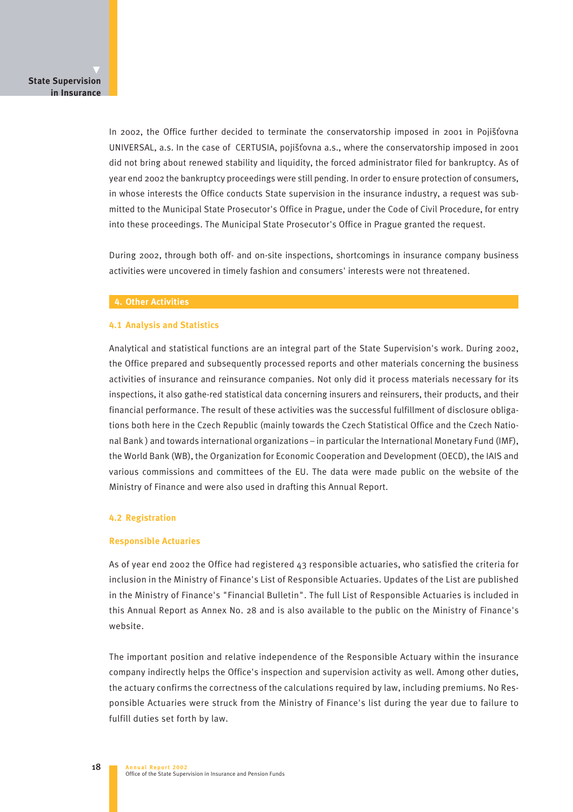In 2002, the Office further decided to terminate the conservatorship imposed in 2001 in Pojišťovna UNIVERSAL, a.s. In the case of CERTUSIA, pojišťovna a.s., where the conservatorship imposed in 2001 did not bring about renewed stability and liquidity, the forced administrator filed for bankruptcy. As of year end 2002 the bankruptcy proceedings were still pending. In order to ensure protection of consumers, in whose interests the Office conducts State supervision in the insurance industry, a request was submitted to the Municipal State Prosecutor's Office in Prague, under the Code of Civil Procedure, for entry into these proceedings. The Municipal State Prosecutor's Office in Prague granted the request.

During 2002, through both off- and on-site inspections, shortcomings in insurance company business activities were uncovered in timely fashion and consumers' interests were not threatened.

#### **4. Other Activities**

#### **4.1 Analysis and Statistics**

Analytical and statistical functions are an integral part of the State Supervision's work. During 2002, the Office prepared and subsequently processed reports and other materials concerning the business activities of insurance and reinsurance companies. Not only did it process materials necessary for its inspections, it also gathe-red statistical data concerning insurers and reinsurers, their products, and their financial performance. The result of these activities was the successful fulfillment of disclosure obligations both here in the Czech Republic (mainly towards the Czech Statistical Office and the Czech National Bank ) and towards international organizations – in particular the International Monetary Fund (IMF), the World Bank (WB), the Organization for Economic Cooperation and Development (OECD), the IAIS and various commissions and committees of the EU. The data were made public on the website of the Ministry of Finance and were also used in drafting this Annual Report.

#### **4.2 Registration**

#### **Responsible Actuaries**

As of year end 2002 the Office had registered 43 responsible actuaries, who satisfied the criteria for inclusion in the Ministry of Finance's List of Responsible Actuaries. Updates of the List are published in the Ministry of Finance's "Financial Bulletin". The full List of Responsible Actuaries is included in this Annual Report as Annex No. 28 and is also available to the public on the Ministry of Finance's website.

The important position and relative independence of the Responsible Actuary within the insurance company indirectly helps the Office's inspection and supervision activity as well. Among other duties, the actuary confirms the correctness of the calculations required by law, including premiums. No Responsible Actuaries were struck from the Ministry of Finance's list during the year due to failure to fulfill duties set forth by law.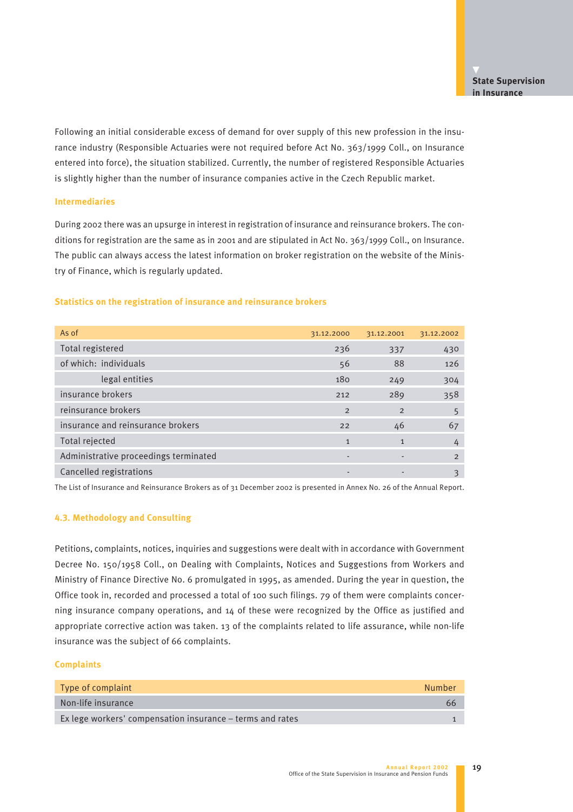Following an initial considerable excess of demand for over supply of this new profession in the insurance industry (Responsible Actuaries were not required before Act No. 363/1999 Coll., on Insurance entered into force), the situation stabilized. Currently, the number of registered Responsible Actuaries is slightly higher than the number of insurance companies active in the Czech Republic market.

#### **Intermediaries**

During 2002 there was an upsurge in interest in registration of insurance and reinsurance brokers. The conditions for registration are the same as in 2001 and are stipulated in Act No. 363/1999 Coll., on Insurance. The public can always access the latest information on broker registration on the website of the Ministry of Finance, which is regularly updated.

### **Statistics on the registration of insurance and reinsurance brokers**

| As of                                 | 31.12.2000     | 31.12.2001     | 31.12.2002    |
|---------------------------------------|----------------|----------------|---------------|
| Total registered                      | 236            | 337            | 430           |
| of which: individuals                 | 56             | 88             | 126           |
| legal entities                        | 180            | 249            | 304           |
| insurance brokers                     | 212            | 289            | 358           |
| reinsurance brokers                   | $\overline{2}$ | $\overline{2}$ | 5             |
| insurance and reinsurance brokers     | 22             | 46             | 67            |
| Total rejected                        | $\mathbf{1}$   | $\mathbf{1}$   | 4             |
| Administrative proceedings terminated | ٠              | -              | $\mathcal{P}$ |
| Cancelled registrations               | ٠              |                | 3             |

The List of Insurance and Reinsurance Brokers as of 31 December 2002 is presented in Annex No. 26 of the Annual Report.

#### **4.3. Methodology and Consulting**

Petitions, complaints, notices, inquiries and suggestions were dealt with in accordance with Government Decree No. 150/1958 Coll., on Dealing with Complaints, Notices and Suggestions from Workers and Ministry of Finance Directive No. 6 promulgated in 1995, as amended. During the year in question, the Office took in, recorded and processed a total of 100 such filings. 79 of them were complaints concerning insurance company operations, and 14 of these were recognized by the Office as justified and appropriate corrective action was taken. 13 of the complaints related to life assurance, while non-life insurance was the subject of 66 complaints.

## **Complaints**

| Type of complaint                                         | Number |
|-----------------------------------------------------------|--------|
| Non-life insurance                                        | 66     |
| Ex lege workers' compensation insurance – terms and rates |        |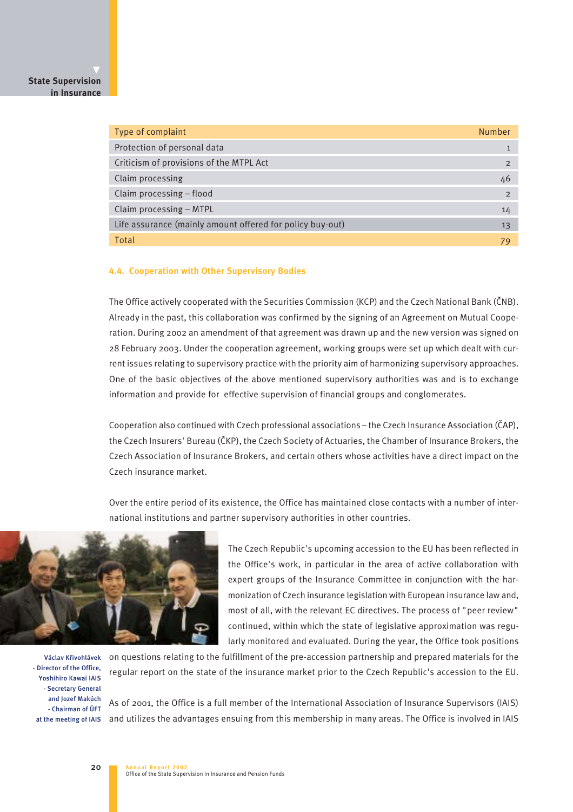## **State Supervision in Insurance**

| Type of complaint                                         | Number |
|-----------------------------------------------------------|--------|
| Protection of personal data                               |        |
| Criticism of provisions of the MTPL Act                   |        |
| Claim processing                                          | 46     |
| Claim processing - flood                                  | 2      |
| Claim processing - MTPL                                   | 14     |
| Life assurance (mainly amount offered for policy buy-out) | 13     |
| Total                                                     |        |

#### **4.4. Cooperation with Other Supervisory Bodies**

The Office actively cooperated with the Securities Commission (KCP) and the Czech National Bank (ČNB). Already in the past, this collaboration was confirmed by the signing of an Agreement on Mutual Cooperation. During 2002 an amendment of that agreement was drawn up and the new version was signed on 28 February 2003. Under the cooperation agreement, working groups were set up which dealt with current issues relating to supervisory practice with the priority aim of harmonizing supervisory approaches. One of the basic objectives of the above mentioned supervisory authorities was and is to exchange information and provide for effective supervision of financial groups and conglomerates.

Cooperation also continued with Czech professional associations – the Czech Insurance Association (âAP), the Czech Insurers' Bureau (âKP), the Czech Society of Actuaries, the Chamber of Insurance Brokers, the Czech Association of Insurance Brokers, and certain others whose activities have a direct impact on the Czech insurance market.

Over the entire period of its existence, the Office has maintained close contacts with a number of international institutions and partner supervisory authorities in other countries.



Václav Křivohlávek - Director of the Office, Yoshihiro Kawai IAIS - Secretary General and Jozef Makúch - Chairman of ÚFT

20

The Czech Republic's upcoming accession to the EU has been reflected in the Office's work, in particular in the area of active collaboration with expert groups of the Insurance Committee in conjunction with the harmonization of Czech insurance legislation with European insurance law and, most of all, with the relevant EC directives. The process of "peer review" continued, within which the state of legislative approximation was regularly monitored and evaluated. During the year, the Office took positions

on questions relating to the fulfillment of the pre-accession partnership and prepared materials for the regular report on the state of the insurance market prior to the Czech Republic's accession to the EU.

As of 2001, the Office is a full member of the International Association of Insurance Supervisors (IAIS) at the meeting of IAIS and utilizes the advantages ensuing from this membership in many areas. The Office is involved in IAIS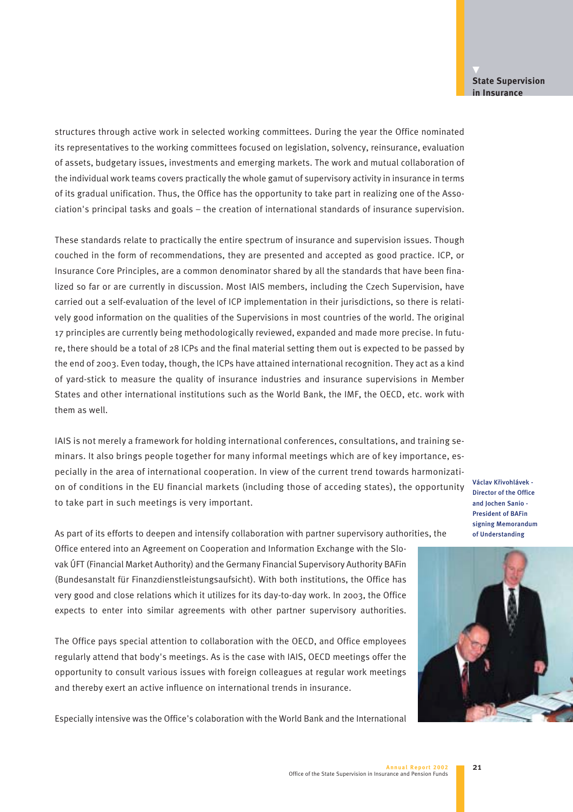structures through active work in selected working committees. During the year the Office nominated its representatives to the working committees focused on legislation, solvency, reinsurance, evaluation of assets, budgetary issues, investments and emerging markets. The work and mutual collaboration of the individual work teams covers practically the whole gamut of supervisory activity in insurance in terms of its gradual unification. Thus, the Office has the opportunity to take part in realizing one of the Association's principal tasks and goals – the creation of international standards of insurance supervision.

These standards relate to practically the entire spectrum of insurance and supervision issues. Though couched in the form of recommendations, they are presented and accepted as good practice. ICP, or Insurance Core Principles, are a common denominator shared by all the standards that have been finalized so far or are currently in discussion. Most IAIS members, including the Czech Supervision, have carried out a self-evaluation of the level of ICP implementation in their jurisdictions, so there is relatively good information on the qualities of the Supervisions in most countries of the world. The original 17 principles are currently being methodologically reviewed, expanded and made more precise. In future, there should be a total of 28 ICPs and the final material setting them out is expected to be passed by the end of 2003. Even today, though, the ICPs have attained international recognition. They act as a kind of yard-stick to measure the quality of insurance industries and insurance supervisions in Member States and other international institutions such as the World Bank, the IMF, the OECD, etc. work with them as well.

IAIS is not merely a framework for holding international conferences, consultations, and training seminars. It also brings people together for many informal meetings which are of key importance, especially in the area of international cooperation. In view of the current trend towards harmonization of conditions in the EU financial markets (including those of acceding states), the opportunity to take part in such meetings is very important.

Václav Křivohlávek -Director of the Office and Jochen Sanio - President of BAFin signing Memorandum of Understanding

As part of its efforts to deepen and intensify collaboration with partner supervisory authorities, the

Office entered into an Agreement on Cooperation and Information Exchange with the Slovak ÚFT (Financial Market Authority) and the Germany Financial Supervisory Authority BAFin (Bundesanstalt für Finanzdienstleistungsaufsicht). With both institutions, the Office has very good and close relations which it utilizes for its day-to-day work. In 2003, the Office expects to enter into similar agreements with other partner supervisory authorities.

The Office pays special attention to collaboration with the OECD, and Office employees regularly attend that body's meetings. As is the case with IAIS, OECD meetings offer the opportunity to consult various issues with foreign colleagues at regular work meetings and thereby exert an active influence on international trends in insurance.

Especially intensive was the Office's colaboration with the World Bank and the International

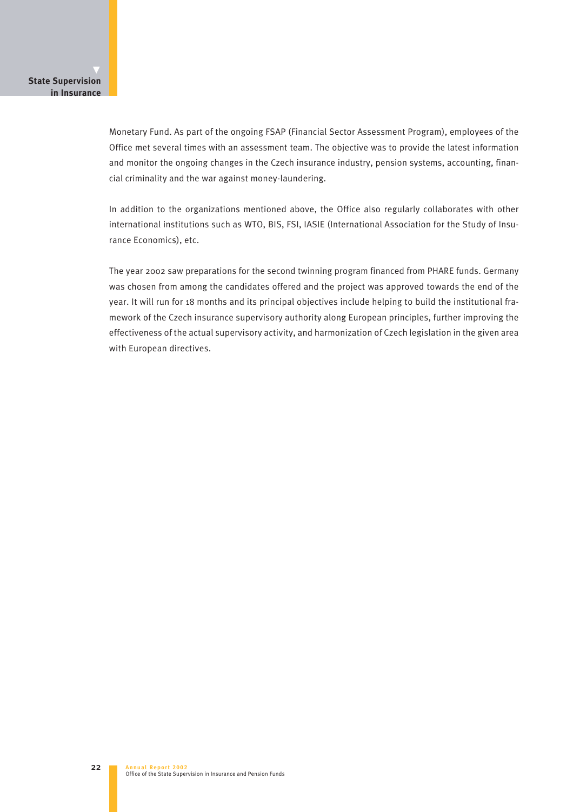Monetary Fund. As part of the ongoing FSAP (Financial Sector Assessment Program), employees of the Office met several times with an assessment team. The objective was to provide the latest information and monitor the ongoing changes in the Czech insurance industry, pension systems, accounting, financial criminality and the war against money-laundering.

In addition to the organizations mentioned above, the Office also regularly collaborates with other international institutions such as WTO, BIS, FSI, IASIE (International Association for the Study of Insurance Economics), etc.

The year 2002 saw preparations for the second twinning program financed from PHARE funds. Germany was chosen from among the candidates offered and the project was approved towards the end of the year. It will run for 18 months and its principal objectives include helping to build the institutional framework of the Czech insurance supervisory authority along European principles, further improving the effectiveness of the actual supervisory activity, and harmonization of Czech legislation in the given area with European directives.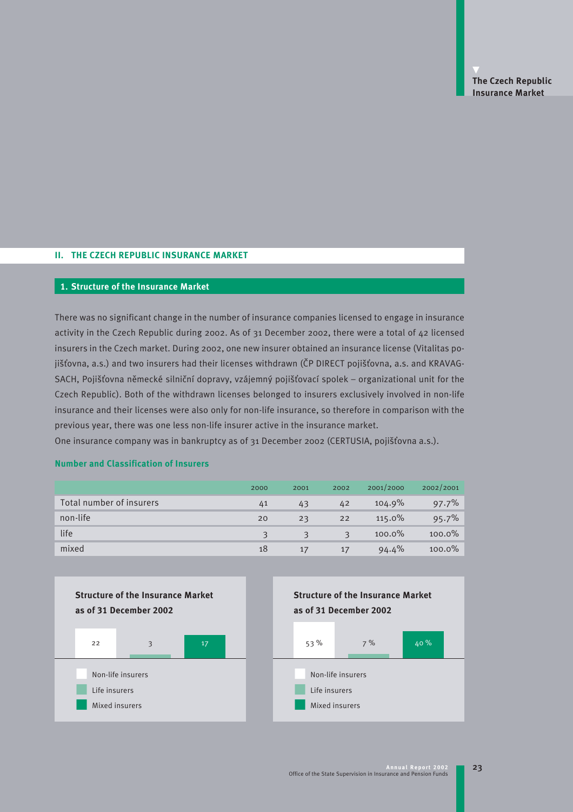## **II. THE CZECH REPUBLIC INSURANCE MARKET**

#### **1. Structure of the Insurance Market**

There was no significant change in the number of insurance companies licensed to engage in insurance activity in the Czech Republic during 2002. As of 31 December 2002, there were a total of 42 licensed insurers in the Czech market. During 2002, one new insurer obtained an insurance license (Vitalitas pojišťovna, a.s.) and two insurers had their licenses withdrawn (ČP DIRECT pojišťovna, a.s. and KRAVAG-SACH, Pojišťovna německé silniční dopravy, vzájemný pojišťovací spolek – organizational unit for the Czech Republic). Both of the withdrawn licenses belonged to insurers exclusively involved in non-life insurance and their licenses were also only for non-life insurance, so therefore in comparison with the previous year, there was one less non-life insurer active in the insurance market.

One insurance company was in bankruptcy as of 31 December 2002 (CERTUSIA, pojišťovna a.s.).

|                          | 2000 | 2001 | 2002 | 2001/2000 | 2002/2001 |
|--------------------------|------|------|------|-----------|-----------|
| Total number of insurers | 41   | 43   | 42   | 104.9%    | 97.7%     |
| non-life                 | 20   | 23   | 22   | 115.0%    | 95.7%     |
| life                     |      | 3    | R    | 100.0%    | 100.0%    |
| mixed                    | 18   | 17   | 17   | 94.4%     | $100.0\%$ |



## **Number and Classification of Insurers**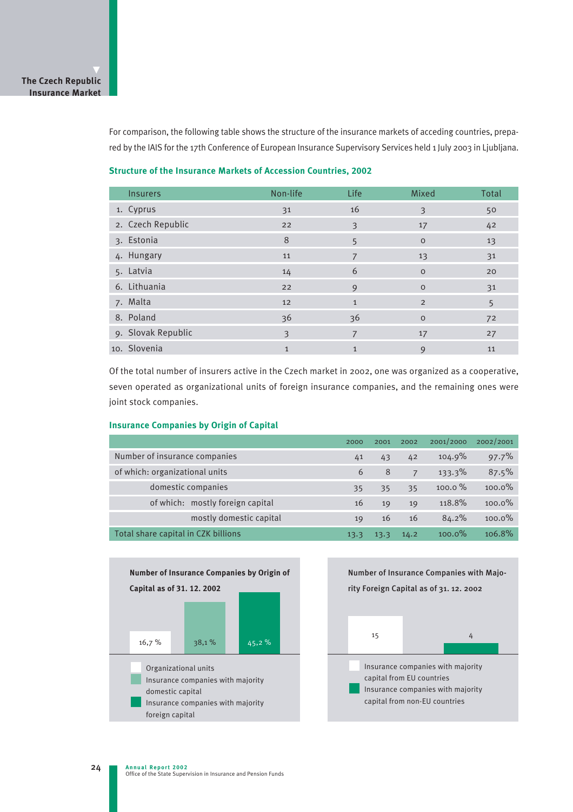For comparison, the following table shows the structure of the insurance markets of acceding countries, prepared by the IAIS for the 17th Conference of European Insurance Supervisory Services held 1 July 2003 in Ljubljana.

#### **Structure of the Insurance Markets of Accession Countries, 2002**

| <b>Insurers</b>    | Non-life     | Life           | Mixed          | Total |
|--------------------|--------------|----------------|----------------|-------|
| 1. Cyprus          | 31           | 16             | 3              | 50    |
| 2. Czech Republic  | 22           | 3              | 17             | 42    |
| 3. Estonia         | 8            | 5              | $\circ$        | 13    |
| 4. Hungary         | 11           | $\overline{7}$ | 13             | 31    |
| 5. Latvia          | 14           | 6              | $\circ$        | 20    |
| 6. Lithuania       | 22           | 9              | $\circ$        | 31    |
| 7. Malta           | 12           | $\mathbf{1}$   | $\overline{2}$ | 5     |
| 8. Poland          | 36           | 36             | $\circ$        | 72    |
| 9. Slovak Republic | 3            | 7              | 17             | 27    |
| 10. Slovenia       | $\mathbf{1}$ | $\mathbf{1}$   | 9              | 11    |

Of the total number of insurers active in the Czech market in 2002, one was organized as a cooperative, seven operated as organizational units of foreign insurance companies, and the remaining ones were joint stock companies.

#### **Insurance Companies by Origin of Capital**

|                                     | 2000 | 2001 | 2002 | 2001/2000          | 2002/2001 |
|-------------------------------------|------|------|------|--------------------|-----------|
| Number of insurance companies       |      | 43   | 42   | 104.9%             | 97.7%     |
| of which: organizational units      |      | 8    | 7    | 133.3%             | 87.5%     |
| domestic companies                  | 35   | 35   | 35   | $100.0\%$          | $100.0\%$ |
| of which: mostly foreign capital    | 16   | 19   | 19   | 118.8%             | $100.0\%$ |
| mostly domestic capital             | 19   | 16   | 16   | 84.2%              | $100.0\%$ |
| Total share capital in CZK billions |      | 13.3 | 14.2 | 100.0 <sup>%</sup> | $106.8\%$ |



Number of Insurance Companies with Majority Foreign Capital as of 31. 12. 2002

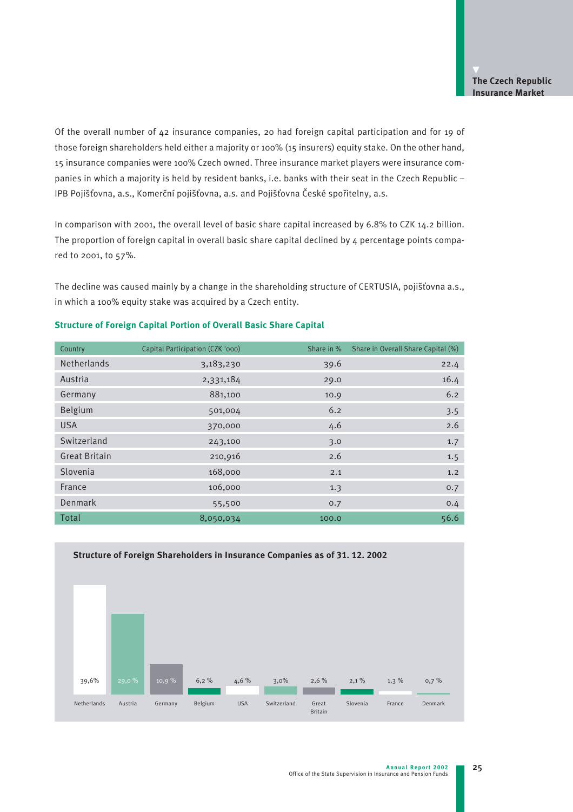Of the overall number of 42 insurance companies, 20 had foreign capital participation and for 19 of those foreign shareholders held either a majority or 100% (15 insurers) equity stake. On the other hand, 15 insurance companies were 100% Czech owned. Three insurance market players were insurance companies in which a majority is held by resident banks, i.e. banks with their seat in the Czech Republic -IPB Pojišťovna, a.s., Komerční pojišťovna, a.s. and Pojišťovna České spořitelny, a.s.

In comparison with 2001, the overall level of basic share capital increased by 6.8% to CZK 14.2 billion. The proportion of foreign capital in overall basic share capital declined by  $4$  percentage points compared to 2001, to 57%.

The decline was caused mainly by a change in the shareholding structure of CERTUSIA, pojišťovna a.s., in which a 100% equity stake was acquired by a Czech entity.

| Country              | Capital Participation (CZK '000) | Share in % | Share in Overall Share Capital (%) |
|----------------------|----------------------------------|------------|------------------------------------|
| <b>Netherlands</b>   | 3,183,230                        | 39.6       | 22.4                               |
| Austria              | 2,331,184                        | 29.0       | 16.4                               |
| Germany              | 881,100                          | 10.9       | 6.2                                |
| Belgium              | 501,004                          | 6.2        | 3.5                                |
| <b>USA</b>           | 370,000                          | 4.6        | 2.6                                |
| Switzerland          | 243,100                          | 3.0        | 1.7                                |
| <b>Great Britain</b> | 210,916                          | 2.6        | 1.5                                |
| Slovenia             | 168,000                          | 2.1        | 1.2                                |
| France               | 106,000                          | 1.3        | 0.7                                |
| Denmark              | 55,500                           | 0.7        | 0.4                                |
| Total                | 8,050,034                        | 100.0      | 56.6                               |

## **Structure of Foreign Capital Portion of Overall Basic Share Capital**

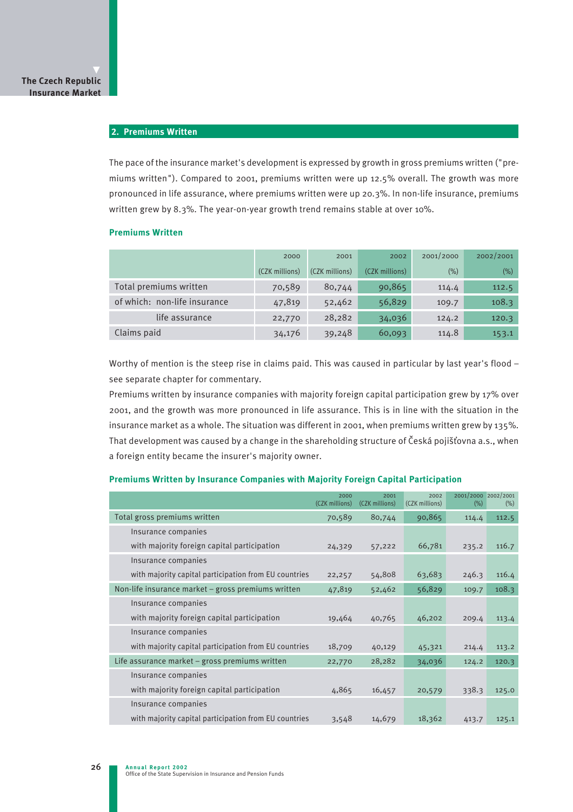## **2. Premiums Written**

The pace of the insurance market's development is expressed by growth in gross premiums written ("premiums written"). Compared to 2001, premiums written were up 12.5% overall. The growth was more pronounced in life assurance, where premiums written were up 20.3%. In non-life insurance, premiums written grew by 8.3%. The year-on-year growth trend remains stable at over 10%.

#### **Premiums Written**

|                              | 2000           | 2001           | 2002           | 2001/2000 | 2002/2001 |
|------------------------------|----------------|----------------|----------------|-----------|-----------|
|                              | (CZK millions) | (CZK millions) | (CZK millions) | (% )      | (% )      |
| Total premiums written       | 70,589         | 80,744         | 90,865         | 114.4     | 112.5     |
| of which: non-life insurance | 47,819         | 52,462         | 56,829         | 109.7     | 108.3     |
| life assurance               | 22,770         | 28,282         | 34,036         | 124.2     | 120.3     |
| Claims paid                  | 34,176         | 39,248         | 60,093         | 114.8     | 153.1     |

Worthy of mention is the steep rise in claims paid. This was caused in particular by last year's flood see separate chapter for commentary.

Premiums written by insurance companies with majority foreign capital participation grew by 17% over 2001, and the growth was more pronounced in life assurance. This is in line with the situation in the insurance market as a whole. The situation was different in 2001, when premiums written grew by 135%. That development was caused by a change in the shareholding structure of Česká pojišťovna a.s., when a foreign entity became the insurer's majority owner.

#### **Premiums Written by Insurance Companies with Majority Foreign Capital Participation**

|                                                       | 2000<br>(CZK millions) | 2001<br>(CZK millions) | 2002<br>(CZK millions) | 2001/2000 2002/2001<br>(% ) | $(\%)$ |
|-------------------------------------------------------|------------------------|------------------------|------------------------|-----------------------------|--------|
| Total gross premiums written                          | 70,589                 | 80,744                 | 90,865                 | 114.4                       | 112.5  |
| Insurance companies                                   |                        |                        |                        |                             |        |
| with majority foreign capital participation           | 24,329                 | 57,222                 | 66,781                 | 235.2                       | 116.7  |
| Insurance companies                                   |                        |                        |                        |                             |        |
| with majority capital participation from EU countries | 22,257                 | 54,808                 | 63,683                 | 246.3                       | 116.4  |
| Non-life insurance market – gross premiums written    | 47,819                 | 52,462                 | 56,829                 | 109.7                       | 108.3  |
| Insurance companies                                   |                        |                        |                        |                             |        |
| with majority foreign capital participation           | 19,464                 | 40,765                 | 46,202                 | 209.4                       | 113.4  |
| Insurance companies                                   |                        |                        |                        |                             |        |
| with majority capital participation from EU countries | 18,709                 | 40,129                 | 45,321                 | 214.4                       | 113.2  |
| Life assurance market – gross premiums written        | 22,770                 | 28,282                 | 34,036                 | 124.2                       | 120.3  |
| Insurance companies                                   |                        |                        |                        |                             |        |
| with majority foreign capital participation           | 4,865                  | 16,457                 | 20,579                 | 338.3                       | 125.0  |
| Insurance companies                                   |                        |                        |                        |                             |        |
| with majority capital participation from EU countries | 3,548                  | 14,679                 | 18,362                 | 413.7                       | 125.1  |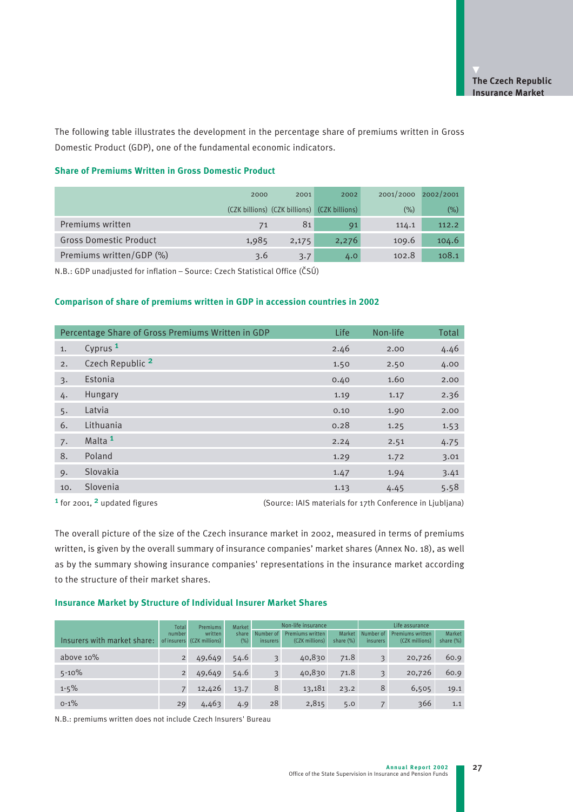The following table illustrates the development in the percentage share of premiums written in Gross Domestic Product (GDP), one of the fundamental economic indicators.

#### **Share of Premiums Written in Gross Domestic Product**

|                               | 2000  | 2001                                         | 2002  | 2001/2000 | 2002/2001 |
|-------------------------------|-------|----------------------------------------------|-------|-----------|-----------|
|                               |       | (CZK billions) (CZK billions) (CZK billions) |       | $(\% )$   | $(\% )$   |
| Premiums written              | 71    | 81                                           | 91    | 114.1     | 112.2     |
| <b>Gross Domestic Product</b> | 1,985 | 2,175                                        | 2,276 | 109.6     | 104.6     |
| Premiums written/GDP (%)      | 3.6   | 3.7                                          | 4.0   | 102.8     | 108.1     |

N.B.: GDP unadjusted for inflation – Source: Czech Statistical Office (âSÚ)

## **Comparison of share of premiums written in GDP in accession countries in 2002**

|                  | Percentage Share of Gross Premiums Written in GDP | Life | Non-life | Total |
|------------------|---------------------------------------------------|------|----------|-------|
| 1.               | Cyprus <sup>1</sup>                               | 2.46 | 2.00     | 4.46  |
| 2.               | Czech Republic <sup>2</sup>                       | 1.50 | 2.50     | 4.00  |
| $\overline{3}$ . | Estonia                                           | 0.40 | 1.60     | 2.00  |
| 4.               | Hungary                                           | 1.19 | 1.17     | 2.36  |
| 5.               | Latvia                                            | 0.10 | 1.90     | 2.00  |
| 6.               | Lithuania                                         | 0.28 | 1.25     | 1.53  |
| 7.               | Malta <sup>1</sup>                                | 2.24 | 2.51     | 4.75  |
| 8.               | Poland                                            | 1.29 | 1.72     | 3.01  |
| 9.               | Slovakia                                          | 1.47 | 1.94     | 3.41  |
| 10.              | Slovenia                                          | 1.13 | 4.45     | 5.58  |

<sup>1</sup> for 2001, <sup>2</sup> updated figures (Source: IAIS materials for 17th Conference in Ljubljana)

The overall picture of the size of the Czech insurance market in 2002, measured in terms of premiums written, is given by the overall summary of insurance companies' market shares (Annex No. 18), as well as by the summary showing insurance companies' representations in the insurance market according to the structure of their market shares.

#### **Insurance Market by Structure of Individual Insurer Market Shares**

|                             | Total                 | <b>Premiums</b>           | Market          |                              | Non-life insurance                 |                     |                         | Life assurance                            |                     |  |
|-----------------------------|-----------------------|---------------------------|-----------------|------------------------------|------------------------------------|---------------------|-------------------------|-------------------------------------------|---------------------|--|
| Insurers with market share: | number<br>of insurers | written<br>(CZK millions) | share<br>$(\%)$ | Number of<br><i>insurers</i> | Premiums written<br>(CZK millions) | Market<br>share (%) | Number of<br>insurers   | <b>Premiums written</b><br>(CZK millions) | Market<br>share (%) |  |
| above 10%                   |                       | 49,649                    | 54.6            | 3                            | 40,830                             | 71.8                | $\overline{3}$          | 20,726                                    | 60.9                |  |
| $5 - 10%$                   |                       | 49,649                    | 54.6            | 3                            | 40,830                             | 71.8                | $\overline{\mathbf{3}}$ | 20,726                                    | 60.9                |  |
| $1 - 5\%$                   |                       | 12,426                    | 13.7            | 8                            | 13,181                             | 23.2                | 8                       | 6,505                                     | 19.1                |  |
| $0 - 1\%$                   | 29                    | 4,463                     | 4.9             | 28                           | 2,815                              | 5.0                 |                         | 366                                       | 1.1                 |  |

N.B.: premiums written does not include Czech Insurers' Bureau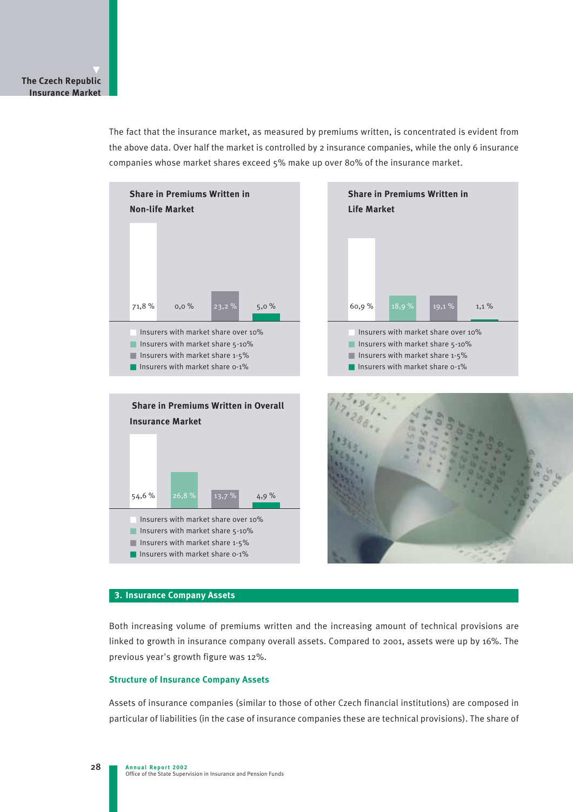The fact that the insurance market, as measured by premiums written, is concentrated is evident from the above data. Over half the market is controlled by 2 insurance companies, while the only 6 insurance companies whose market shares exceed 5% make up over 80% of the insurance market.



## **3. Insurance Company Assets**

Both increasing volume of premiums written and the increasing amount of technical provisions are linked to growth in insurance company overall assets. Compared to 2001, assets were up by 16%. The previous year's growth figure was 12%.

## **Structure of Insurance Company Assets**

Assets of insurance companies (similar to those of other Czech financial institutions) are composed in particular of liabilities (in the case of insurance companies these are technical provisions). The share of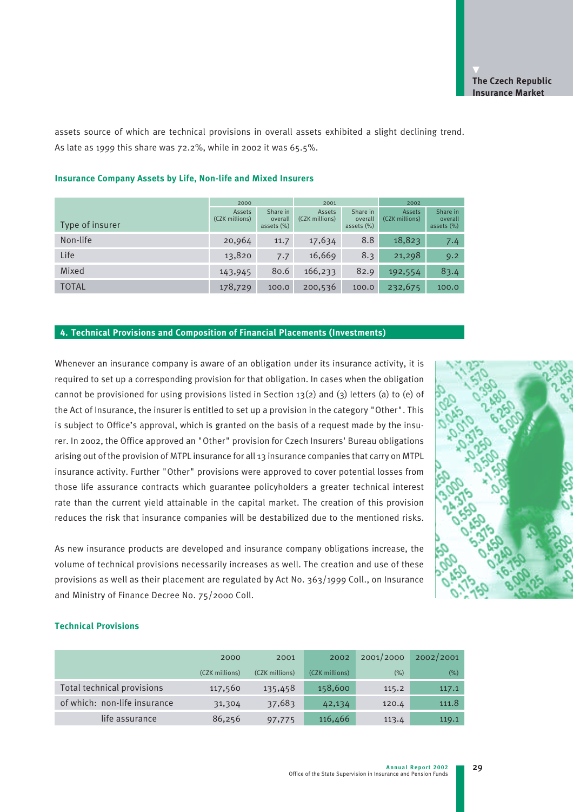assets source of which are technical provisions in overall assets exhibited a slight declining trend. As late as 1999 this share was 72.2%, while in 2002 it was 65.5%.

|                 | 2000                     |                                      | 2001                     |                                      | 2002                     |                                      |
|-----------------|--------------------------|--------------------------------------|--------------------------|--------------------------------------|--------------------------|--------------------------------------|
| Type of insurer | Assets<br>(CZK millions) | Share in<br>overall<br>assets $(\%)$ | Assets<br>(CZK millions) | Share in<br>overall<br>assets $(\%)$ | Assets<br>(CZK millions) | Share in<br>overall<br>assets $(\%)$ |
| Non-life        | 20,964                   | 11.7                                 | 17,634                   | 8.8                                  | 18,823                   | 7.4                                  |
| Life            | 13,820                   | 7.7                                  | 16,669                   | 8.3                                  | 21,298                   | 9.2                                  |
| Mixed           | 143,945                  | 80.6                                 | 166,233                  | 82.9                                 | 192,554                  | 83.4                                 |
| <b>TOTAL</b>    | 178,729                  | 100.0                                | 200,536                  | 100.0                                | 232,675                  | 100.0                                |

### **Insurance Company Assets by Life, Non-life and Mixed Insurers**

#### **4. Technical Provisions and Composition of Financial Placements (Investments)**

Whenever an insurance company is aware of an obligation under its insurance activity, it is required to set up a corresponding provision for that obligation. In cases when the obligation cannot be provisioned for using provisions listed in Section 13(2) and (3) letters (a) to (e) of the Act of Insurance, the insurer is entitled to set up a provision in the category "Other". This is subject to Office's approval, which is granted on the basis of a request made by the insurer. In 2002, the Office approved an "Other" provision for Czech Insurers' Bureau obligations arising out of the provision of MTPL insurance for all 13 insurance companies that carry on MTPL insurance activity. Further "Other" provisions were approved to cover potential losses from those life assurance contracts which guarantee policyholders a greater technical interest rate than the current yield attainable in the capital market. The creation of this provision reduces the risk that insurance companies will be destabilized due to the mentioned risks.

As new insurance products are developed and insurance company obligations increase, the volume of technical provisions necessarily increases as well. The creation and use of these provisions as well as their placement are regulated by Act No. 363/1999 Coll., on Insurance and Ministry of Finance Decree No. 75/2000 Coll.



29

#### **Technical Provisions**

|                              | 2000           | 2001           | 2002           | 2001/2000 | 2002/2001 |
|------------------------------|----------------|----------------|----------------|-----------|-----------|
|                              | (CZK millions) | (CZK millions) | (CZK millions) | (% )      | (% )      |
| Total technical provisions   | 117,560        | 135,458        | 158,600        | 115.2     | 117.1     |
| of which: non-life insurance | 31,304         | 37,683         | 42,134         | 120.4     | 111.8     |
| life assurance               | 86,256         | 97,775         | 116,466        | 113.4     | 119.1     |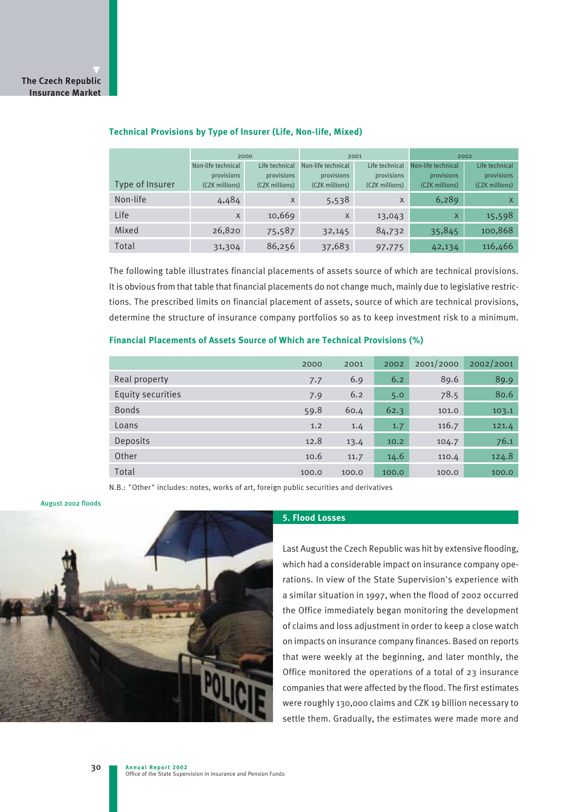|                 | 2000               |                | 2001                                 |                | 2002               |                           |
|-----------------|--------------------|----------------|--------------------------------------|----------------|--------------------|---------------------------|
|                 | Non-life technical | Life technical | Non-life technical<br>Life technical |                | Non-life technical | Life technical            |
|                 | provisions         | provisions     | provisions                           | provisions     | provisions         | provisions                |
| Type of Insurer | (CZK millions)     | (CZK millions) | (CZK millions)                       | (CZK millions) | (CZK millions)     | (CZK millions)            |
| Non-life        | 4,484              | X              | 5,538                                | X              | 6,289              | $\boldsymbol{\mathsf{x}}$ |
| Life            | $\mathsf{X}$       | 10,669         | $\mathsf{X}$                         | 13,043         | $\mathsf{X}$       | 15,598                    |
| Mixed           | 26,820             | 75,587         | 32,145                               | 84,732         | 35,845             | 100,868                   |
| Total           | 31,304             | 86,256         | 37,683                               | 97,775         | 42,134             | 116,466                   |

### **Technical Provisions by Type of Insurer (Life, Non-life, Mixed)**

The following table illustrates financial placements of assets source of which are technical provisions. It is obvious from that table that financial placements do not change much, mainly due to legislative restrictions. The prescribed limits on financial placement of assets, source of which are technical provisions, determine the structure of insurance company portfolios so as to keep investment risk to a minimum.

## **Financial Placements of Assets Source of Which are Technical Provisions (%)**

|                   | 2000  | 2001  | 2002  | 2001/2000 | 2002/2001 |
|-------------------|-------|-------|-------|-----------|-----------|
| Real property     | 7.7   | 6.9   | 6.2   | 89.6      | 89.9      |
| Equity securities | 7.9   | 6.2   | 5.0   | 78.5      | 80.6      |
| <b>Bonds</b>      | 59.8  | 60.4  | 62.3  | 101.0     | 103.1     |
| Loans             | 1.2   | 1.4   | 1.7   | 116.7     | 121.4     |
| <b>Deposits</b>   | 12.8  | 13.4  | 10.2  | 104.7     | 76.1      |
| Other             | 10.6  | 11.7  | 14.6  | 110.4     | 124.8     |
| Total             | 100.0 | 100.0 | 100.0 | 100.0     | 100.0     |

N.B.: "Other" includes: notes, works of art, foreign public securities and derivatives

#### August 2002 floods



#### **5. Flood Losses**

Last August the Czech Republic was hit by extensive flooding, which had a considerable impact on insurance company operations. In view of the State Supervision's experience with a similar situation in 1997, when the flood of 2002 occurred the Office immediately began monitoring the development of claims and loss adjustment in order to keep a close watch on impacts on insurance company finances. Based on reports that were weekly at the beginning, and later monthly, the Office monitored the operations of a total of 23 insurance companies that were affected by the flood. The first estimates were roughly 130,000 claims and CZK 19 billion necessary to settle them. Gradually, the estimates were made more and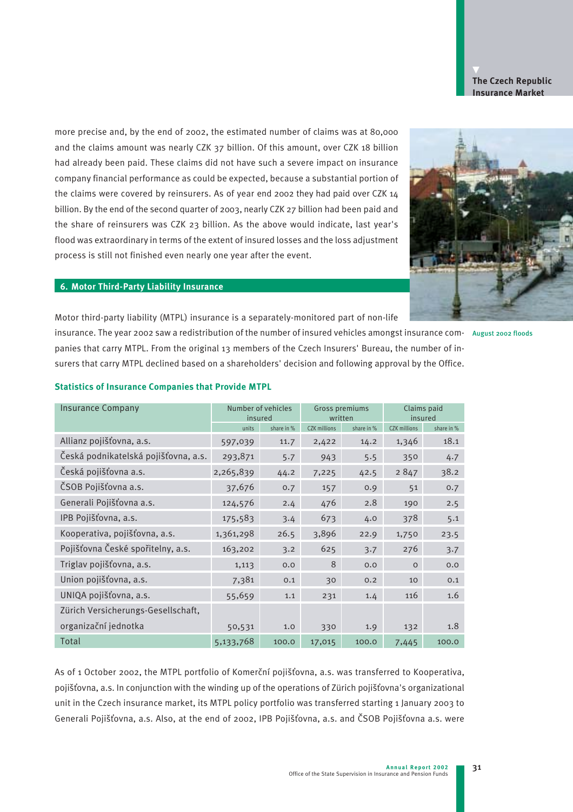

more precise and, by the end of 2002, the estimated number of claims was at 80,000 and the claims amount was nearly CZK 37 billion. Of this amount, over CZK 18 billion had already been paid. These claims did not have such a severe impact on insurance company financial performance as could be expected, because a substantial portion of the claims were covered by reinsurers. As of year end 2002 they had paid over CZK 14 billion. By the end of the second quarter of 2003, nearly CZK 27 billion had been paid and the share of reinsurers was CZK 23 billion. As the above would indicate, last year's flood was extraordinary in terms of the extent of insured losses and the loss adjustment process is still not finished even nearly one year after the event.



#### **6. Motor Third-Party Liability Insurance**

Motor third-party liability (MTPL) insurance is a separately-monitored part of non-life

insurance. The year 2002 saw a redistribution of the number of insured vehicles amongst insurance com-August 2002 floods

panies that carry MTPL. From the original 13 members of the Czech Insurers' Bureau, the number of insurers that carry MTPL declined based on a shareholders' decision and following approval by the Office.

| <b>Insurance Company</b>             | Number of vehicles<br>insured |            | Gross premiums<br>written |            | Claims paid<br>insured |            |
|--------------------------------------|-------------------------------|------------|---------------------------|------------|------------------------|------------|
|                                      | units                         | share in % | <b>CZK</b> millions       | share in % | <b>CZK</b> millions    | share in % |
| Allianz pojišťovna, a.s.             | 597,039                       | 11.7       | 2,422                     | 14.2       | 1,346                  | 18.1       |
| Česká podnikatelská pojišťovna, a.s. | 293,871                       | 5.7        | 943                       | 5.5        | 350                    | 4.7        |
| Česká pojišťovna a.s.                | 2,265,839                     | 44.2       | 7,225                     | 42.5       | 2847                   | 38.2       |
| ČSOB Pojišťovna a.s.                 | 37,676                        | 0.7        | 157                       | 0.9        | 51                     | 0.7        |
| Generali Pojišťovna a.s.             | 124,576                       | 2.4        | 476                       | 2.8        | 190                    | 2.5        |
| IPB Pojišťovna, a.s.                 | 175,583                       | 3.4        | 673                       | 4.0        | 378                    | 5.1        |
| Kooperativa, pojišťovna, a.s.        | 1,361,298                     | 26.5       | 3,896                     | 22.9       | 1,750                  | 23.5       |
| Pojišťovna České spořitelny, a.s.    | 163,202                       | 3.2        | 625                       | 3.7        | 276                    | 3.7        |
| Triglav pojišťovna, a.s.             | 1,113                         | 0.0        | 8                         | 0.0        | $\circ$                | 0.0        |
| Union pojišťovna, a.s.               | 7,381                         | 0.1        | 30                        | 0.2        | 10                     | 0.1        |
| UNIQA pojišťovna, a.s.               | 55,659                        | 1.1        | 231                       | 1.4        | 116                    | 1.6        |
| Zürich Versicherungs-Gesellschaft,   |                               |            |                           |            |                        |            |
| organizační jednotka                 | 50,531                        | 1.0        | 330                       | 1.9        | 132                    | 1.8        |
| Total                                | 5,133,768                     | 100.0      | 17,015                    | 100.0      | 7,445                  | 100.0      |

#### **Statistics of Insurance Companies that Provide MTPL**

As of 1 October 2002, the MTPL portfolio of Komerční pojišťovna, a.s. was transferred to Kooperativa, pojišťovna, a.s. In conjunction with the winding up of the operations of Zürich pojišťovna's organizational unit in the Czech insurance market, its MTPL policy portfolio was transferred starting 1 January 2003 to Generali Pojišťovna, a.s. Also, at the end of 2002, IPB Pojišťovna, a.s. and ČSOB Pojišťovna a.s. were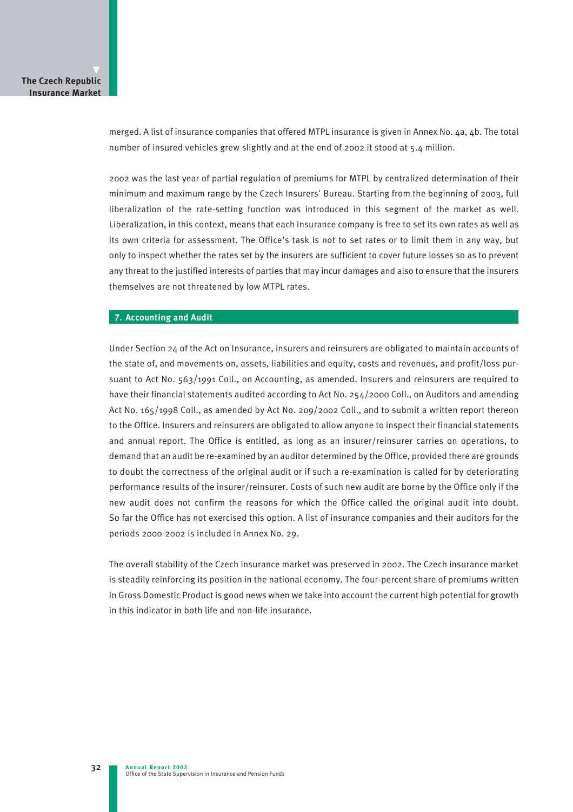merged. A list of insurance companies that offered MTPL insurance is given in Annex No. 4a, 4b. The total number of insured vehicles grew slightly and at the end of 2002 it stood at 5.4 million.

2002 was the last year of partial regulation of premiums for MTPL by centralized determination of their minimum and maximum range by the Czech Insurers' Bureau. Starting from the beginning of 2003, full liberalization of the rate-setting function was introduced in this segment of the market as well. Liberalization, in this context, means that each insurance company is free to set its own rates as well as its own criteria for assessment. The Office's task is not to set rates or to limit them in any way, but only to inspect whether the rates set by the insurers are sufficient to cover future losses so as to prevent any threat to the justified interests of parties that may incur damages and also to ensure that the insurers themselves are not threatened by low MTPL rates.

#### **7. Accounting and Audit**

Under Section 24 of the Act on Insurance, insurers and reinsurers are obligated to maintain accounts of the state of, and movements on, assets, liabilities and equity, costs and revenues, and profit/loss pursuant to Act No. 563/1991 Coll., on Accounting, as amended. Insurers and reinsurers are required to have their financial statements audited according to Act No. 254/2000 Coll., on Auditors and amending Act No. 165/1998 Coll., as amended by Act No. 209/2002 Coll., and to submit a written report thereon to the Office. Insurers and reinsurers are obligated to allow anyone to inspect their financial statements and annual report. The Office is entitled, as long as an insurer/reinsurer carries on operations, to demand that an audit be re-examined by an auditor determined by the Office, provided there are grounds to doubt the correctness of the original audit or if such a re-examination is called for by deteriorating performance results of the insurer/reinsurer. Costs of such new audit are borne by the Office only if the new audit does not confirm the reasons for which the Office called the original audit into doubt. So far the Office has not exercised this option. A list of insurance companies and their auditors for the periods 2000-2002 is included in Annex No. 29.

The overall stability of the Czech insurance market was preserved in 2002. The Czech insurance market is steadily reinforcing its position in the national economy. The four-percent share of premiums written in Gross Domestic Product is good news when we take into account the current high potential for growth in this indicator in both life and non-life insurance.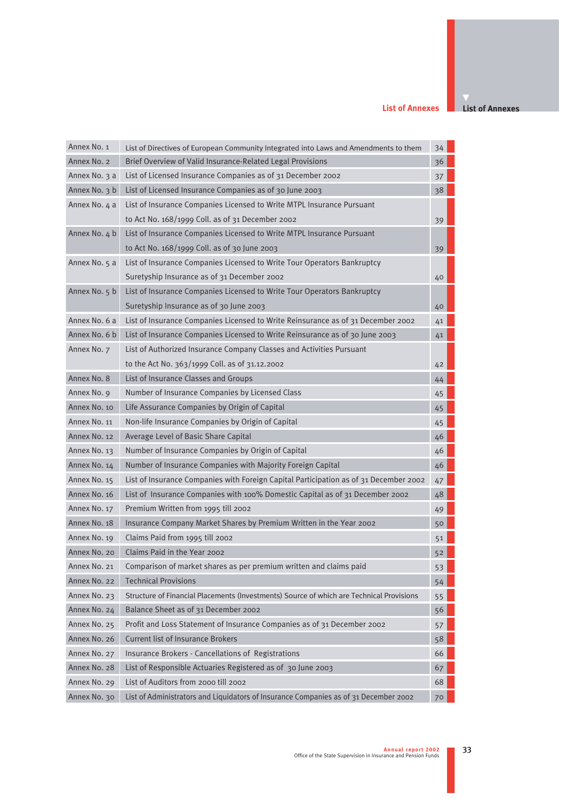#### **List of Annexes**

**List of Annexes**

| Annex No. 1   | List of Directives of European Community Integrated into Laws and Amendments to them     | 34 |  |
|---------------|------------------------------------------------------------------------------------------|----|--|
| Annex No. 2   | Brief Overview of Valid Insurance-Related Legal Provisions                               | 36 |  |
| Annex No. 3 a | List of Licensed Insurance Companies as of 31 December 2002                              | 37 |  |
| Annex No. 3 b | List of Licensed Insurance Companies as of 30 June 2003                                  | 38 |  |
| Annex No. 4 a | List of Insurance Companies Licensed to Write MTPL Insurance Pursuant                    |    |  |
|               | to Act No. 168/1999 Coll. as of 31 December 2002                                         | 39 |  |
| Annex No. 4 b | List of Insurance Companies Licensed to Write MTPL Insurance Pursuant                    |    |  |
|               | to Act No. 168/1999 Coll. as of 30 June 2003                                             | 39 |  |
| Annex No. 5 a | List of Insurance Companies Licensed to Write Tour Operators Bankruptcy                  |    |  |
|               | Suretyship Insurance as of 31 December 2002                                              | 40 |  |
| Annex No. 5 b | List of Insurance Companies Licensed to Write Tour Operators Bankruptcy                  |    |  |
|               | Suretyship Insurance as of 30 June 2003                                                  | 40 |  |
| Annex No. 6 a | List of Insurance Companies Licensed to Write Reinsurance as of 31 December 2002         | 41 |  |
| Annex No. 6 b | List of Insurance Companies Licensed to Write Reinsurance as of 30 June 2003             | 41 |  |
| Annex No. 7   | List of Authorized Insurance Company Classes and Activities Pursuant                     |    |  |
|               | to the Act No. 363/1999 Coll. as of 31.12.2002                                           | 42 |  |
| Annex No. 8   | List of Insurance Classes and Groups                                                     | 44 |  |
| Annex No. 9   | Number of Insurance Companies by Licensed Class                                          | 45 |  |
| Annex No. 10  | Life Assurance Companies by Origin of Capital                                            | 45 |  |
| Annex No. 11  | Non-life Insurance Companies by Origin of Capital                                        | 45 |  |
| Annex No. 12  | Average Level of Basic Share Capital                                                     | 46 |  |
| Annex No. 13  | Number of Insurance Companies by Origin of Capital                                       | 46 |  |
| Annex No. 14  | Number of Insurance Companies with Majority Foreign Capital                              | 46 |  |
| Annex No. 15  | List of Insurance Companies with Foreign Capital Participation as of 31 December 2002    | 47 |  |
| Annex No. 16  | List of Insurance Companies with 100% Domestic Capital as of 31 December 2002            | 48 |  |
| Annex No. 17  | Premium Written from 1995 till 2002                                                      | 49 |  |
| Annex No. 18  | Insurance Company Market Shares by Premium Written in the Year 2002                      | 50 |  |
| Annex No. 19  | Claims Paid from 1995 till 2002                                                          | 51 |  |
| Annex No. 20  | Claims Paid in the Year 2002                                                             | 52 |  |
| Annex No. 21  | Comparison of market shares as per premium written and claims paid                       | 53 |  |
| Annex No. 22  | <b>Technical Provisions</b>                                                              | 54 |  |
| Annex No. 23  | Structure of Financial Placements (Investments) Source of which are Technical Provisions | 55 |  |
| Annex No. 24  | Balance Sheet as of 31 December 2002                                                     | 56 |  |
| Annex No. 25  | Profit and Loss Statement of Insurance Companies as of 31 December 2002                  | 57 |  |
| Annex No. 26  | <b>Current list of Insurance Brokers</b>                                                 | 58 |  |
| Annex No. 27  | Insurance Brokers - Cancellations of Registrations                                       | 66 |  |
| Annex No. 28  | List of Responsible Actuaries Registered as of 30 June 2003                              | 67 |  |
| Annex No. 29  | List of Auditors from 2000 till 2002                                                     | 68 |  |
| Annex No. 30  | List of Administrators and Liquidators of Insurance Companies as of 31 December 2002     | 70 |  |
|               |                                                                                          |    |  |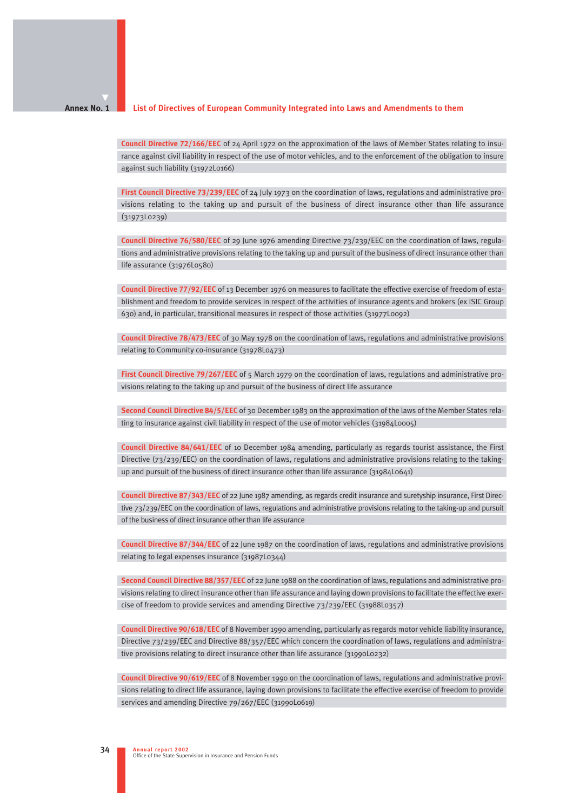#### **List of Directives of European Community Integrated into Laws and Amendments to them Annex No. 1**

**Council Directive 72/166/EEC** of 24 April 1972 on the approximation of the laws of Member States relating to insurance against civil liability in respect of the use of motor vehicles, and to the enforcement of the obligation to insure against such liability (31972L0166)

**First Council Directive 73/239/EEC** of 24 July 1973 on the coordination of laws, regulations and administrative provisions relating to the taking up and pursuit of the business of direct insurance other than life assurance (31973L0239)

**Council Directive 76/580/EEC** of 29 June 1976 amending Directive 73/239/EEC on the coordination of laws, regulations and administrative provisions relating to the taking up and pursuit of the business of direct insurance other than life assurance (31976L0580)

**Council Directive 77/92/EEC** of 13 December 1976 on measures to facilitate the effective exercise of freedom of establishment and freedom to provide services in respect of the activities of insurance agents and brokers (ex ISIC Group 630) and, in particular, transitional measures in respect of those activities (31977L0092)

**Council Directive 78/473/EEC** of 30 May 1978 on the coordination of laws, regulations and administrative provisions relating to Community co-insurance (31978L0473)

**First Council Directive 79/267/EEC** of 5 March 1979 on the coordination of laws, regulations and administrative provisions relating to the taking up and pursuit of the business of direct life assurance

**Second Council Directive 84/5/EEC** of 30 December 1983 on the approximation of the laws of the Member States relating to insurance against civil liability in respect of the use of motor vehicles (31984L0005)

**Council Directive 84/641/EEC** of 10 December 1984 amending, particularly as regards tourist assistance, the First Directive  $(73/239/EEC)$  on the coordination of laws, regulations and administrative provisions relating to the takingup and pursuit of the business of direct insurance other than life assurance (31984L0641)

**Council Directive 87/343/EEC** of 22 June 1987 amending, as regards credit insurance and suretyship insurance, First Directive 73/239/EEC on the coordination of laws, regulations and administrative provisions relating to the taking-up and pursuit of the business of direct insurance other than life assurance

**Council Directive 87/344/EEC** of 22 June 1987 on the coordination of laws, regulations and administrative provisions relating to legal expenses insurance (31987L0344)

**Second Council Directive 88/357/EEC** of 22 June 1988 on the coordination of laws, regulations and administrative provisions relating to direct insurance other than life assurance and laying down provisions to facilitate the effective exercise of freedom to provide services and amending Directive 73/239/EEC (31988L0357)

**Council Directive 90/618/EEC** of 8 November 1990 amending, particularly as regards motor vehicle liability insurance, Directive 73/239/EEC and Directive 88/357/EEC which concern the coordination of laws, regulations and administrative provisions relating to direct insurance other than life assurance (31990L0232)

**Council Directive 90/619/EEC** of 8 November 1990 on the coordination of laws, regulations and administrative provisions relating to direct life assurance, laying down provisions to facilitate the effective exercise of freedom to provide services and amending Directive 79/267/EEC (31990L0619)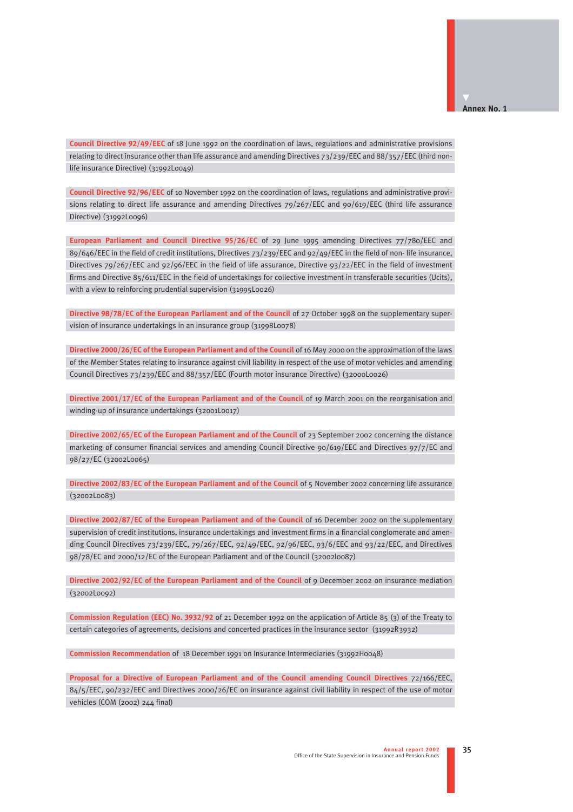**Council Directive 92/49/EEC** of 18 June 1992 on the coordination of laws, regulations and administrative provisions relating to direct insurance other than life assurance and amending Directives 73/239/EEC and 88/357/EEC (third nonlife insurance Directive) (31992L0049)

**Council Directive 92/96/EEC** of 10 November 1992 on the coordination of laws, regulations and administrative provisions relating to direct life assurance and amending Directives 79/267/EEC and 90/619/EEC (third life assurance Directive) (31992L0096)

**European Parliament and Council Directive 95/26/EC** of 29 June 1995 amending Directives 77/780/EEC and 89/646/EEC in the field of credit institutions, Directives 73/239/EEC and 92/49/EEC in the field of non- life insurance, Directives 79/267/EEC and 92/96/EEC in the field of life assurance, Directive 93/22/EEC in the field of investment firms and Directive 85/611/EEC in the field of undertakings for collective investment in transferable securities (Ucits), with a view to reinforcing prudential supervision (31995L0026)

**Directive 98/78/EC of the European Parliament and of the Council** of 27 October 1998 on the supplementary supervision of insurance undertakings in an insurance group (31998L0078)

**Directive 2000/26/EC of the European Parliament and of the Council** of 16 May 2000 on the approximation of the laws of the Member States relating to insurance against civil liability in respect of the use of motor vehicles and amending Council Directives 73/239/EEC and 88/357/EEC (Fourth motor insurance Directive) (32000L0026)

**Directive 2001/17/EC of the European Parliament and of the Council** of 19 March 2001 on the reorganisation and winding-up of insurance undertakings (32001L0017)

**Directive 2002/65/EC of the European Parliament and of the Council** of 23 September 2002 concerning the distance marketing of consumer financial services and amending Council Directive 90/619/EEC and Directives 97/7/EC and 98/27/EC (32002L0065)

**Directive 2002/83/EC of the European Parliament and of the Council** of 5 November 2002 concerning life assurance (32002L0083)

**Directive 2002/87/EC of the European Parliament and of the Council** of 16 December 2002 on the supplementary supervision of credit institutions, insurance undertakings and investment firms in a financial conglomerate and amending Council Directives 73/239/EEC, 79/267/EEC, 92/49/EEC, 92/96/EEC, 93/6/EEC and 93/22/EEC, and Directives 98/78/EC and 2000/12/EC of the European Parliament and of the Council (32002l0087)

**Directive 2002/92/EC of the European Parliament and of the Council** of 9 December 2002 on insurance mediation (32002L0092)

**Commission Regulation (EEC) No. 3932/92** of 21 December 1992 on the application of Article 85 (3) of the Treaty to certain categories of agreements, decisions and concerted practices in the insurance sector (31992R3932)

**Commission Recommendation** of 18 December 1991 on Insurance Intermediaries (31992H0048)

**Proposal for a Directive of European Parliament and of the Council amending Council Directives** 72/166/EEC, 84/5/EEC, 90/232/EEC and Directives 2000/26/EC on insurance against civil liability in respect of the use of motor vehicles (COM (2002) 244 final)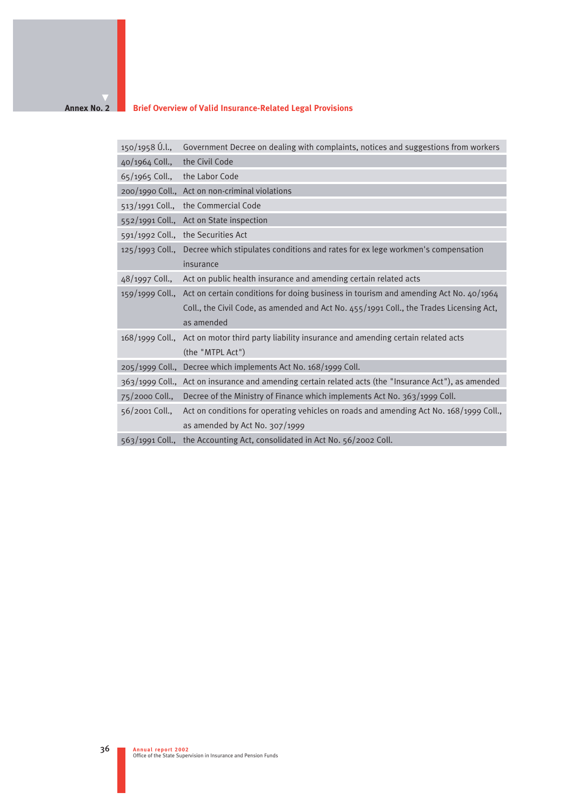#### **Annex No. 2**

## **Brief Overview of Valid Insurance-Related Legal Provisions**

| $150/1958$ U.l., | Government Decree on dealing with complaints, notices and suggestions from workers                   |
|------------------|------------------------------------------------------------------------------------------------------|
| 40/1964 Coll.,   | the Civil Code                                                                                       |
| 65/1965 Coll.,   | the Labor Code                                                                                       |
|                  | 200/1990 Coll., Act on non-criminal violations                                                       |
|                  | 513/1991 Coll., the Commercial Code                                                                  |
|                  | 552/1991 Coll., Act on State inspection                                                              |
|                  | 591/1992 Coll., the Securities Act                                                                   |
|                  | 125/1993 Coll., Decree which stipulates conditions and rates for ex lege workmen's compensation      |
|                  | insurance                                                                                            |
| 48/1997 Coll.,   | Act on public health insurance and amending certain related acts                                     |
|                  | 159/1999 Coll., Act on certain conditions for doing business in tourism and amending Act No. 40/1964 |
|                  | Coll., the Civil Code, as amended and Act No. 455/1991 Coll., the Trades Licensing Act,              |
|                  | as amended                                                                                           |
|                  | 168/1999 Coll., Act on motor third party liability insurance and amending certain related acts       |
|                  | (the "MTPL Act")                                                                                     |
|                  | 205/1999 Coll., Decree which implements Act No. 168/1999 Coll.                                       |
|                  | 363/1999 Coll., Act on insurance and amending certain related acts (the "Insurance Act"), as amended |
| 75/2000 Coll.,   | Decree of the Ministry of Finance which implements Act No. 363/1999 Coll.                            |
| 56/2001 Coll.,   | Act on conditions for operating vehicles on roads and amending Act No. 168/1999 Coll.,               |
|                  | as amended by Act No. 307/1999                                                                       |
|                  | 563/1991 Coll., the Accounting Act, consolidated in Act No. 56/2002 Coll.                            |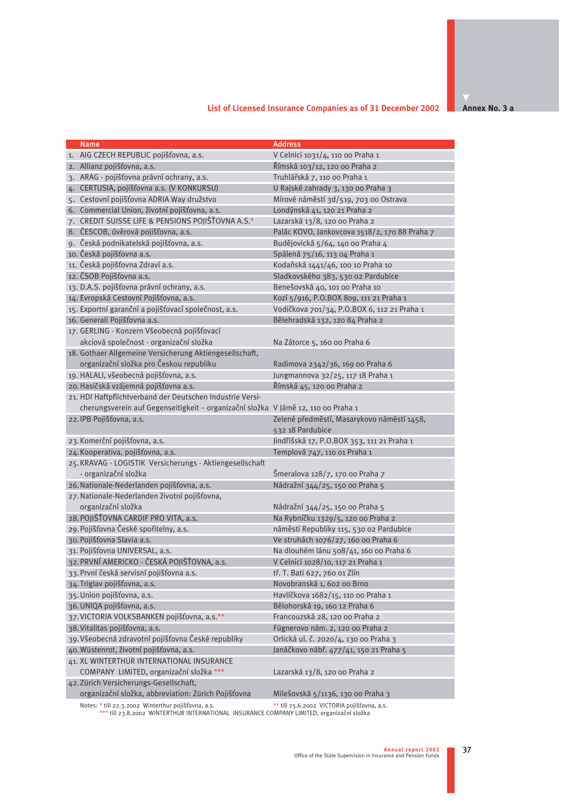## **List of Licensed Insurance Companies as of 31 December 2002**

**Annex No. 3 a**

| <b>Name</b>                                                                       | <b>Address</b>                                |
|-----------------------------------------------------------------------------------|-----------------------------------------------|
| 1. AIG CZECH REPUBLIC pojišťovna, a.s.                                            | V Celnici 1031/4, 110 00 Praha 1              |
| 2. Allianz pojišťovna, a.s.                                                       | Římská 103/12, 120 00 Praha 2                 |
| 3. ARAG - pojišťovna právní ochrany, a.s.                                         | Truhlářská 7, 110 00 Praha 1                  |
| CERTUSIA, pojišťovna a.s. (V KONKURSU)<br>4.                                      | U Rajské zahrady 3, 130 00 Praha 3            |
| 5. Cestovní pojišťovna ADRIA Way družstvo                                         | Mírové náměstí 3d/519, 703 00 Ostrava         |
| 6. Commercial Union, životní pojišťovna, a.s.                                     | Londýnská 41, 120 21 Praha 2                  |
| 7. CREDIT SUISSE LIFE & PENSIONS POJIŠŤOVNA A.S.*                                 | Lazarská 13/8, 120 00 Praha 2                 |
| 8. ČESCOB, úvěrová pojišťovna, a.s.                                               | Palác KOVO, Jankovcova 1518/2, 170 88 Praha 7 |
| 9. Česká podnikatelská pojišťovna, a.s.                                           | Budějovická 5/64, 140 oo Praha 4              |
| 10. Česká pojišťovna a.s.                                                         | Spálená 75/16, 113 04 Praha 1                 |
| 11. Česká pojišťovna Zdraví a.s.                                                  | Kodaňská 1441/46, 100 10 Praha 10             |
| 12. ČSOB Pojišťovna a.s.                                                          | Sladkovského 383, 530 o2 Pardubice            |
| 13. D.A.S. pojišťovna právní ochrany, a.s.                                        | Benešovská 40, 101 00 Praha 10                |
| 14. Evropská Cestovní Pojišťovna, a.s.                                            | Kozí 5/916, P.O.BOX 809, 111 21 Praha 1       |
| 15. Exportní garanční a pojišťovací společnost, a.s.                              | Vodičkova 701/34, P.O.BOX 6, 112 21 Praha 1   |
| 16. Generali Pojišťovna a.s.                                                      | Bělehradská 132, 120 84 Praha 2               |
| 17. GERLING - Konzern Všeobecná pojišťovací                                       |                                               |
| akciová společnost - organizační složka                                           | Na Zátorce 5, 160 oo Praha 6                  |
| 18. Gothaer Allgemeine Versicherung Aktiengesellschaft,                           |                                               |
| organizační složka pro Českou republiku                                           | Radimova 2342/36, 169 00 Praha 6              |
| 19. HALALI, všeobecná pojišťovna, a.s.                                            | Jungmannova 32/25, 117 18 Praha 1             |
| 20. Hasičská vzájemná pojišťovna a.s.                                             | Římská 45, 120 00 Praha 2                     |
| 21. HDI Haftpflichtverband der Deutschen Industrie Versi-                         |                                               |
| cherungsverein auf Gegenseitigkeit - organizační složka V Jámě 12, 110 00 Praha 1 |                                               |
| 22. IPB Pojišťovna, a.s.                                                          | Zelené předměstí, Masarykovo náměstí 1458,    |
|                                                                                   | 532 18 Pardubice                              |
| 23. Komerční pojišťovna, a.s.                                                     | Jindřišská 17, P.O.BOX 353, 111 21 Praha 1    |
| 24. Kooperativa, pojišťovna, a.s.                                                 | Templová 747, 110 01 Praha 1                  |
| 25. KRAVAG - LOGISTIK Versicherungs - Aktiengesellschaft                          |                                               |
| - organizační složka                                                              | Šmeralova 128/7, 170 00 Praha 7               |
| 26. Nationale-Nederlanden pojišťovna, a.s.                                        | Nádražní 344/25, 150 00 Praha 5               |
| 27. Nationale-Nederlanden životní pojišťovna,                                     |                                               |
| organizační složka                                                                | Nádražní 344/25, 150 00 Praha 5               |
| 28. POJIŠŤOVNA CARDIF PRO VITA, a.s.                                              | Na Rybníčku 1329/5, 120 00 Praha 2            |
| 29. Pojišťovna České spořitelny, a.s.                                             | náměstí Republiky 115, 530 02 Pardubice       |
| 30. Pojišťovna Slavia a.s.                                                        | Ve struhách 1076/27, 160 00 Praha 6           |
| 31. Pojišťovna UNIVERSAL, a.s.                                                    | Na dlouhém lánu 508/41, 160 00 Praha 6        |
| 32. PRVNÍ AMERICKO - ČESKÁ POJIŠŤOVNA, a.s.                                       | V Celnici 1028/10, 117 21 Praha 1             |
| 33. První česká servisní pojišťovna a.s.                                          | tř. T. Bati 627, 760 01 Zlín                  |
| 34. Triglav pojišťovna, a.s.                                                      | Novobranská 1, 602 oo Brno                    |
| 35. Union pojišťovna, a.s.                                                        | Havlíčkova 1682/15, 110 00 Praha 1            |
| 36. UNIQA pojišťovna, a.s.                                                        | Bělohorská 19, 160 12 Praha 6                 |
| 37. VICTORIA VOLKSBANKEN pojišťovna, a.s.**                                       | Francouzská 28, 120 00 Praha 2                |
| 38. Vitalitas pojišťovna, a.s.                                                    | Fügnerovo nám. 2, 120 00 Praha 2              |
| 39. Všeobecná zdravotní pojišťovna České republiky                                | Orlická ul. č. 2020/4, 130 00 Praha 3         |
| 40. Wüstenrot, životní pojišťovna, a.s.                                           | Janáčkovo nábř. 477/41, 150 21 Praha 5        |
| 41. XL WINTERTHUR INTERNATIONAL INSURANCE                                         |                                               |
| COMPANY LIMITED, organizační složka ***                                           | Lazarská 13/8, 120 00 Praha 2                 |
| 42. Zürich Versicherungs-Gesellschaft,                                            |                                               |
| organizační složka, abbreviation: Zürich Pojišťovna                               | Milešovská 5/1136, 130 00 Praha 3             |
| Notes: * till 22.3.2002 Winterthur pojišťovna, a.s.                               | ** till 25.6.2002 VICTORIA pojišťovna, a.s.   |

\*\*\* till 23.8.2002 WINTERTHUR INTERNATIONAL INSURANCE COMPANY LIMITED, organizační složka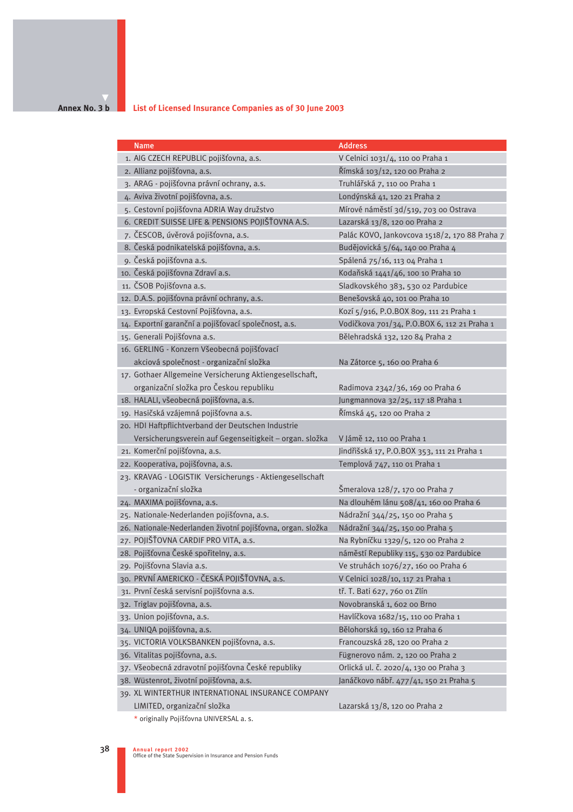#### **Annex No. 3 b List of Licensed Insurance Companies as of 30 June 2003**

| <b>Name</b>                                                 | <b>Address</b>                                |
|-------------------------------------------------------------|-----------------------------------------------|
| 1. AIG CZECH REPUBLIC pojišťovna, a.s.                      | V Celnici 1031/4, 110 00 Praha 1              |
| 2. Allianz pojišťovna, a.s.                                 | Římská 103/12, 120 00 Praha 2                 |
| 3. ARAG - pojišťovna právní ochrany, a.s.                   | Truhlářská 7, 110 00 Praha 1                  |
| 4. Aviva životní pojišťovna, a.s.                           | Londýnská 41, 120 21 Praha 2                  |
| 5. Cestovní pojišťovna ADRIA Way družstvo                   | Mírové náměstí 3d/519, 703 00 Ostrava         |
| 6. CREDIT SUISSE LIFE & PENSIONS POJIŠŤOVNA A.S.            | Lazarská 13/8, 120 00 Praha 2                 |
| 7. ČESCOB, úvěrová pojišťovna, a.s.                         | Palác KOVO, Jankovcova 1518/2, 170 88 Praha 7 |
| 8. Česká podnikatelská pojišťovna, a.s.                     | Budějovická 5/64, 140 oo Praha 4              |
| 9. Česká pojišťovna a.s.                                    | Spálená 75/16, 113 04 Praha 1                 |
| 10. Česká pojišťovna Zdraví a.s.                            | Kodaňská 1441/46, 100 10 Praha 10             |
| 11. ČSOB Pojišťovna a.s.                                    | Sladkovského 383, 530 o2 Pardubice            |
| 12. D.A.S. pojišťovna právní ochrany, a.s.                  | Benešovská 40, 101 00 Praha 10                |
| 13. Evropská Cestovní Pojišťovna, a.s.                      | Kozí 5/916, P.O.BOX 809, 111 21 Praha 1       |
| 14. Exportní garanční a pojišťovací společnost, a.s.        | Vodičkova 701/34, P.O.BOX 6, 112 21 Praha 1   |
| 15. Generali Pojišťovna a.s.                                | Bělehradská 132, 120 84 Praha 2               |
| 16. GERLING - Konzern Všeobecná pojišťovací                 |                                               |
| akciová společnost - organizační složka                     | Na Zátorce 5, 160 00 Praha 6                  |
| 17. Gothaer Allgemeine Versicherung Aktiengesellschaft,     |                                               |
| organizační složka pro Českou republiku                     | Radimova 2342/36, 169 00 Praha 6              |
| 18. HALALI, všeobecná pojišťovna, a.s.                      | Jungmannova 32/25, 117 18 Praha 1             |
| 19. Hasičská vzájemná pojišťovna a.s.                       | Římská 45, 120 oo Praha 2                     |
| 20. HDI Haftpflichtverband der Deutschen Industrie          |                                               |
| Versicherungsverein auf Gegenseitigkeit - organ. složka     | V Jámě 12, 110 00 Praha 1                     |
| 21. Komerční pojišťovna, a.s.                               | Jindřišská 17, P.O.BOX 353, 111 21 Praha 1    |
| 22. Kooperativa, pojišťovna, a.s.                           | Templová 747, 110 01 Praha 1                  |
| 23. KRAVAG - LOGISTIK Versicherungs - Aktiengesellschaft    |                                               |
| - organizační složka                                        | Šmeralova 128/7, 170 oo Praha 7               |
| 24. MAXIMA pojišťovna, a.s.                                 | Na dlouhém lánu 508/41, 160 00 Praha 6        |
| 25. Nationale-Nederlanden pojišťovna, a.s.                  | Nádražní 344/25, 150 00 Praha 5               |
| 26. Nationale-Nederlanden životní pojišťovna, organ. složka | Nádražní 344/25, 150 00 Praha 5               |
| 27. POJIŠŤOVNA CARDIF PRO VITA, a.s.                        | Na Rybníčku 1329/5, 120 00 Praha 2            |
| 28. Pojišťovna České spořitelny, a.s.                       | náměstí Republiky 115, 530 02 Pardubice       |
| 29. Pojišťovna Slavia a.s.                                  | Ve struhách 1076/27, 160 00 Praha 6           |
| 30. PRVNÍ AMERICKO - ČESKÁ POJIŠŤOVNA, a.s.                 | V Celnici 1028/10, 117 21 Praha 1             |
| 31. První česká servisní pojišťovna a.s.                    | tř. T. Bati 627, 760 01 Zlín                  |
| 32. Triglav pojišťovna, a.s.                                | Novobranská 1, 602 00 Brno                    |
| 33. Union pojišťovna, a.s.                                  | Havlíčkova 1682/15, 110 00 Praha 1            |
| 34. UNIQA pojišťovna, a.s.                                  | Bělohorská 19, 160 12 Praha 6                 |
| 35. VICTORIA VOLKSBANKEN pojišťovna, a.s.                   | Francouzská 28, 120 00 Praha 2                |
| 36. Vitalitas pojišťovna, a.s.                              | Fügnerovo nám. 2, 120 00 Praha 2              |
| 37. Všeobecná zdravotní pojišťovna České republiky          | Orlická ul. č. 2020/4, 130 00 Praha 3         |
| 38. Wüstenrot, životní pojišťovna, a.s.                     | Janáčkovo nábř. 477/41, 150 21 Praha 5        |
| 39. XL WINTERTHUR INTERNATIONAL INSURANCE COMPANY           |                                               |
| LIMITED, organizační složka                                 | Lazarská 13/8, 120 00 Praha 2                 |

\* originally Pojišťovna UNIVERSAL a. s.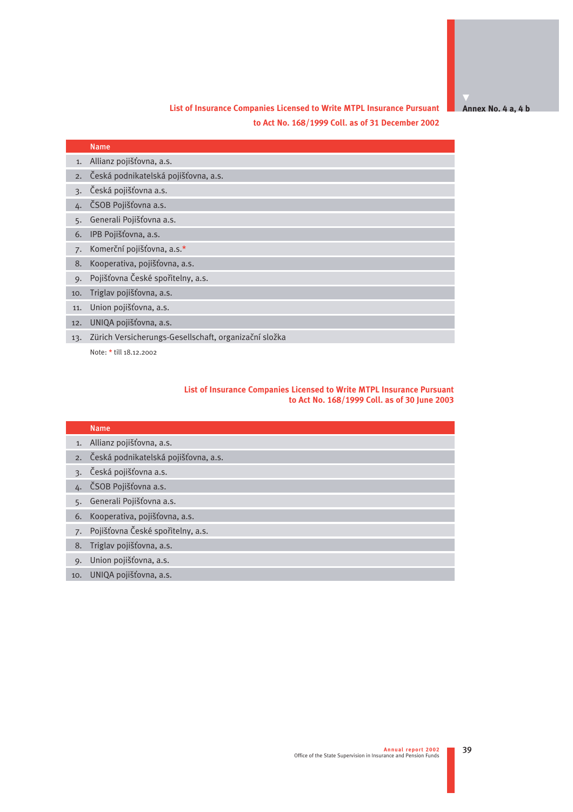**Annex No. 4 a, 4 b** 

## **List of Insurance Companies Licensed to Write MTPL Insurance Pursuant to Act No. 168/1999 Coll. as of 31 December 2002**

|     | <b>Name</b>                                           |
|-----|-------------------------------------------------------|
| 1.  | Allianz pojišťovna, a.s.                              |
| 2.  | Česká podnikatelská pojišťovna, a.s.                  |
| 3.  | Česká pojišťovna a.s.                                 |
|     | ČSOB Pojišťovna a.s.                                  |
| 5.  | Generali Pojišťovna a.s.                              |
| 6.  | IPB Pojišťovna, a.s.                                  |
| 7.  | Komerční pojišťovna, a.s.*                            |
| 8.  | Kooperativa, pojišťovna, a.s.                         |
| 9.  | Pojišťovna České spořitelny, a.s.                     |
| 10. | Triglav pojišťovna, a.s.                              |
| 11. | Union pojišťovna, a.s.                                |
| 12. | UNIQA pojišťovna, a.s.                                |
| 13. | Zürich Versicherungs-Gesellschaft, organizační složka |
|     | Note: * till 18.12.2002                               |

#### **List of Insurance Companies Licensed to Write MTPL Insurance Pursuant to Act No. 168/1999 Coll. as of 30 June 2003**

|     | <b>Name</b>                             |
|-----|-----------------------------------------|
|     | 1. Allianz pojišťovna, a.s.             |
|     | 2. Česká podnikatelská pojišťovna, a.s. |
|     | 3. Česká pojišťovna a.s.                |
|     | 4. ČSOB Pojišťovna a.s.                 |
| 5.  | Generali Pojišťovna a.s.                |
| 6.  | Kooperativa, pojišťovna, a.s.           |
|     | 7. Pojišťovna České spořitelny, a.s.    |
| 8.  | Triglav pojišťovna, a.s.                |
| 9.  | Union pojišťovna, a.s.                  |
| 10. | UNIQA pojišťovna, a.s.                  |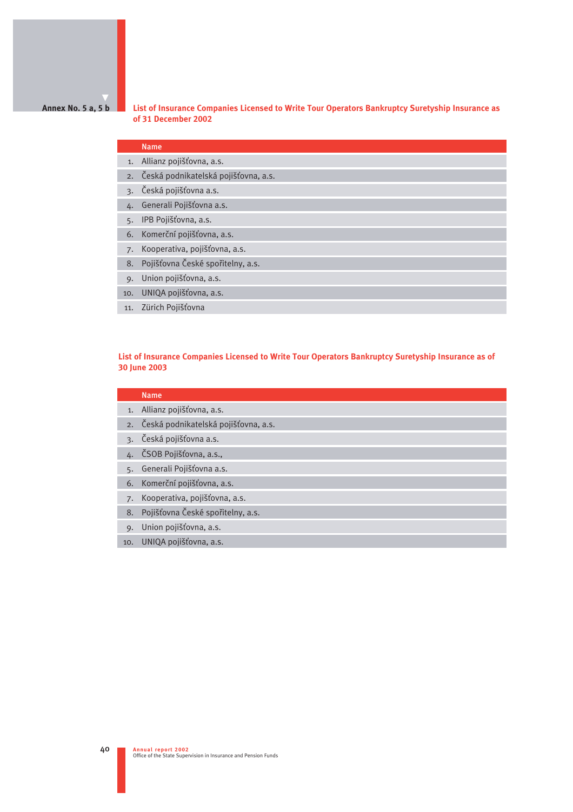#### **Annex No. 5 a, 5 b**

**List of Insurance Companies Licensed to Write Tour Operators Bankruptcy Suretyship Insurance as of 31 December 2002**

## Name

- 1. Allianz pojišťovna, a.s.
- 2. Česká podnikatelská pojišťovna, a.s.
- 3. Česká pojišťovna a.s.
- 4. Generali Pojišťovna a.s.
- 5. IPB Pojišťovna, a.s.
- 6. Komerční pojišťovna, a.s.
- 7. Kooperativa, pojišťovna, a.s.
- 8. Pojišťovna České spořitelny, a.s.
- 9. Union pojišťovna, a.s.
- 10. UNIQA pojišťovna, a.s.
- 11. Zürich Pojišťovna

#### **List of Insurance Companies Licensed to Write Tour Operators Bankruptcy Suretyship Insurance as of 30 June 2003**

|                 | <b>Name</b>                          |
|-----------------|--------------------------------------|
|                 | 1. Allianz pojišťovna, a.s.          |
| 2.              | Česká podnikatelská pojišťovna, a.s. |
| $\mathcal{R}$ . | Česká pojišťovna a.s.                |
|                 | 4. ČSOB Pojišťovna, a.s.,            |
| 5.              | Generali Pojišťovna a.s.             |
| 6.              | Komerční pojišťovna, a.s.            |
| 7.              | Kooperativa, pojišťovna, a.s.        |
| 8.              | Pojišťovna České spořitelny, a.s.    |
| $Q_{\star}$     | Union pojišťovna, a.s.               |
| 10.             | UNIQA pojišťovna, a.s.               |
|                 |                                      |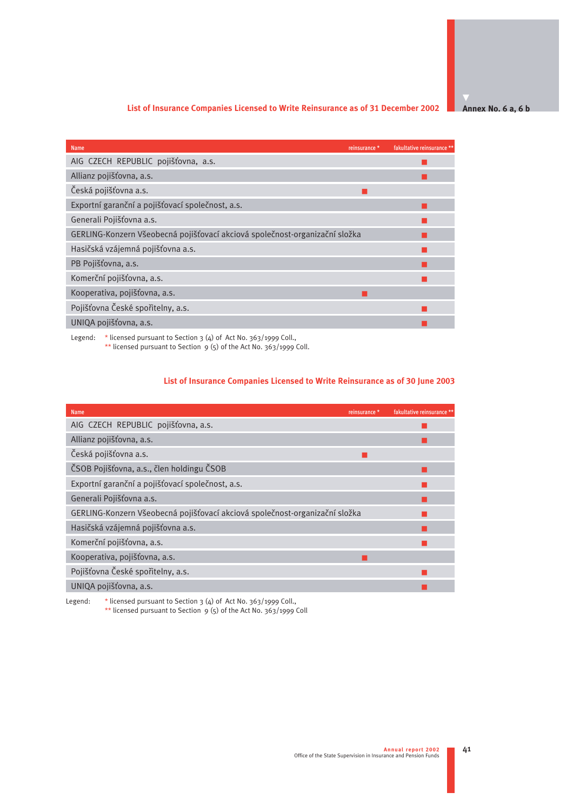#### **List of Insurance Companies Licensed to Write Reinsurance as of 31 December 2002**

**Annex No. 6 a, 6 b**

| <b>Name</b>                                                                                                                         | reinsurance * | fakultative reinsurance ** |
|-------------------------------------------------------------------------------------------------------------------------------------|---------------|----------------------------|
| AIG CZECH REPUBLIC pojišťovna, a.s.                                                                                                 |               |                            |
| Allianz pojišťovna, a.s.                                                                                                            |               |                            |
| Česká pojišťovna a.s.                                                                                                               |               |                            |
| Exportní garanční a pojišťovací společnost, a.s.                                                                                    |               |                            |
| Generali Pojišťovna a.s.                                                                                                            |               |                            |
| GERLING-Konzern Všeobecná pojišťovací akciová společnost-organizační složka                                                         |               |                            |
| Hasičská vzájemná pojišťovna a.s.                                                                                                   |               |                            |
| PB Pojišťovna, a.s.                                                                                                                 |               |                            |
| Komerční pojišťovna, a.s.                                                                                                           |               |                            |
| Kooperativa, pojišťovna, a.s.                                                                                                       |               |                            |
| Pojišťovna České spořitelny, a.s.                                                                                                   |               |                            |
| UNIQA pojišťovna, a.s.                                                                                                              |               |                            |
| $\mathbf{r}$ and $\mathbf{r}$ and $\mathbf{r}$ and $\mathbf{r}$ and $\mathbf{r}$ and $\mathbf{r}$ and $\mathbf{r}$ and $\mathbf{r}$ |               |                            |

Legend: \* licensed pursuant to Section 3 (4) of Act No. 363/1999 Coll., \*\* licensed pursuant to Section  $9(5)$  of the Act No. 363/1999 Coll.

## **List of Insurance Companies Licensed to Write Reinsurance as of 30 June 2003**

| <b>Name</b>                                                                 | reinsurance * | fakultative reinsurance ** |
|-----------------------------------------------------------------------------|---------------|----------------------------|
| AIG CZECH REPUBLIC pojišťovna, a.s.                                         |               |                            |
| Allianz pojišťovna, a.s.                                                    |               |                            |
| Česká pojišťovna a.s.                                                       | a s           |                            |
| ČSOB Pojišťovna, a.s., člen holdingu ČSOB                                   |               |                            |
| Exportní garanční a pojišťovací společnost, a.s.                            |               |                            |
| Generali Pojišťovna a.s.                                                    |               |                            |
| GERLING-Konzern Všeobecná pojišťovací akciová společnost-organizační složka |               |                            |
| Hasičská vzájemná pojišťovna a.s.                                           |               |                            |
| Komerční pojišťovna, a.s.                                                   |               |                            |
| Kooperativa, pojišťovna, a.s.                                               |               |                            |
| Pojišťovna České spořitelny, a.s.                                           |               |                            |
| UNIQA pojišťovna, a.s.                                                      |               |                            |
|                                                                             |               |                            |

Legend: \* licensed pursuant to Section 3 (4) of Act No. 363/1999 Coll., \*\* licensed pursuant to Section  $9(5)$  of the Act No. 363/1999 Coll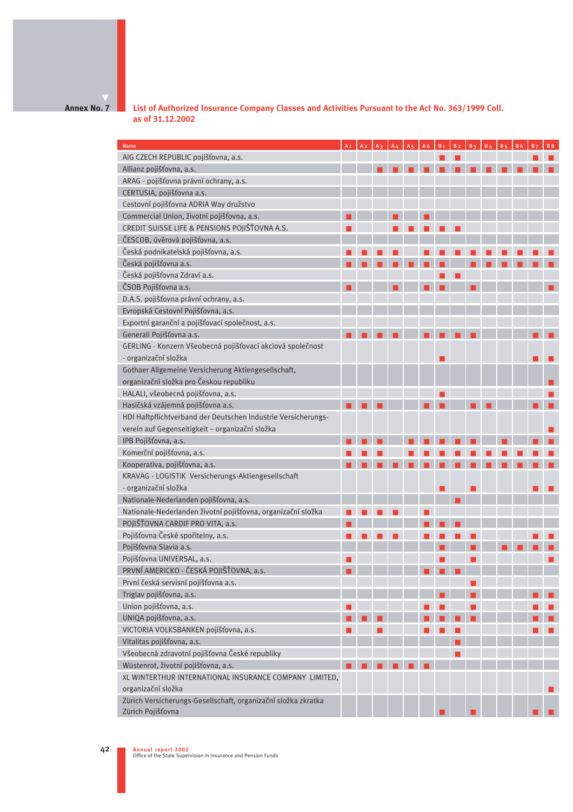**Annex No. 7**

**List of Authorized Insurance Company Classes and Activities Pursuant to the Act No. 363/1999 Coll. as of 31.12.2002**

| <b>Name</b>                                                   | A <sub>1</sub> | A <sub>2</sub> |  |  |  | $B \Delta$ |  |  |
|---------------------------------------------------------------|----------------|----------------|--|--|--|------------|--|--|
| AIG CZECH REPUBLIC pojišťovna, a.s.                           |                |                |  |  |  |            |  |  |
| Allianz pojišťovna, a.s.                                      |                |                |  |  |  |            |  |  |
| ARAG - pojišťovna právní ochrany, a.s.                        |                |                |  |  |  |            |  |  |
| CERTUSIA, pojišťovna a.s.                                     |                |                |  |  |  |            |  |  |
| Cestovní pojišťovna ADRIA Way družstvo                        |                |                |  |  |  |            |  |  |
| Commercial Union, životní pojišťovna, a.s.                    |                |                |  |  |  |            |  |  |
| CREDIT SUISSE LIFE & PENSIONS POJIŠŤOVNA A.S.                 |                |                |  |  |  |            |  |  |
| ČESCOB, úvěrová pojišťovna, a.s.                              |                |                |  |  |  |            |  |  |
| Česká podnikatelská pojišťovna, a.s.                          |                |                |  |  |  |            |  |  |
| Česká pojišťovna a.s.                                         |                |                |  |  |  |            |  |  |
| Česká pojišťovna Zdraví a.s.                                  |                |                |  |  |  |            |  |  |
| ČSOB Pojišťovna a.s.                                          |                |                |  |  |  |            |  |  |
| D.A.S. pojišťovna právní ochrany, a.s.                        |                |                |  |  |  |            |  |  |
| Evropská Cestovní Pojišťovna, a.s.                            |                |                |  |  |  |            |  |  |
| Exportní garanční a pojišťovací společnost, a.s.              |                |                |  |  |  |            |  |  |
| Generali Pojišťovna a.s.                                      |                |                |  |  |  |            |  |  |
| GERLING - Konzern Všeobecná pojišťovací akciová společnost    |                |                |  |  |  |            |  |  |
| - organizační složka                                          |                |                |  |  |  |            |  |  |
| Gothaer Allgemeine Versicherung Aktiengesellschaft,           |                |                |  |  |  |            |  |  |
| organizační složka pro Českou republiku                       |                |                |  |  |  |            |  |  |
| HALALI, všeobecná pojišťovna, a.s.                            |                |                |  |  |  |            |  |  |
| Hasičská vzájemná pojišťovna a.s.                             |                |                |  |  |  |            |  |  |
| HDI Haftpflichtverband der Deutschen Industrie Versicherungs- |                |                |  |  |  |            |  |  |
| verein auf Gegenseitigkeit - organizační složka               |                |                |  |  |  |            |  |  |
| IPB Pojišťovna, a.s.                                          |                |                |  |  |  |            |  |  |
| Komerční pojišťovna, a.s.                                     |                |                |  |  |  |            |  |  |
| Kooperativa, pojišťovna, a.s.                                 |                |                |  |  |  |            |  |  |
| KRAVAG - LOGISTIK Versicherungs-Aktiengesellschaft            |                |                |  |  |  |            |  |  |
| - organizační složka                                          |                |                |  |  |  |            |  |  |
| Nationale-Nederlanden pojišťovna, a.s.                        |                |                |  |  |  |            |  |  |
| Nationale-Nederlanden životní pojišťovna, organizační složka  |                |                |  |  |  |            |  |  |
| POJIŠŤOVNA CARDIF PRO VITA, a.s.                              |                |                |  |  |  |            |  |  |
| Pojišťovna České spořitelny, a.s.                             |                |                |  |  |  |            |  |  |
| Pojišťovna Slavia a.s.                                        |                |                |  |  |  |            |  |  |
| Pojišťovna UNIVERSAL, a.s.                                    |                |                |  |  |  |            |  |  |
| PRVNÍ AMERICKO - ČESKÁ POJIŠŤOVNA, a.s.                       |                |                |  |  |  |            |  |  |
| První česká servisní pojišťovna a.s.                          |                |                |  |  |  |            |  |  |
| Triglav pojišťovna, a.s.                                      |                |                |  |  |  |            |  |  |
| Union pojišťovna, a.s.                                        |                |                |  |  |  |            |  |  |
| UNIQA pojišťovna, a.s.                                        |                |                |  |  |  |            |  |  |
| VICTORIA VOLKSBANKEN pojišťovna, a.s.                         |                |                |  |  |  |            |  |  |
| Vitalitas pojišťovna, a.s.                                    |                |                |  |  |  |            |  |  |
| Všeobecná zdravotní pojišťovna České republiky                |                |                |  |  |  |            |  |  |
| Wüstenrot, životní pojišťovna, a.s.                           |                |                |  |  |  |            |  |  |
| XL WINTERTHUR INTERNATIONAL INSURANCE COMPANY LIMITED,        |                |                |  |  |  |            |  |  |
| organizační složka                                            |                |                |  |  |  |            |  |  |
| Zürich Versicherungs-Gesellschaft, organizační složka zkratka |                |                |  |  |  |            |  |  |
| Zürich Pojišťovna                                             |                |                |  |  |  |            |  |  |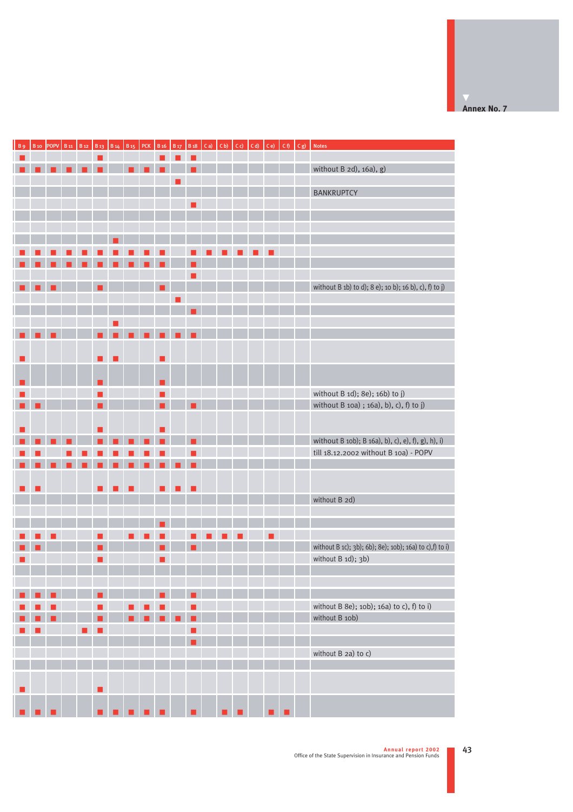|   |  |  |  |  |  |  |  |  |  | without B 2d), 16a), g)                                  |
|---|--|--|--|--|--|--|--|--|--|----------------------------------------------------------|
|   |  |  |  |  |  |  |  |  |  |                                                          |
|   |  |  |  |  |  |  |  |  |  | BANKRUPTCY                                               |
|   |  |  |  |  |  |  |  |  |  |                                                          |
|   |  |  |  |  |  |  |  |  |  |                                                          |
|   |  |  |  |  |  |  |  |  |  |                                                          |
|   |  |  |  |  |  |  |  |  |  |                                                          |
|   |  |  |  |  |  |  |  |  |  |                                                          |
|   |  |  |  |  |  |  |  |  |  |                                                          |
|   |  |  |  |  |  |  |  |  |  |                                                          |
|   |  |  |  |  |  |  |  |  |  |                                                          |
|   |  |  |  |  |  |  |  |  |  | without B 1b) to d); 8 e); 10 b); 16 b), c), f) to j)    |
|   |  |  |  |  |  |  |  |  |  |                                                          |
|   |  |  |  |  |  |  |  |  |  |                                                          |
|   |  |  |  |  |  |  |  |  |  |                                                          |
|   |  |  |  |  |  |  |  |  |  |                                                          |
|   |  |  |  |  |  |  |  |  |  |                                                          |
|   |  |  |  |  |  |  |  |  |  |                                                          |
|   |  |  |  |  |  |  |  |  |  |                                                          |
|   |  |  |  |  |  |  |  |  |  |                                                          |
|   |  |  |  |  |  |  |  |  |  |                                                          |
| ٠ |  |  |  |  |  |  |  |  |  | without B 1d); 8e); 16b) to j)                           |
|   |  |  |  |  |  |  |  |  |  | without B 10a) ; 16a), b), c), f) to j)                  |
|   |  |  |  |  |  |  |  |  |  |                                                          |
|   |  |  |  |  |  |  |  |  |  |                                                          |
|   |  |  |  |  |  |  |  |  |  | without B 10b); B 16a), b), c), e), f), g), h), i)       |
|   |  |  |  |  |  |  |  |  |  | till 18.12.2002 without B 10a) - POPV                    |
|   |  |  |  |  |  |  |  |  |  |                                                          |
|   |  |  |  |  |  |  |  |  |  |                                                          |
|   |  |  |  |  |  |  |  |  |  |                                                          |
|   |  |  |  |  |  |  |  |  |  | without B 2d)                                            |
|   |  |  |  |  |  |  |  |  |  |                                                          |
|   |  |  |  |  |  |  |  |  |  |                                                          |
|   |  |  |  |  |  |  |  |  |  |                                                          |
|   |  |  |  |  |  |  |  |  |  | without B 1c); 3b); 6b); 8e); 10b); 16a) to c), f) to i) |
|   |  |  |  |  |  |  |  |  |  | without B 1d); 3b)                                       |
|   |  |  |  |  |  |  |  |  |  |                                                          |
|   |  |  |  |  |  |  |  |  |  |                                                          |
|   |  |  |  |  |  |  |  |  |  |                                                          |
|   |  |  |  |  |  |  |  |  |  |                                                          |
|   |  |  |  |  |  |  |  |  |  | without B 8e); 10b); 16a) to c), f) to i)                |
|   |  |  |  |  |  |  |  |  |  | without B 10b)                                           |
|   |  |  |  |  |  |  |  |  |  |                                                          |
|   |  |  |  |  |  |  |  |  |  |                                                          |
|   |  |  |  |  |  |  |  |  |  | without B 2a) to c)                                      |
|   |  |  |  |  |  |  |  |  |  |                                                          |
|   |  |  |  |  |  |  |  |  |  |                                                          |
|   |  |  |  |  |  |  |  |  |  |                                                          |
|   |  |  |  |  |  |  |  |  |  |                                                          |
|   |  |  |  |  |  |  |  |  |  |                                                          |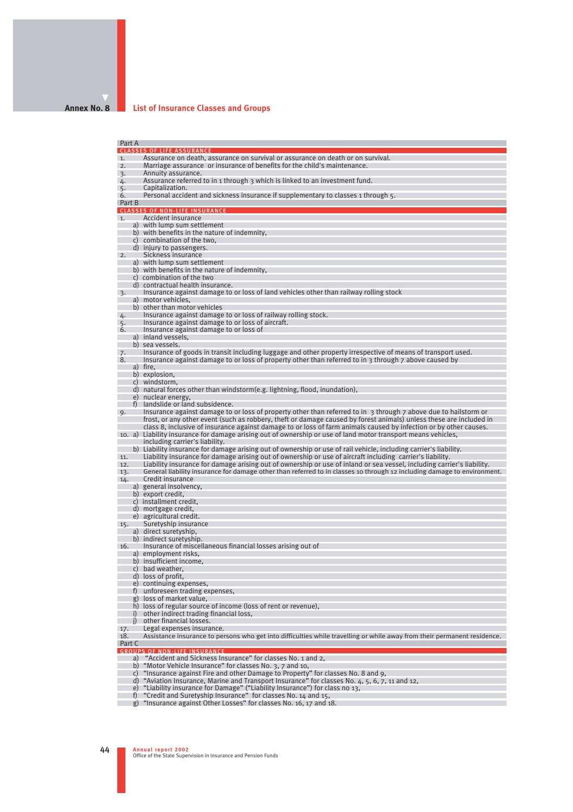#### **Annex No. 8**

#### **List of Insurance Classes and Groups**

Part A CLASSES OF LIFE ASSURANCE 1. Assurance on death, assurance on survival or assurance on death or on survival.<br>2. Marriage assurance, or insurance of benefits for the child's maintenance. 2. Marriage assurance or insurance of benefits for the child's maintenance.<br>3. Annuity assurance. 3. Annuity assurance.<br>4. Assurance referred  $4.$  Assurance referred to in 1 through 3 which is linked to an investment fund.<br>5. Capitalization. 5. Capitalization.<br>6. Personal accide **Expressional accident and sickness insurance if supplementary to classes 1 through 5.** Part B CLASSES OF NON-LIFE INSURANCE 1. Accident insurance a) with lump sum settlement b) with benefits in the nature of indemnity, c) combination of the two, d) injury to passengers. 2. Sickness insurance a) with lump sum settlement b) with benefits in the nature of indemnity, c) combination of the two d) contractual health insurance. 3. Insurance against damage to or loss of land vehicles other than railway rolling stock a) motor vehicles, b) other than motor vehicles 4. Insurance against damage to or loss of railway rolling stock. 5. Insurance against damage to or loss of aircraft. 6. Insurance against damage to or loss of a) inland vessels, b) sea vessels. 7. Insurance of goods in transit including luggage and other property irrespective of means of transport used.<br>8. Insurance against damage to or loss of property other than referred to in 3 through 7 above caused by Insurance against damage to or loss of property other than referred to in 3 through 7 above caused by a) fire b) explosion. c) windstorm, d) natural forces other than windstorm(e.g. lightning, flood, inundation), e) nuclear energy, f) landslide or land subsidence. 9. Insurance against damage to or loss of property other than referred to in 3 through 7 above due to hailstorm or frost, or any other event (such as robbery, theft or damage caused by forest animals) unless these are included in class 8, inclusive of insurance against damage to or loss of farm animals caused by infection or by other causes. 10. a) Liability insurance for damage arising out of ownership or use of land motor transport means vehicles, including carrier's liability. b) Liability insurance for damage arising out of ownership or use of rail vehicle, including carrier's liability. 11. Liability insurance for damage arising out of ownership or use of aircraft including carrier's liability. Liability insurance for damage arising out of ownership or use of inland or sea vessel, including carrier's liability. 13. General liability insurance for damage other than referred to in classes 10 through 12 including damage to environment.<br>14. Credit insurance Credit insurance a) general insolvency, b) export credit. c) installment credit, d) mortgage credit, e) agricultural credit. 15. Suretyship insurance a) direct suretyship, b) indirect suretyship. 16. Insurance of miscellaneous financial losses arising out of a) employment risks, b) insufficient income, c) bad weather, d) loss of profit, e) continuing expenses, f) unforeseen trading expenses, g) loss of market value, h) loss of regular source of income (loss of rent or revenue), i) other indirect trading financial loss, i) other financial losses 17. Legal expenses insurance.<br>18. Assistance insurance to per Assistance insurance to persons who get into difficulties while travelling or while away from their permanent residence. Part C GROUPS OF NON-LIFE INSURANCE a) "Accident and Sickness Insurance" for classes No. 1 and 2, b) "Motor Vehicle Insurance" for classes No. 3, 7 and 10, c) "Insurance against Fire and other Damage to Property" for classes No. 8 and 9,<br>d) "Aviation Insurance, Marine and Transport Insurance" for classes No. 4, 5, 6, 7, 11 and 12,

e) "Liability insurance for Damage" ("Liability Insurance") for class no 13,

f) "Credit and Suretyship Insurance" for classes No. 14 and 15,

g) "Insurance against Other Losses" for classes No. 16, 17 and 18.

**Annual report 2002** 44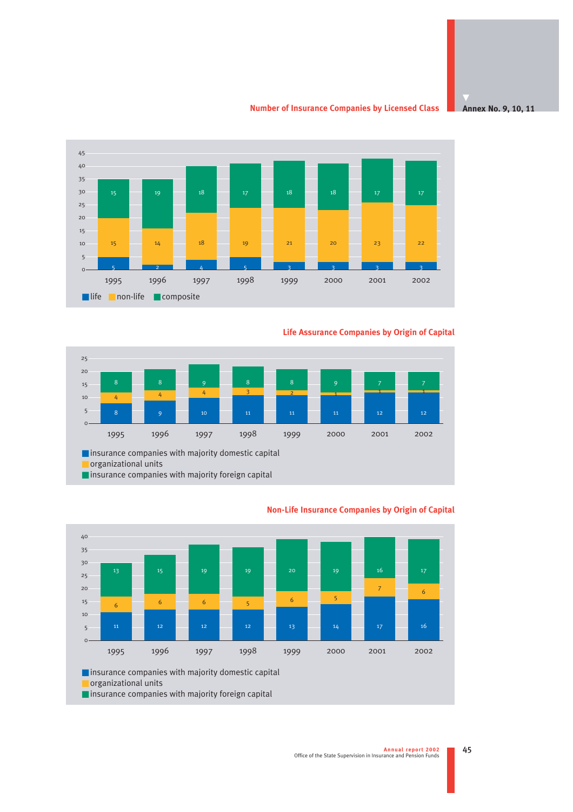**Number of Insurance Companies by Licensed Class**





## **Life Assurance Companies by Origin of Capital**





### **Non-Life Insurance Companies by Origin of Capital**

■ insurance companies with majority foreign capital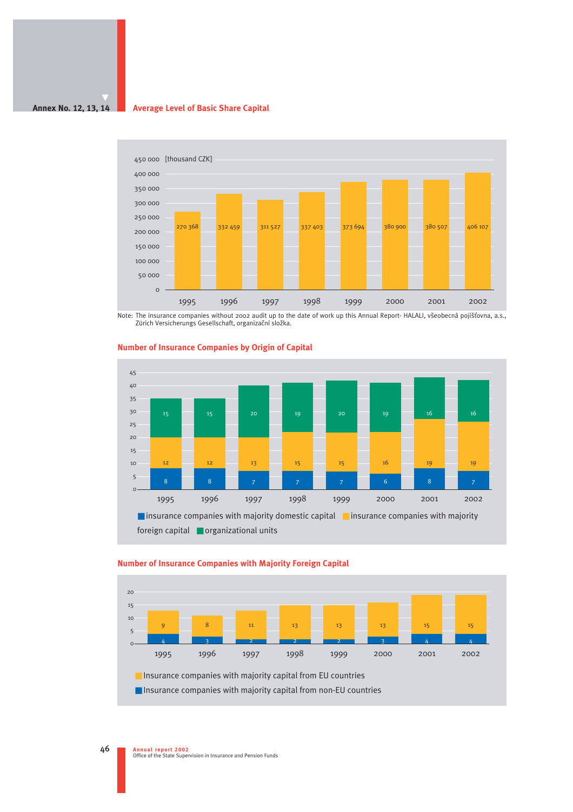#### **Annex No. 12, 13, 14 Average Level of Basic Share Capital**



Note: The insurance companies without 2002 audit up to the date of work up this Annual Report- HALALI, všeobecná pojišťovna, a.s.,<br>Zürich Versicherungs Gesellschaft, organizační složka.



#### **Number of Insurance Companies by Origin of Capital**



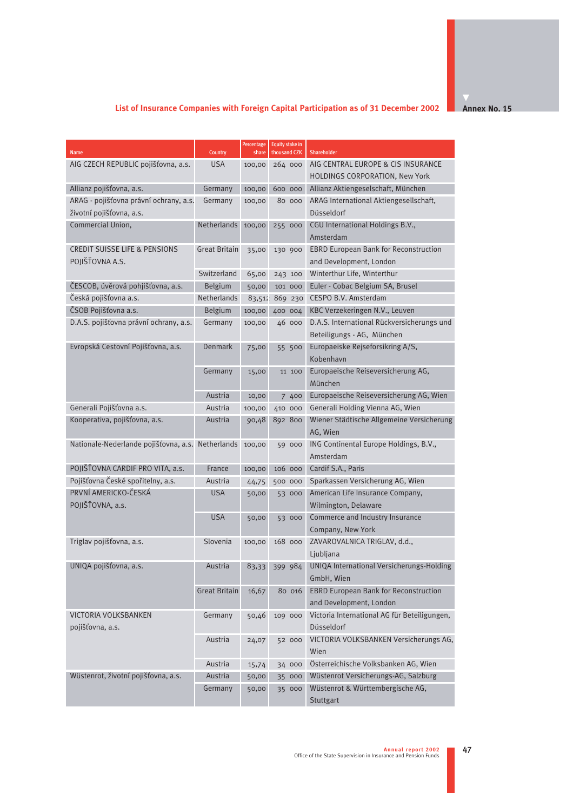# **List of Insurance Companies with Foreign Capital Participation as of 31 December 2002**

**Annex No. 15** 

| <b>Name</b>                                       | Country              | Percentage<br>share | <b>Equity stake in</b><br>thousand CZK | Shareholder                                                |
|---------------------------------------------------|----------------------|---------------------|----------------------------------------|------------------------------------------------------------|
| AIG CZECH REPUBLIC pojišťovna, a.s.               | <b>USA</b>           | 100,00              | 264 000                                | AIG CENTRAL EUROPE & CIS INSURANCE                         |
|                                                   |                      |                     |                                        | HOLDINGS CORPORATION, New York                             |
| Allianz pojišťovna, a.s.                          | Germany              | 100,00              | 600 000                                | Allianz Aktiengeselschaft, München                         |
| ARAG - pojišťovna právní ochrany, a.s.            | Germany              | 100,00              | 80 000                                 | ARAG International Aktiengesellschaft,                     |
| životní pojišťovna, a.s.                          |                      |                     |                                        | Düsseldorf                                                 |
| Commercial Union,                                 | Netherlands          | 100,00              | 255 000                                | CGU International Holdings B.V.,                           |
|                                                   |                      |                     |                                        | Amsterdam                                                  |
| <b>CREDIT SUISSE LIFE &amp; PENSIONS</b>          | Great Britain        | 35,00               | 130 900                                | <b>EBRD European Bank for Reconstruction</b>               |
| POJIŠŤOVNA A.S.                                   |                      |                     |                                        | and Development, London                                    |
|                                                   | Switzerland          | 65,00               | 243 100                                | Winterthur Life, Winterthur                                |
| ČESCOB, úvěrová pohjišťovna, a.s.                 | Belgium              | 50,00               | 101 000                                | Euler - Cobac Belgium SA, Brusel                           |
| Česká pojišťovna a.s.                             | Netherlands          | 83,512              | 869 230                                | CESPO B.V. Amsterdam                                       |
| ČSOB Pojišťovna a.s.                              | Belgium              | 100,00              | 400 004                                | KBC Verzekeringen N.V., Leuven                             |
| D.A.S. pojišťovna právní ochrany, a.s.            | Germany              | 100,00              | 46 000                                 | D.A.S. International Rückversicherungs und                 |
|                                                   |                      |                     |                                        | Beteiligungs - AG, München                                 |
| Evropská Cestovní Pojišťovna, a.s.                | Denmark              | 75,00               | 55 500                                 | Europaeiske Rejseforsikring A/S,                           |
|                                                   |                      |                     |                                        | Kobenhavn                                                  |
|                                                   | Germany              | 15,00               | 11 100                                 | Europaeische Reiseversicherung AG,                         |
|                                                   |                      |                     |                                        | München                                                    |
|                                                   | Austria              | 10,00               | 7 400                                  | Europaeische Reiseversicherung AG, Wien                    |
| Generali Pojišťovna a.s.                          | Austria              | 100,00              | 410 000                                | Generali Holding Vienna AG, Wien                           |
| Kooperativa, pojišťovna, a.s.                     | Austria              | 90,48               | 892 800                                | Wiener Städtische Allgemeine Versicherung                  |
|                                                   |                      |                     |                                        | AG, Wien                                                   |
| Nationale-Nederlande pojišťovna, a.s. Netherlands |                      | 100,00              | 59 000                                 | ING Continental Europe Holdings, B.V.,                     |
|                                                   |                      |                     |                                        | Amsterdam                                                  |
| POJIŠŤOVNA CARDIF PRO VITA, a.s.                  | France               | 100,00              | 106 000                                | Cardif S.A., Paris                                         |
| Pojišťovna České spořitelny, a.s.                 | Austria              | 44,75               | 500 000                                | Sparkassen Versicherung AG, Wien                           |
| PRVNÍ AMERICKO-ČESKÁ                              | USA                  | 50,00               | 53 000                                 | American Life Insurance Company,                           |
| POJIŠŤOVNA, a.s.                                  |                      |                     |                                        | Wilmington, Delaware                                       |
|                                                   | <b>USA</b>           | 50,00               | 53 000                                 | Commerce and Industry Insurance                            |
|                                                   |                      |                     |                                        | Company, New York                                          |
| Triglav pojišťovna, a.s.                          | Slovenia             | 100,00              | 168 000                                | ZAVAROVALNICA TRIGLAV, d.d.,                               |
|                                                   |                      |                     |                                        | Ljubljana                                                  |
| UNIQA pojišťovna, a.s.                            | Austria              |                     |                                        | 83,33 399 984 UNIQA International Versicherungs-Holding    |
|                                                   |                      |                     |                                        | GmbH, Wien                                                 |
|                                                   | <b>Great Britain</b> | 16,67               | 80 016                                 | <b>EBRD European Bank for Reconstruction</b>               |
|                                                   |                      |                     |                                        | and Development, London                                    |
| VICTORIA VOLKSBANKEN<br>pojišťovna, a.s.          | Germany              | 50,46               | 109 000                                | Victoria International AG für Beteiligungen,<br>Düsseldorf |
|                                                   | Austria              | 24,07               | 52 000                                 | VICTORIA VOLKSBANKEN Versicherungs AG,                     |
|                                                   |                      |                     |                                        | Wien                                                       |
|                                                   | Austria              | 15,74               | 34 000                                 | Österreichische Volksbanken AG, Wien                       |
| Wüstenrot, životní pojišťovna, a.s.               | Austria              | 50,00               | 35 000                                 | Wüstenrot Versicherungs-AG, Salzburg                       |
|                                                   | Germany              | 50,00               | 35 000                                 | Wüstenrot & Württembergische AG,                           |
|                                                   |                      |                     |                                        | Stuttgart                                                  |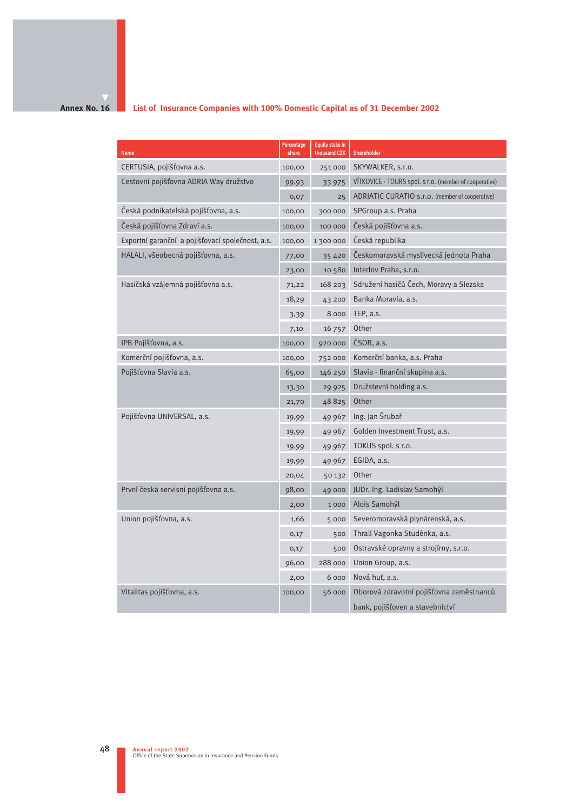## **Annex No. 16**

## **List of Insurance Companies with 100% Domestic Capital as of 31 December 2002**

| <b>Name</b>                                      | Percentage<br>share | <b>Equity stake in</b><br>thousand CZK | Shareholder                                            |
|--------------------------------------------------|---------------------|----------------------------------------|--------------------------------------------------------|
| CERTUSIA, pojišťovna a.s.                        | 100,00              | 251000                                 | SKYWALKER, s.r.o.                                      |
| Cestovní pojišťovna ADRIA Way družstvo           | 99,93               | 33 975                                 | VİTKOVICE - TOURS spol. s r.o. (member of cooperative) |
|                                                  | 0,07                | 25                                     | ADRIATIC CURATIO s.r.o. (member of cooperative)        |
| Česká podnikatelská pojišťovna, a.s.             | 100,00              | 300 000                                | SPGroup a.s. Praha                                     |
| Česká pojišťovna Zdraví a.s.                     | 100,00              | 100 000                                | Česká pojišťovna a.s.                                  |
| Exportní garanční a pojišťovací společnost, a.s. | 100,00              | 1 300 000                              | Česká republika                                        |
| HALALI, všeobecná pojišťovna, a.s.               | 77,00               | 35 4 20                                | Českomoravská myslivecká jednota Praha                 |
|                                                  | 23,00               | 10 580                                 | Interlov Praha, s.r.o.                                 |
| Hasičská vzájemná pojišťovna a.s.                | 71,22               | 168 203                                | Sdružení hasičů Čech, Moravy a Slezska                 |
|                                                  | 18,29               | 43 200                                 | Banka Moravia, a.s.                                    |
|                                                  | 3,39                | 8 000                                  | TEP, a.s.                                              |
|                                                  | 7,10                | 16 757                                 | Other                                                  |
| IPB Pojišťovna, a.s.                             | 100,00              | 920 000                                | ČSOB, a.s.                                             |
| Komerční pojišťovna, a.s.                        | 100,00              | 752 000                                | Komerční banka, a.s. Praha                             |
| Pojišťovna Slavia a.s.                           | 65,00               | 146 250                                | Slavia - finanční skupina a.s.                         |
|                                                  | 13,30               | 29 9 25                                | Družstevní holding a.s.                                |
|                                                  | 21,70               | 48825                                  | Other                                                  |
| Pojišťovna UNIVERSAL, a.s.                       | 19,99               | 49 967                                 | Ing. Jan Šrubař                                        |
|                                                  | 19,99               | 49 967                                 | Golden Investment Trust, a.s.                          |
|                                                  | 19,99               | 49 967                                 | TOKUS spol. s r.o.                                     |
|                                                  | 19,99               | 49 967                                 | EGIDA, a.s.                                            |
|                                                  | 20,04               | 50 132                                 | Other                                                  |
| První česká servisní pojišťovna a.s.             | 98,00               | 49 000                                 | JUDr. Ing. Ladislav Samohýl                            |
|                                                  | 2,00                | 1000                                   | Alois Samohýl                                          |
| Union pojišťovna, a.s.                           | 1,66                | 5 000                                  | Severomoravská plynárenská, a.s.                       |
|                                                  | 0,17                | 500                                    | Thrall Vagonka Studénka, a.s.                          |
|                                                  | 0,17                | 500                                    | Ostravské opravny a strojírny, s.r.o.                  |
|                                                  | 96,00               | 288 000                                | Union Group, a.s.                                      |
|                                                  | 2,00                | 6 000                                  | Nová huť, a.s.                                         |
| Vitalitas pojišťovna, a.s.                       | 100,00              | 56 000                                 | Oborová zdravotní pojišťovna zaměstnanců               |
|                                                  |                     |                                        | bank, pojišťoven a stavebnictví                        |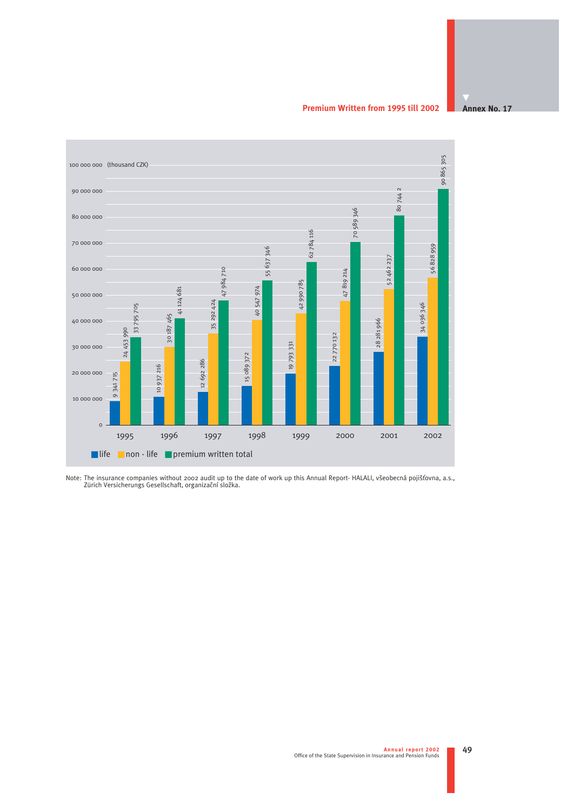**Premium Written from 1995 till 2002**



Note: The insurance companies without 2002 audit up to the date of work up this Annual Report- HALALI, všeobecná pojišťovna, a.s.,<br>Zürich Versicherungs Gesellschaft, organizační složka.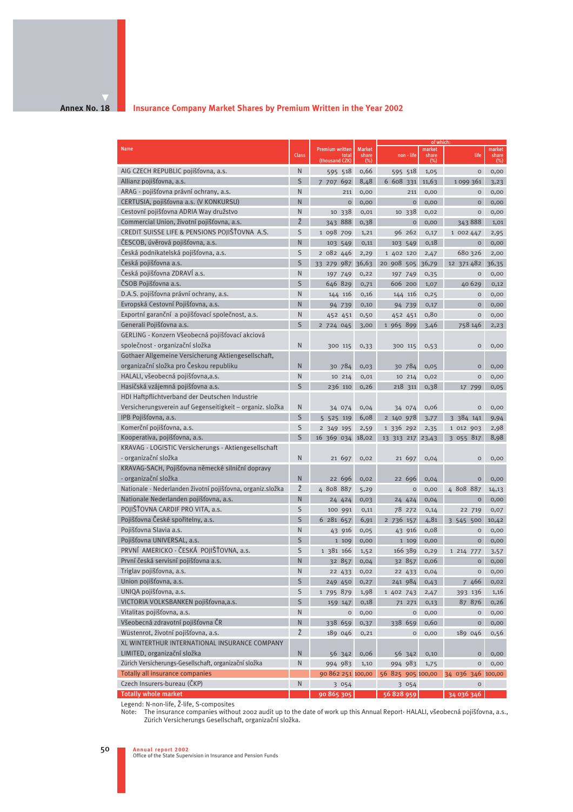#### **Annex No. 18**

### **Insurance Company Market Shares by Premium Written in the Year 2002**

|                                                            |              |                                            |                                |                   | of which:              |                     |                        |
|------------------------------------------------------------|--------------|--------------------------------------------|--------------------------------|-------------------|------------------------|---------------------|------------------------|
| <b>Name</b>                                                | <b>Class</b> | Premium written<br>total<br>(thousand CZK) | <b>Market</b><br>share<br>(% ) | non - life        | market<br>share<br>(%) | life                | market<br>share<br>(%) |
| AIG CZECH REPUBLIC pojišťovna, a.s.                        | N            | 595 518                                    | 0,66                           | 595 518           | 1,05                   | $\mathsf O$         | 0,00                   |
| Allianz pojišťovna, a.s.                                   | S            | 7 707 692                                  | 8,48                           | 6 608 331         | 11,63                  | 1099 361            | 3,23                   |
| ARAG - pojišťovna právní ochrany, a.s.                     | N            | 211                                        | 0,00                           | 211               | 0,00                   | O                   | 0,00                   |
| CERTUSIA, pojišťovna a.s. (V KONKURSU)                     | N            | $\circ$                                    | 0,00                           | $\mathsf{o}$      | 0,00                   | $\circ$             | 0,00                   |
| Cestovní pojišťovna ADRIA Way družstvo                     | N            | 10 338                                     | 0,01                           | 10 338            | 0,02                   | O                   | 0,00                   |
| Commercial Union, životní pojišťovna, a.s.                 | Ž            | 343 888                                    | 0,38                           | $\mathsf{o}$      | 0,00                   | 343888              | 1,01                   |
| CREDIT SUISSE LIFE & PENSIONS POJIŠŤOVNA A.S.              | S            | 1 098 709                                  | 1,21                           | 96 262            | 0,17                   | 1 002 447           | 2,95                   |
| ČESCOB, úvěrová pojišťovna, a.s.                           | N            | 103 549                                    | 0,11                           | 103 549           | 0,18                   | $\mathsf O$         | 0,00                   |
| Česká podnikatelská pojišťovna, a.s.                       | S            | 2 082 446                                  | 2,29                           | 1 402 120         | 2,47                   | 680 326             | 2,00                   |
| Česká pojišťovna a.s.                                      | S            | 33 279 987 36,63                           |                                | 20 908 505 36,79  |                        | 12 371 482 36,35    |                        |
| Česká pojišťovna ZDRAVÍ a.s.                               | Ν            | 197 749                                    | 0,22                           | 197 749           | 0,35                   | 0                   | 0,00                   |
| ČSOB Pojišťovna a.s.                                       | S            | 646 829                                    | 0,71                           | 606 200           | 1,07                   | 40 6 29             | 0,12                   |
| D.A.S. pojišťovna právní ochrany, a.s.                     | Ν            | 144 116                                    | 0,16                           | 144 116           | 0,25                   | $\circ$             | 0,00                   |
| Evropská Cestovní Pojišťovna, a.s.                         | Ν            | 94 739                                     | 0,10                           | 94 739            | 0,17                   | $\mathsf O$         | 0,00                   |
| Exportní garanční a pojišťovací společnost, a.s.           | Ν            | 452 451                                    | 0,50                           | 452 451           | 0,80                   | 0                   | 0,00                   |
| Generali Pojišťovna a.s.                                   | S            | 2 724 045                                  | 3,00                           | 1 965 899         | 3,46                   | 758 146             | 2,23                   |
| GERLING - Konzern Všeobecná pojišťovací akciová            |              |                                            |                                |                   |                        |                     |                        |
| společnost - organizační složka                            | N            | 300 115                                    | 0,33                           | 300 115           | 0,53                   | $\mathsf O$         | 0,00                   |
| Gothaer Allgemeine Versicherung Aktiengesellschaft,        |              |                                            |                                |                   |                        |                     |                        |
| organizační složka pro Českou republiku                    | N            | 30 784                                     | 0,03                           | 30 784            | 0,05                   | O                   | 0,00                   |
| HALALI, všeobecná pojišťovna, a.s.                         | N            | 10 214                                     | 0,01                           | 10 214            | 0,02                   | $\mathsf O$         | 0,00                   |
| Hasičská vzájemná pojišťovna a.s.                          | S            | 236 110                                    | 0,26                           | 218 311           | 0,38                   | 17 799              | 0,05                   |
| HDI Haftpflichtverband der Deutschen Industrie             |              |                                            |                                |                   |                        |                     |                        |
| Versicherungsverein auf Gegenseitigkeit – organiz. složka  | N            | 34 074                                     | 0,04                           | 34 074            | 0,06                   | $\circ$             | 0,00                   |
| IPB Pojišťovna, a.s.                                       | S            | 5 525 119                                  | 6,08                           | 2 140 978         | 3,77                   | 3 384 141           | 9,94                   |
| Komerční pojišťovna, a.s.                                  | S            | 2 349 195                                  | 2,59                           | 1 336 292         | 2,35                   | 1 012 903           | 2,98                   |
| Kooperativa, pojišťovna, a.s.                              | S            | 16 369 034 18,02                           |                                | 13 313 217 23,43  |                        | 3 055 817           | 8,98                   |
| KRAVAG - LOGISTIC Versicherungs - Aktiengesellschaft       |              |                                            |                                |                   |                        |                     |                        |
| - organizační složka                                       | N            | 21 697                                     | 0,02                           | 21 697            | 0,04                   | $\mathsf O$         | 0,00                   |
| KRAVAG-SACH, Pojišťovna německé silniční dopravy           |              |                                            |                                |                   |                        |                     |                        |
| - organizační složka                                       | N            | 22 696                                     | 0,02                           | 22 696            | 0,04                   | $\circ$             | 0,00                   |
| Nationale - Nederlanden životní pojišťovna, organiz.složka | Ž            | 4 808 887                                  | 5,29                           | $\mathsf O$       | 0,00                   | 4 808 887           | 14,13                  |
| Nationale Nederlanden pojišťovna, a.s.                     | N            | 24 424                                     | 0,03                           | 24 424            | 0,04                   | $\circ$             | 0,00                   |
| POJIŠŤOVNA CARDIF PRO VITA, a.s.                           | S            | 100 991                                    | 0,11                           | 78 272            | 0,14                   | 22 719              | 0,07                   |
| Pojišťovna České spořitelny, a.s.                          | S            | 6 281 657                                  | 6,91                           | 2 736 157         | 4,81                   | 3 545 500           | 10,42                  |
| Pojišťovna Slavia a.s.                                     | N            | 43 916                                     | 0,05                           | 43 916            | 0,08                   | $\mathsf O$         | 0,00                   |
| Pojišťovna UNIVERSAL, a.s.                                 | S            | 1 109                                      | 0,00                           | 1 109             | 0,00                   | $\circ$             | 0,00                   |
| PRVNÍ AMERICKO - ČESKÁ POJIŠŤOVNA, a.s.                    | S            | 1 381 166                                  | 1,52                           | 166 389           | 0, 29                  | 1 214 777           | 3,57                   |
| První česká servisní pojišťovna a.s.                       | N            | 32 857                                     | 0,04                           | 32 857            | 0,06                   | $\circ$             | 0,00                   |
| Triglav pojišťovna, a.s.                                   | N            | 22 433 0,02                                |                                | 22 433            | 0,04                   | $\mathsf{O}\xspace$ | 0,00                   |
| Union pojišťovna, a.s.                                     | S            | 249 450 0,27                               |                                | 241 984           | 0,43                   | 7 466               | 0,02                   |
| UNIQA pojišťovna, a.s.                                     | S            | 1 795 879                                  | 1,98                           | 1 402 743         | 2,47                   | 393 136             | 1,16                   |
| VICTORIA VOLKSBANKEN pojišťovna,a.s.                       | S            | 159 147                                    | 0,18                           | 71 271            | 0,13                   | 87 876              | 0,26                   |
| Vitalitas pojišťovna, a.s.                                 | N            | $\mathsf{o}$                               | 0,00                           | $\mathsf{o}$      | 0,00                   | $\mathsf O$         | 0,00                   |
| Všeobecná zdravotní pojišťovna ČR                          | Ν            | 338 659                                    | 0,37                           | 338 659           | 0,60                   | 0                   | 0,00                   |
| Wüstenrot, životní pojišťovna, a.s.                        | Ž            | 189 046                                    | 0,21                           | $\mathsf O$       | 0,00                   | 189 046             | 0,56                   |
| XL WINTERTHUR INTERNATIONAL INSURANCE COMPANY              |              |                                            |                                |                   |                        |                     |                        |
| LIMITED, organizační složka                                | N            | 56 342                                     | 0,06                           | 56 342            | 0,10                   | O                   | 0,00                   |
| Zürich Versicherungs-Gesellschaft, organizační složka      | Ν            | 994 983                                    | 1,10                           | 994 983           | 1,75                   | $\circ$             | 0,00                   |
| <b>Totally all insurance companies</b>                     |              | 90 862 251 100,00                          |                                | 56 825 905 100,00 |                        | 34 036 346 100,00   |                        |
| Czech Insurers-bureau (ČKP)                                | N            | 3 0 5 4                                    |                                | 3 0 5 4           |                        | O                   |                        |
| <b>Totally whole market</b>                                |              | 90 865 305                                 |                                | 56 828 959        |                        | 34 036 346          |                        |

Legend: N-non-life, Î-life, S-composites

Note: The insurance companies without 2002 audit up to the date of work up this Annual Report- HALALI, všeobecná pojišťovna, a.s., Zürich Versicherungs Gesellschaft, organizační složka.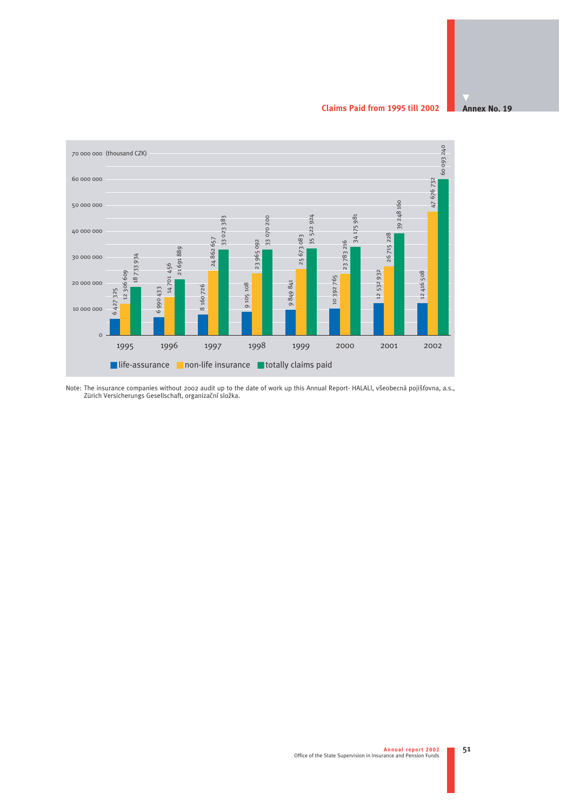**Claims Paid from 1995 till 2002**





Note: The insurance companies without 2002 audit up to the date of work up this Annual Report- HALALI, všeobecná pojišťovna, a.s.,<br>Zürich Versicherungs Gesellschaft, organizační složka.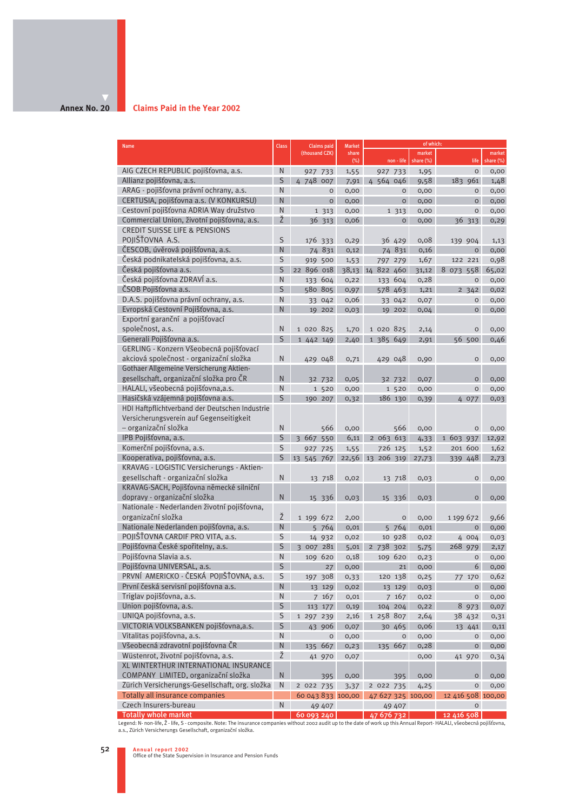#### **Annex No. 20**

#### **Claims Paid in the Year 2002**

| <b>Name</b>                                                                                                                                                                                                                               | <b>Class</b>   | <b>Claims paid</b> | <b>Market</b> |                   | of which:           |                   |                     |
|-------------------------------------------------------------------------------------------------------------------------------------------------------------------------------------------------------------------------------------------|----------------|--------------------|---------------|-------------------|---------------------|-------------------|---------------------|
|                                                                                                                                                                                                                                           |                | (thousand CZK)     | share<br>(%)  | $non$ - life      | market<br>share (%) | life              | market<br>share (%) |
| AIG CZECH REPUBLIC pojišťovna, a.s.                                                                                                                                                                                                       | N              | 927 733            | 1,55          | 927 733           | 1,95                | $\circ$           | 0,00                |
| Allianz pojišťovna, a.s.                                                                                                                                                                                                                  | S              | 4 748 007          | 7,91          | 4 564 046         | 9,58                | 183 961           | 1,48                |
| ARAG - pojišťovna právní ochrany, a.s.                                                                                                                                                                                                    | N              | $\circ$            | 0,00          | $\circ$           | 0,00                | $\circ$           | 0,00                |
| CERTUSIA, pojišťovna a.s. (V KONKURSU)                                                                                                                                                                                                    | N              | $\circ$            | 0,00          | $\circ$           | 0,00                | $\circ$           | 0,00                |
| Cestovní pojišťovna ADRIA Way družstvo                                                                                                                                                                                                    | N              | 1 3 1 3            | 0,00          | 1 3 1 3           | 0,00                | $\circ$           | 0,00                |
| Commercial Union, životní pojišťovna, a.s.                                                                                                                                                                                                | Ž              | 36 313             | 0,06          | $\circ$           | 0,00                | 36 313            | 0, 29               |
| <b>CREDIT SUISSE LIFE &amp; PENSIONS</b>                                                                                                                                                                                                  |                |                    |               |                   |                     |                   |                     |
| POJIŠŤOVNA A.S.                                                                                                                                                                                                                           | S              | 176 333            | 0,29          | 36 429            | 0,08                | 139 904           | 1,13                |
| ČESCOB, úvěrová pojišťovna, a.s.                                                                                                                                                                                                          | $\overline{N}$ | 74 831             | 0,12          | 74 831            | 0,16                | $\overline{O}$    | 0,00                |
| Česká podnikatelská pojišťovna, a.s.                                                                                                                                                                                                      | S              | 919 500            | 1,53          | 797 279           | 1,67                | 122 221           | 0,98                |
| Česká pojišťovna a.s.                                                                                                                                                                                                                     | S              | 22 896 018         |               | 38,13 14 822 460  | 31,12               | 8 073 558         | 65,02               |
| Česká pojišťovna ZDRAVÍ a.s.                                                                                                                                                                                                              | N              | 133 604            | 0,22          | 133 604           | 0,28                | $\circ$           | 0,00                |
| ČSOB Pojišťovna a.s.                                                                                                                                                                                                                      | S              | 580 805            | 0,97          | 578 463           | 1,21                | 2, 342            | 0,02                |
| D.A.S. pojišťovna právní ochrany, a.s.                                                                                                                                                                                                    | N              | 33 042             | 0,06          | 33 042            | 0,07                | $\circ$           | 0,00                |
| Evropská Cestovní Pojišťovna, a.s.                                                                                                                                                                                                        | N              | 19 202             | 0,03          | 19 202            | 0,04                | $\mathsf O$       | 0,00                |
| Exportní garanční a pojišťovací                                                                                                                                                                                                           |                |                    |               |                   |                     |                   |                     |
| společnost, a.s.                                                                                                                                                                                                                          | $\mathsf{N}$   | 1 020 825          | 1,70          | 1 020 825         | 2,14                | $\circ$           | 0,00                |
| Generali Pojišťovna a.s.                                                                                                                                                                                                                  | S              | 1 442 149          | 2,40          | 1 385 649         | 2,91                | 56 500            | 0,46                |
| GERLING - Konzern Všeobecná pojišťovací                                                                                                                                                                                                   |                |                    |               |                   |                     |                   |                     |
| akciová společnost - organizační složka                                                                                                                                                                                                   | N              | 429 048            | 0,71          | 429 048           | 0,90                | $\mathsf O$       | 0,00                |
| Gothaer Allgemeine Versicherung Aktien-                                                                                                                                                                                                   |                |                    |               |                   |                     |                   |                     |
| gesellschaft, organizační složka pro ČR                                                                                                                                                                                                   | N              | 32 732             | 0,05          | 32 732            | 0,07                | $\circ$           | 0,00                |
| HALALI, všeobecná pojišťovna,a.s.                                                                                                                                                                                                         | N              | 1 520              | 0,00          | 1 520             | 0,00                | $\circ$           | 0,00                |
| Hasičská vzájemná pojišťovna a.s.                                                                                                                                                                                                         | S              | 190 207            | 0,32          | 186 130           | 0,39                | 4 077             | 0,03                |
| HDI Haftpflichtverband der Deutschen Industrie                                                                                                                                                                                            |                |                    |               |                   |                     |                   |                     |
| Versicherungsverein auf Gegenseitigkeit                                                                                                                                                                                                   |                |                    |               |                   |                     |                   |                     |
| - organizační složka                                                                                                                                                                                                                      | N              | 566                | 0,00          | 566               | 0,00                | $\circ$           | 0,00                |
| IPB Pojišťovna, a.s.                                                                                                                                                                                                                      | S              | 3 667 550          | 6,11          | 2 063 613         | 4,33                | 1 603 937         | 12,92               |
| Komerční pojišťovna, a.s.                                                                                                                                                                                                                 | S              | 927 725            | 1,55          | 726 125           | 1,52                | 201 600           | 1,62                |
| Kooperativa, pojišťovna, a.s.                                                                                                                                                                                                             | S              | 13 545 767         |               | 22,56 13 206 319  | 27,73               | 339 448           | 2,73                |
| KRAVAG - LOGISTIC Versicherungs - Aktien-                                                                                                                                                                                                 |                |                    |               |                   |                     |                   |                     |
| gesellschaft - organizační složka                                                                                                                                                                                                         | $\mathsf{N}$   | 13 718             | 0,02          | 13 718            | 0,03                | $\mathsf O$       | 0,00                |
| KRAVAG-SACH, Pojišťovna německé silniční                                                                                                                                                                                                  |                |                    |               |                   |                     |                   |                     |
| dopravy - organizační složka                                                                                                                                                                                                              | N              | 15 336             | 0,03          | 15 336            | 0,03                | $\circ$           | 0,00                |
| Nationale - Nederlanden životní pojišťovna,                                                                                                                                                                                               |                |                    |               |                   |                     |                   |                     |
| organizační složka                                                                                                                                                                                                                        | Ž              | 1 199 672          | 2,00          | $\circ$           | 0,00                | 1 199 672         | 9,66                |
| Nationale Nederlanden pojišťovna, a.s.                                                                                                                                                                                                    | $\overline{N}$ | 5 764              | 0,01          | 5 764             | 0,01                | $\circ$           | 0,00                |
| POJIŠŤOVNA CARDIF PRO VITA, a.s.                                                                                                                                                                                                          | S              | 14 932             | 0,02          | 10 928            | 0,02                | 4 004             | 0,03                |
| Pojišťovna České spořitelny, a.s.                                                                                                                                                                                                         | S              | 3 007 281          | 5,01          | 2 738 302         | 5,75                | 268 979           | 2,17                |
| Pojišťovna Slavia a.s.                                                                                                                                                                                                                    | N              | 109 620            | 0,18          | 109 620           | 0, 23               | $\circ$           | 0,00                |
| Pojišťovna UNIVERSAL, a.s.                                                                                                                                                                                                                | S              | 27                 | 0,00          | 21                | 0,00                | 6                 | 0,00                |
| PRVNÍ AMERICKO - ČESKÁ POJIŠŤOVNA, a.s.                                                                                                                                                                                                   | S              | 197 308            | 0,33          | 120 138           | 0,25                | 77 170            | 0,62                |
| První česká servisní pojišťovna a.s.                                                                                                                                                                                                      | N              | 13 129             | 0,02          | 13 129            | 0,03                | $\circ$           | 0,00                |
| Triglav pojišťovna, a.s.                                                                                                                                                                                                                  | N              | 7 167              | 0,01          | 7 167             | 0,02                | $\mathsf O$       | 0,00                |
| Union pojišťovna, a.s.                                                                                                                                                                                                                    | S              | 113 177            | 0,19          | 104 204           | 0,22                | 8 973             | 0,07                |
| UNIQA pojišťovna, a.s.                                                                                                                                                                                                                    | S              | 1 297 239          | 2,16          | 1 258 807         | 2,64                | 38 432            | 0,31                |
| VICTORIA VOLKSBANKEN pojišťovna, a.s.                                                                                                                                                                                                     | S              | 43 906             | 0,07          | 30 465            | 0,06                | 13 441            | 0,11                |
| Vitalitas pojišťovna, a.s.                                                                                                                                                                                                                | N              | O                  | 0,00          | $\mathsf O$       | 0,00                | $\mathsf O$       | 0,00                |
| Všeobecná zdravotní pojišťovna ČR                                                                                                                                                                                                         | $\mathsf{N}$   | 667<br>135         | 0,23          | 135 667           | 0,28                | $\circ$           | 0,00                |
| Wüstenrot, životní pojišťovna, a.s.                                                                                                                                                                                                       | Ž              | 41 970             | 0,07          |                   | 0,00                | 41 970            | 0,34                |
| XL WINTERTHUR INTERNATIONAL INSURANCE                                                                                                                                                                                                     |                |                    |               |                   |                     |                   |                     |
| COMPANY LIMITED, organizační složka                                                                                                                                                                                                       | $\mathsf{N}$   | 395                | 0,00          | 395               | 0,00                | 0                 | 0,00                |
| Zürich Versicherungs-Gesellschaft, org. složka                                                                                                                                                                                            | N              | 2 022 735          | 3,37          | 2 022 735         | 4,25                | $\circ$           | 0,00                |
| Totally all insurance companies                                                                                                                                                                                                           |                | 60 043 833 100,00  |               | 47 627 325 100,00 |                     | 12 416 508 100,00 |                     |
| Czech Insurers-bureau                                                                                                                                                                                                                     | $\mathsf{N}$   | 49 407             |               | 49 407            |                     | $\circ$           |                     |
| <b>Totally whole market</b>                                                                                                                                                                                                               |                | 60 093 240         |               | <u>47</u> 676 732 |                     | 12 416 508        |                     |
| Legend: N-non-life, Ž - life, S - composite. Note: The insurance companies without 2002 audit up to the date of work up this Annual Report- HALALI, všeobecná pojišťovna,<br>a.s., Zürich Versicherungs Gesellschaft, organizační složka. |                |                    |               |                   |                     |                   |                     |

**Annual report 2002** Office of the State Supervision in Insurance and Pension Funds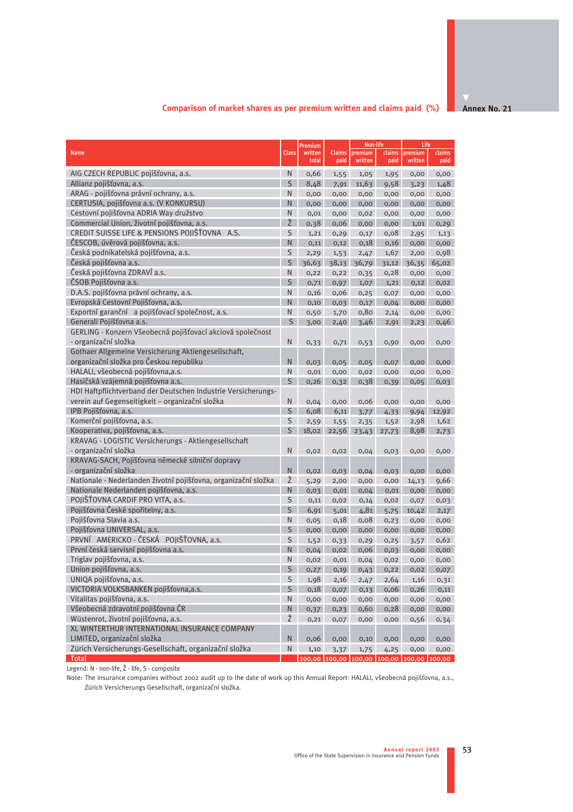## **Comparison of market shares as per premium written and claims paid (%)**

| <b>Name</b>                                                                                    | <b>Class</b>    | Premium<br>written | <b>Claims</b> | Non-life<br>premium                       | claims | Life<br>premium | claims |
|------------------------------------------------------------------------------------------------|-----------------|--------------------|---------------|-------------------------------------------|--------|-----------------|--------|
|                                                                                                |                 | total              | paid          | written                                   | paid   | written         | paid   |
| AIG CZECH REPUBLIC pojišťovna, a.s.                                                            | N               | 0,66               | 1,55          | 1,05                                      | 1,95   | 0,00            | 0,00   |
| Allianz pojišťovna, a.s.                                                                       | $\mathsf{S}$    | 8,48               | 7,91          | 11,63                                     | 9,58   | 3,23            | 1,48   |
| ARAG - pojišťovna právní ochrany, a.s.                                                         | N               | 0,00               | 0,00          | 0,00                                      | 0,00   | 0,00            | 0,00   |
| CERTUSIA, pojišťovna a.s. (V KONKURSU)                                                         | N               | 0,00               | 0,00          | 0,00                                      | 0,00   | 0,00            | 0,00   |
| Cestovní pojišťovna ADRIA Way družstvo                                                         | N               | 0,01               | 0,00          | 0,02                                      | 0,00   | 0,00            | 0,00   |
| Commercial Union, životní pojišťovna, a.s.                                                     | Ž               | 0,38               | 0,06          | 0,00                                      | 0,00   | 1,01            | 0, 29  |
| CREDIT SUISSE LIFE & PENSIONS POJIŠŤOVNA A.S.                                                  | S               | 1,21               | 0, 29         | 0,17                                      | 0,08   | 2,95            | 1,13   |
| ČESCOB, úvěrová pojišťovna, a.s.                                                               | N.              | 0,11               | 0,12          | 0,18                                      | 0,16   | 0,00            | 0,00   |
| Česká podnikatelská pojišťovna, a.s.                                                           | S               | 2,29               | 1,53          | 2,47                                      | 1,67   | 2,00            | 0,98   |
| Česká pojišťovna a.s.                                                                          | S               | 36,63              | 38,13         | 36,79                                     | 31,12  | 36,35           | 65,02  |
| Česká pojišťovna ZDRAVÍ a.s.                                                                   | N               | 0,22               | 0,22          | 0,35                                      | 0,28   | 0,00            | 0,00   |
| ČSOB Pojišťovna a.s.                                                                           | S               | 0,71               | 0,97          | 1,07                                      | 1,21   | 0,12            | 0,02   |
| D.A.S. pojišťovna právní ochrany, a.s.                                                         | N               | 0,16               | 0,06          | 0,25                                      | 0,07   | 0,00            | 0,00   |
| Evropská Cestovní Pojišťovna, a.s.                                                             | N               | 0,10               | 0,03          | 0,17                                      | 0,04   | 0,00            | 0,00   |
| Exportní garanční a pojišťovací společnost, a.s.                                               | N               | 0,50               | 1,70          | 0,80                                      | 2,14   | 0,00            | 0,00   |
| Generali Pojišťovna a.s.                                                                       | $S_{\parallel}$ | 3,00               | 2,40          | 3,46                                      | 2,91   | 2,23            | 0,46   |
| GERLING - Konzern Všeobecná pojišťovací akciová společnost                                     |                 |                    |               |                                           |        |                 |        |
| - organizační složka                                                                           | N               |                    |               |                                           |        |                 |        |
|                                                                                                |                 | 0,33               | 0,71          | 0,53                                      | 0,90   | 0,00            | 0,00   |
| Gothaer Allgemeine Versicherung Aktiengesellschaft,<br>organizační složka pro Českou republiku |                 |                    |               |                                           |        |                 |        |
|                                                                                                | N               | 0,03               | 0,05          | 0,05                                      | 0,07   | 0,00            | 0,00   |
| HALALI, všeobecná pojišťovna,a.s.                                                              | N               | 0,01               | 0,00          | 0,02                                      | 0,00   | 0,00            | 0,00   |
| Hasičská vzájemná pojišťovna a.s.                                                              | S               | 0,26               | 0,32          | 0,38                                      | 0,39   | 0,05            | 0,03   |
| HDI Haftpflichtverband der Deutschen Industrie Versicherungs-                                  |                 |                    |               |                                           |        |                 |        |
| verein auf Gegenseitigkeit - organizační složka                                                | N               | 0,04               | 0,00          | 0,06                                      | 0,00   | 0,00            | 0,00   |
| IPB Pojišťovna, a.s.                                                                           | S               | 6,08               | 6,11          | 3,77                                      | 4,33   | 9,94            | 12,92  |
| Komerční pojišťovna, a.s.                                                                      | S               | 2,59               | 1,55          | 2,35                                      | 1,52   | 2,98            | 1,62   |
| Kooperativa, pojišťovna, a.s.                                                                  | S               |                    |               | 18,02 22,56 23,43 27,73                   |        | 8,98            | 2,73   |
| KRAVAG - LOGISTIC Versicherungs - Aktiengesellschaft                                           |                 |                    |               |                                           |        |                 |        |
| - organizační složka                                                                           | N               | 0,02               | 0,02          | 0,04                                      | 0,03   | 0,00            | 0,00   |
| KRAVAG-SACH, Pojišťovna německé silniční dopravy                                               |                 |                    |               |                                           |        |                 |        |
| - organizační složka                                                                           | N               | 0,02               | 0,03          | 0,04                                      | 0,03   | 0,00            | 0,00   |
| Nationale - Nederlanden životní pojišťovna, organizační složka                                 | Ž               | 5,29               | 2,00          | 0,00                                      | 0,00   | 14,13           | 9,66   |
| Nationale Nederlanden pojišťovna, a.s.                                                         | N               | 0,03               | 0,01          | 0,04                                      | 0,01   | 0,00            | 0,00   |
| POJIŠŤOVNA CARDIF PRO VITA, a.s.                                                               | S               | 0,11               | 0,02          | 0,14                                      | 0,02   | 0,07            | 0,03   |
| Pojišťovna České spořitelny, a.s.                                                              | S               | 6,91               | 5,01          | 4,81                                      | 5,75   | 10,42           | 2,17   |
| Pojišťovna Slavia a.s.                                                                         | N               | 0,05               | 0,18          | 0,08                                      | 0,23   | 0,00            | 0,00   |
| Pojišťovna UNIVERSAL, a.s.                                                                     | S               | 0,00               | 0,00          | 0,00                                      | 0,00   | 0,00            | 0,00   |
| PRVNÍ AMERICKO - ČESKÁ POJIŠŤOVNA, a.s.                                                        | S               | 1,52               | 0,33          | 0, 29                                     | 0,25   | 3,57            | 0,62   |
| První česká servisní pojišťovna a.s.                                                           | N               | 0,04               | 0,02          | 0,06                                      | 0,03   | 0,00            | 0,00   |
| Triglav pojišťovna, a.s.                                                                       | N               | 0,02               | 0,01          | 0,04                                      | 0,02   | 0,00            | 0,00   |
| Union pojišťovna, a.s.                                                                         | S               | 0,27               | 0,19          | 0,43                                      | 0,22   | 0,02            | 0,07   |
| UNIQA pojišťovna, a.s.                                                                         | $\sf S$         | 1,98               | 2,16          | 2,47                                      | 2,64   | 1,16            | 0,31   |
| VICTORIA VOLKSBANKEN pojišťovna, a.s.                                                          | S               | 0,18               | 0,07          | 0,13                                      | 0,06   | 0,26            | 0,11   |
| Vitalitas pojišťovna, a.s.                                                                     | N               | 0,00               | 0,00          | 0,00                                      | 0,00   | 0,00            | 0,00   |
| Všeobecná zdravotní pojišťovna ČR                                                              | ${\sf N}$       | 0,37               | 0, 23         | 0,60                                      | 0,28   | 0,00            | 0,00   |
| Wüstenrot, životní pojišťovna, a.s.                                                            | Ž               | 0,21               | 0,07          | 0,00                                      | 0,00   | 0,56            | 0,34   |
| XL WINTERTHUR INTERNATIONAL INSURANCE COMPANY                                                  |                 |                    |               |                                           |        |                 |        |
| LIMITED, organizační složka                                                                    | N.              | 0,06               | 0,00          | 0,10                                      | 0,00   | 0,00            | 0,00   |
| Zürich Versicherungs-Gesellschaft, organizační složka                                          | ${\sf N}$       | 1,10               | 3,37          | 1,75                                      | 4,25   | 0,00            | 0,00   |
| <b>Total</b>                                                                                   |                 |                    |               | 100.00 100.00 100.00 100.00 100.00 100.00 |        |                 |        |

Legend: N - non-life, Ž - life, S - composite

Note: The insurance companies without 2002 audit up to the date of work up this Annual Report- HALALI, všeobecná pojišťovna, a.s., Zürich Versicherungs Gesellschaft, organizační složka.

**Annex No. 21**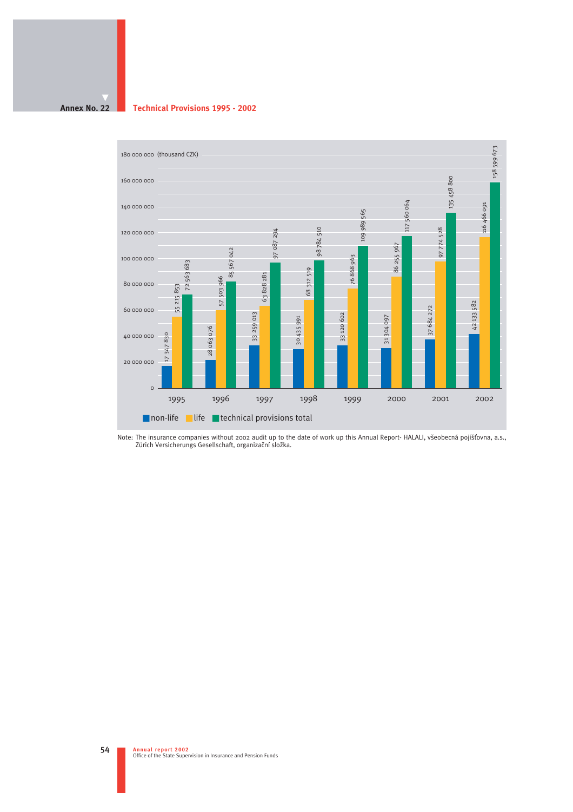#### **Annex No. 22 Technical Provisions 1995 - 2002**



Note: The insurance companies without 2002 audit up to the date of work up this Annual Report- HALALI, všeobecná pojišťovna, a.s.,<br>Zürich Versicherungs Gesellschaft, organizační složka.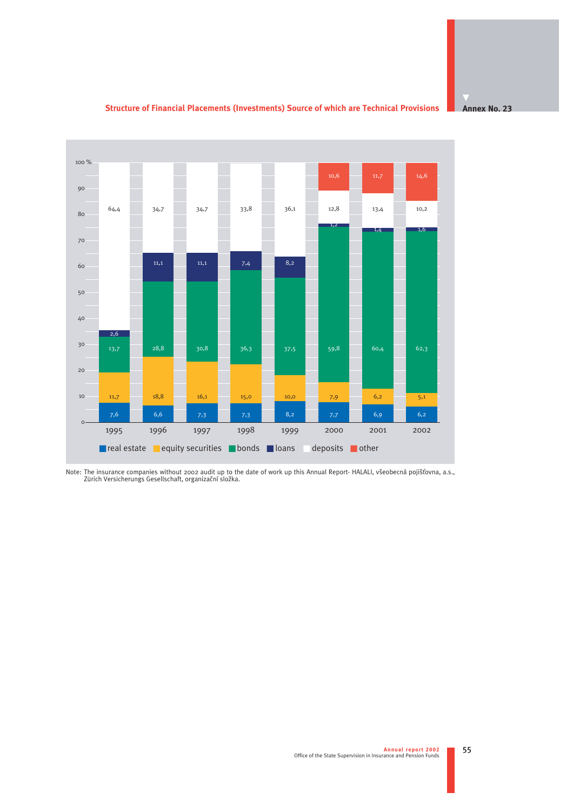**Structure of Financial Placements (Investments) Source of which are Technical Provisions**

**Annex No. 23**



Note: The insurance companies without 2002 audit up to the date of work up this Annual Report- HALALI, všeobecná pojišťovna, a.s.,<br>Zürich Versicherungs Gesellschaft, organizační složka.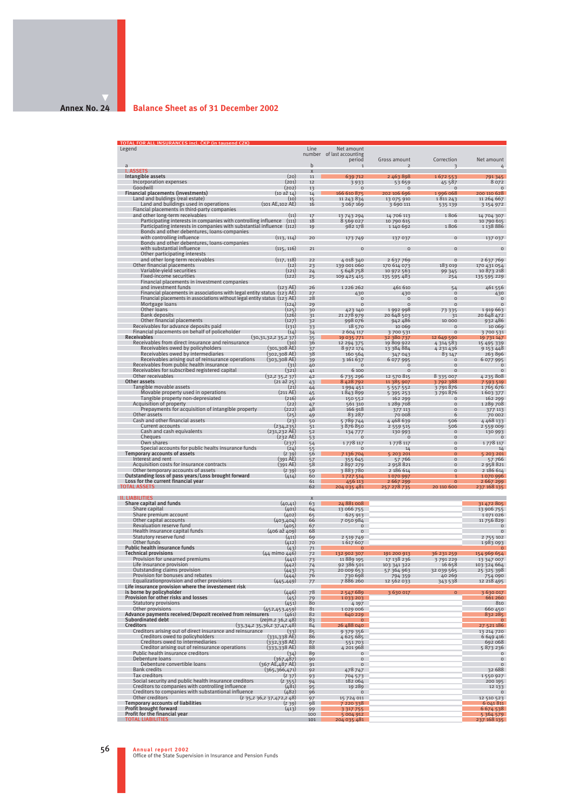#### **Annex No. 24**

#### **Balance Sheet as of 31 December 2002**

| TOTAL FOR ALL INSURANCES incl. ČKP (in tausend CZK)<br>Legend                                                                   | Line                    | Net amount                |                               |                        |                              |
|---------------------------------------------------------------------------------------------------------------------------------|-------------------------|---------------------------|-------------------------------|------------------------|------------------------------|
|                                                                                                                                 |                         | number of last accounting |                               | Correction             | Net amount                   |
| a                                                                                                                               | $\mathbf b$             | period<br>$\mathbf{1}$    | Gross amount<br>$\mathcal{D}$ | 3                      | 4                            |
| <b>I. ASSETS</b><br>Intangible assets                                                                                           | $\overline{\mathbf{x}}$ |                           |                               |                        |                              |
| (20)<br>Incorporation expenses<br>(201)                                                                                         | 11<br>12                | 639 712<br>3933           | 2 463 898<br>53 659           | 1672553<br>45 587      | 791345<br>8 0 7 2            |
| Goodwill<br>(202)                                                                                                               | 13                      | $\circ$                   | $\circ$                       | $\circ$                | $\circ$                      |
| Financial placements (investments)<br>(10 a <sup>2</sup> 14)<br>Land and buldings (real estate)<br>(10)                         | 14<br>15                | 166 610 875<br>11 243 834 | 202 106 696<br>13 075 910     | 1996 068<br>1811243    | 200 110 628<br>11 264 667    |
| Land and buildings used in operations<br>(101 AE, 102 AE)                                                                       | 16                      | 3 067 169                 | 3 690 111                     | 535 139                | 3 154 972                    |
| Fiancial placements in third-party companies<br>and other long-term receivables<br>(11)                                         | 17                      |                           | 14 706 113                    | 1806                   |                              |
| Participating interests in companies with controlling influence<br>(111)                                                        | 18                      | 13 743 294<br>8 569 027   | 10 790 615                    | $\circ$                | 14 704 307<br>10 790 615     |
| Participating interests in companies with substantial influence (112)                                                           | 19                      | 982 178                   | 1140 692                      | 1806                   | 1 138 886                    |
| Bonds and other debentures, loans-companies<br>with controlling influence<br>(113, 114)                                         | 20                      | 173749                    | 137 037                       | $\Omega$               | 137 037                      |
| Bonds and other debentures, loans-companies                                                                                     |                         |                           |                               |                        |                              |
| (115, 116)<br>with substantial influence                                                                                        | 21                      | $\circ$                   | $\circ$                       | $\circ$                | $\circ$                      |
| Other participating interests<br>(117, 118)<br>and other long-term receivables                                                  | 22                      | 4 018 340                 | 2 637 769                     | $\circ$                | 2 637 769                    |
| Other financial placements<br>(12)                                                                                              | 23                      | 139 001 060               | 170 614 073                   | 183 019                | 170 431 054                  |
| Variable-yield securities<br>(121)<br>Fixed-income securities<br>(122)                                                          | 24<br>25                | 5 648 758<br>109 425 415  | 10 972 563<br>135 595 483     | 99 345<br>254          | 10 873 218<br>135 595 229    |
| Financial placements in investment companies                                                                                    |                         |                           |                               |                        |                              |
| and investment funds<br>(123 AE)<br>Financial placements in associations with legal entity status (123 AE)                      | 26<br>27                | 1226262<br>430            | 461 610<br>430                | 54<br>$\circ$          | 461 556<br>430               |
| Financial placements in associations without legal entity status (123 AE)                                                       | 28                      | $\circ$                   | $\circ$                       | $\circ$                | $\circ$                      |
| Mortgage loans<br>(124)                                                                                                         | 29                      | $\circ$                   | $\Omega$                      | $\Omega$               | $\circ$                      |
| Other loans<br>(125)<br><b>Bank deposits</b><br>(126)                                                                           | 30<br>31                | 423 140<br>21 278 979     | 1992998<br>20 648 503         | 73 335<br>31           | 1919 663<br>20 648 472       |
| Other financial placements<br>(127)                                                                                             | 32                      | 998 076                   | 942 486                       | 10 000                 | 932 486                      |
| Receivables for advance deposits paid<br>(131)<br>Financial placements on behalf of policeholder                                | 33                      | 18 570                    | 10 069                        | $\circ$<br>$\circ$     | 10 069                       |
| (14)<br><b>Receivables</b><br>(30,31,32,235,237)                                                                                | 34<br>35                | 2 604 117<br>19 035 771   | 3700531<br>32 380 737         | 12 649 590             | 3700531<br>19 731 147        |
| Receivables from direct insurance and reinsurance<br>(30)                                                                       | 36                      | 12 294 375                | 19809922                      | 4 314 583              | 15 495 339                   |
| Receivables owed by policyholders<br>$(301, 308 \text{ AE})$<br>Receivables owed by intermediaries<br>(302,308 AE)              | 37<br>38                | 8 972 174<br>160 564      | 13 384 884<br>347 043         | 4231436<br>83 147      | 9 153 448<br>263896          |
| $(303, 308$ AE)<br>Receivables arising out of reinsurance operations                                                            | 39                      | 3 161 637                 | 6 077 995                     | $\circ$                | 6 077 995                    |
| Receivables from public health insurance<br>(31)<br>Receivables for subscribed registered capital<br>(321)                      | 40<br>41                | $\Omega$<br>6 100         | $\circ$<br>$\Omega$           | $\circ$<br>$\circ$     | $\circ$<br>$\circ$           |
| Other receivables<br>(32,235,237)                                                                                               | 42                      | 6735296                   | 12 570 815                    | 8 335 007              | 4235808                      |
| $(21 a \xi 25)$<br>Other assets                                                                                                 | 43                      | 8 4 2 8 7 9 2             | 11 385 907                    | 3792388                | 7 593 519                    |
| Tangible movable assets<br>(21)<br>Movable property used in operations<br>$(211 \text{ AE})$                                    | 44<br>45                | 1994 451<br>1843899       | 5 5 5 7 5 5 2<br>5 395 253    | 3791876<br>3791876     | 1765 676<br>1603377          |
| (216)<br>Tangible property non-depresiated                                                                                      | 46                      | 150 552                   | 162 299                       | $\Omega$               | 162 299                      |
| (22)<br>Acquisition of property<br>Prepayments for acquisition of intangible property<br>(222)                                  | 47<br>48                | 561 310<br>166 918        | 1289708                       | $\Omega$<br>$\Omega$   | 1289708                      |
| Other assets<br>(25)                                                                                                            | 49                      | 83 287                    | 377 113<br>70 008             | 6                      | 377 113<br>70 002            |
| Cash and other financial assets<br>(23)                                                                                         | 50                      | 5789744                   | 4468639                       | 506                    | 4 4 6 8 1 3 3                |
| Current accounts<br>(234, 235)<br>Cash and cash equivalents<br>$(231, 232)$ AE)                                                 | 51<br>52                | 3876850<br>134777         | 2 5 5 9 5 1 5<br>130 993      | 506<br>$\circ$         | 2 5 5 9 0 0 9<br>130 993     |
| $(232 \text{ AE})$<br>Cheques                                                                                                   | 53                      | $\Omega$                  | $\Omega$                      | $\circ$                | $\Omega$                     |
| Own shares<br>(237)<br>Special accounts for public healts insurance funds<br>(24)                                               | 54                      | 1778 117<br>$\Omega$      | 1778 117<br>14                | $\circ$<br>$\circ$     | 1778 117<br>14               |
| Temporary accounts of assets<br>(239)                                                                                           | 55<br>56                | 7 136 704                 | 5 203 201                     | $\overline{O}$         | 5 203 201                    |
| (391 AE)<br>Interest and rent                                                                                                   | 57                      | 355 645                   | 57766                         | $\circ$<br>$\Omega$    | 57 766                       |
| Acquisition costs for insurance contracts<br>(391 AE)<br>Other temporary accounts of assets<br>(239)                            | 58<br>59                | 2897279<br>3883780        | 2 958 821<br>2 186 614        | $\Omega$               | 2958821<br>2 186 614         |
| Outstanding loss of pass years/Loss brought forward<br>(414)                                                                    | 60                      | 1727 514                  | 1070997                       |                        | 1070996                      |
| Loss for the current financial year<br><b>TOTAL ASSETS</b>                                                                      | 61<br>62                | 456 113<br>204 035 481    | 2 667 299<br>257 278 735      | $\Omega$<br>20 110 600 | 2667299<br>237 168 135       |
|                                                                                                                                 |                         |                           |                               |                        |                              |
| <b>II. LIABILITIES</b><br>Share capital and funds<br>(40, 41)                                                                   | $\mathsf{x}$<br>63      | 24 881 008                |                               |                        | 31 472 805                   |
| Share capital<br>(401)                                                                                                          | 64                      | 13 066 755                |                               |                        | 13 906 755                   |
| Share premium account<br>(402)<br>Other capital accounts<br>(403, 404)                                                          | 65<br>66                | 625 913<br>7050984        |                               |                        | 1071026<br>11756829          |
| Revaluation reserve fund<br>(405)                                                                                               | 67                      | $\circ$                   |                               |                        | $\circ$                      |
| Health insurance capital funds<br>$(406 a\check{z} 409)$<br>Statutory reserve fund                                              | 68                      | $\circ$                   |                               |                        | $\circ$                      |
| (411)<br>Other funds<br>(412)                                                                                                   | 69<br>70                | 2 5 19 7 49<br>1617607    |                               |                        | 2 7 5 1 0 2<br>1983093       |
| Public health insurance funds<br>(43)<br><b>Technical provisions</b>                                                            | 71                      | $\Omega$                  |                               |                        | $\circ$                      |
| $(44 \text{ min} 446)$<br>Provision for unearned premiums<br>(441)                                                              | 72<br>73                | 132 902 307<br>11 889 195 | 191 200 913<br>17 138 236     | 36 231 259<br>3791229  | 154 969 654<br>13 347 007    |
| Life insurance provision<br>(442)                                                                                               | 74                      | 92 386 501                | 103 341 322                   | 16 658                 | 103 324 664                  |
| Outstanding claims provision<br>(443)<br>Provision for bonuses and rebates<br>(444)                                             | 75<br>76                | 20 009 653<br>730 698     | 57 364 963<br>794 359         | 32 039 565<br>40 26 9  | 25 325 398<br>754 090        |
| Equalizationprovision and other provisions<br>(445, 449)                                                                        | 77                      | 7886260                   | 12 562 033                    | 343 538                | 12 218 495                   |
| Life insurance provision where the investement risk<br>(446)                                                                    | 78                      |                           |                               | $\Omega$               | 3 6 30 0 17                  |
| is borne by policyholder<br>Provision for other risks and losses<br>(45)                                                        | 79                      | 2 547 689<br>1033 203     | 3 6 30 0 17                   |                        | 661 260                      |
| <b>Statutory provisions</b><br>(451)                                                                                            | 80                      | 4 1 9 7                   |                               |                        | 810                          |
| Other provisions<br>(452, 453, 459)<br>Advance payments received/Depozit received from reinsurers<br>(461)                      | 81<br>82                | 1029006<br>640 229        |                               |                        | 660 450<br>832 285           |
| Subordinated debt<br>(zejm.z 36,z 48)                                                                                           | 83                      | $\Omega$                  |                               |                        | $\circ$                      |
| <b>Creditors</b><br>(33,34,235,36,237,47,48)<br>Creditors arising out of direct insurance and reinsurance<br>(33)               | 84<br>85                | 26 488 040<br>9 379 356   |                               |                        | 27 521 186<br>13 214 720     |
| Creditors owed to policyholders<br>$(331, 338$ AE)                                                                              | 86                      | 4625685                   |                               |                        | 6 649 416                    |
| Creditors owed to intermediaries<br>(332,338AE)<br>Creditor arising out of reinsurance operations                               | 87<br>88                | 551703<br>4 201 968       |                               |                        | 692 068                      |
| (333,338AE)<br>Public health insurance creditors<br>(34)                                                                        | 89                      | $\circ$                   |                               |                        | 5873236<br>$\circ$           |
| Debenture loans<br>(367, 487)                                                                                                   | 90                      | $\circ$                   |                               |                        | $\circ$                      |
| Debenture convertible loans<br>$(367 \text{ AE}, 487 \text{ AE})$<br><b>Bank credits</b><br>(365, 366, 471)                     | 91<br>92                | $\Omega$<br>478 747       |                               |                        | $\circ$<br>32 688            |
| Tax creditors<br>(2, 37)                                                                                                        | 93                      | 704 573                   |                               |                        | 1550927                      |
| Social security and public health insurance creditors<br>(2, 355)<br>Creditors to companies with controlling influence<br>(481) | 94<br>95                | 182 064<br>19 28 9        |                               |                        | 200 195<br>12 133            |
| Creditors to companies with substantional influence<br>(482)                                                                    | 96                      | $\circ$                   |                               |                        | $\circ$                      |
| Other creditors<br>(2, 35, 2, 36, 2, 37, 472, 2, 48)<br><b>Temporary accounts of liabilities</b><br>(2, 39)                     | 97<br>98                | 15 724 011<br>7 220 338   |                               |                        | 12 510 523<br>6 041 811      |
| Profit brought forward<br>(413)                                                                                                 | 99                      | 3 3 1 7 7 5 5             |                               |                        | 6674538                      |
| Profit for the financial year<br><b>TOTAL LIABILITIES</b>                                                                       | 100<br>101              | 5 004 912<br>204 035 481  |                               |                        | 5 3 6 4 5 7 9<br>237 168 135 |
|                                                                                                                                 |                         |                           |                               |                        |                              |

**Annual report 2002** Office of the State Supervision in Insurance and Pension Funds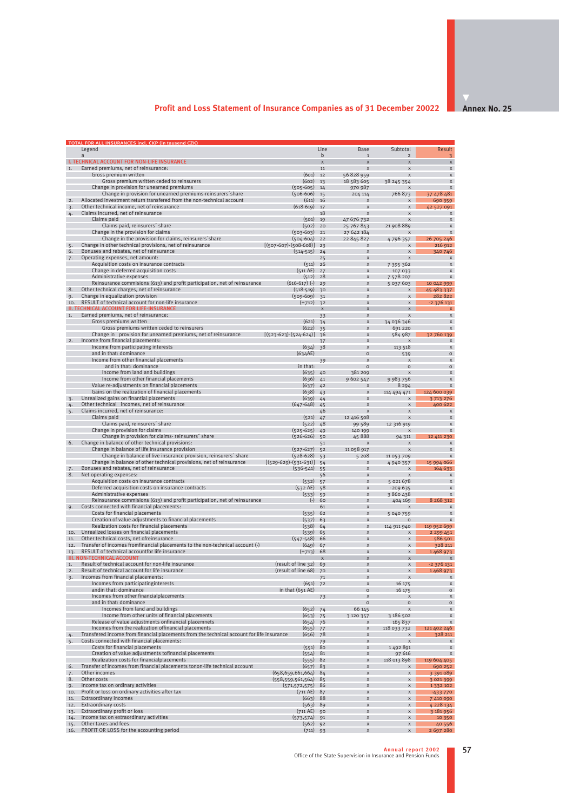## **Profit and Loss Statement of Insurance Companies as of 31 December 20022**

**Annex No. 25** 

|                        | TOTAL FOR ALL INSURANCES incl. ČKP (in tausend CZK)                                                                                              |                                               |                      |                              |                                      |                              |
|------------------------|--------------------------------------------------------------------------------------------------------------------------------------------------|-----------------------------------------------|----------------------|------------------------------|--------------------------------------|------------------------------|
|                        | Legend<br>a                                                                                                                                      |                                               | Line<br>$\mathsf{h}$ | Base<br>$\overline{1}$       | Subtotal<br>$\mathcal{D}$            | <b>Result</b>                |
|                        | I. TECHNICAL ACCOUNT FOR NON-LIFE INSURANCE                                                                                                      |                                               | $\mathsf X$          | X                            | $\mathsf{x}$                         | $\mathsf{x}$                 |
| 1.                     | Earned premiums, net of reinsurance:                                                                                                             |                                               | 11                   | $\mathbf{x}$                 | $\mathsf{x}$                         | $\mathbf{x}$                 |
|                        | Gross premium written<br>Gross premium written ceded to reinsurers                                                                               | (601)<br>(602)                                | 12<br>13             | 56828959<br>18 583 605       | $\mathbf{x}$<br>38 245 354           | X<br>$\mathbf{x}$            |
|                        | Change in provision for unearned premiums                                                                                                        | $(505 - 605)$                                 | 14                   | 970 987                      | X                                    | $\mathsf{x}$                 |
|                        | Change in provision for unearned premiums-reinsurers share                                                                                       | $(506 - 606)$                                 | 15                   | 204 114                      | 766873                               | 37 478 481                   |
| 2.<br>$\overline{3}$ . | Allocated investment return transfered from the non-technical account<br>Other technical income, net of reinsurance                              | (611)<br>$(618-619)$                          | 16<br>17             | $\mathsf{x}$<br>X            | $\mathsf{x}$<br>X                    | 690 359<br>42 527 091        |
| 4.                     | Claims incurred, net of reinsurance                                                                                                              |                                               | 18                   | $\mathbf{x}$                 | X                                    | $\mathsf{x}$                 |
|                        | Claims paid                                                                                                                                      | (501)                                         | 19                   | 47 676 732                   | X                                    | X                            |
|                        | Claims paid, reinsurers' share                                                                                                                   | $(502)$ 20                                    |                      | 25 767 843                   | 21 908 889                           | $\mathbf{x}$<br>$\mathbf{x}$ |
|                        | Change in the provision for claims<br>Change in the provision for claims, reinsurers' share                                                      | $(503 - 603)$<br>$(504 - 604)$                | 21<br>22             | 27 642 184<br>22 845 827     | X<br>4796357                         | 26 705 246                   |
| 5.                     | Change in other technical provisions, net of reinsurance                                                                                         | $[(507-607)-(508-608)]$                       | 23                   | $\mathbf{x}$                 | $\mathsf{x}$                         | 216 912                      |
| 6.                     | Bonuses and rebates, net of reinsurance                                                                                                          | $(514 - 515)$                                 | 24                   | X                            | X                                    | 340 746                      |
| 7.                     | Operating expenses, net amount:<br>Acquisition costs on insurance contracts                                                                      | $(511)$ 26                                    | 25                   | X<br>X                       | $\mathbf{x}$<br>7 395 362            | $\mathbf{x}$<br>$\mathbf{x}$ |
|                        | Change in deferred acquisition costs                                                                                                             | $(511 \text{ AE})$                            | 27                   | X                            | 107 033                              | $\mathsf{x}$                 |
|                        | Administrative expenses                                                                                                                          | (512)                                         | 28                   | $\mathsf{x}$                 | 7 578 207                            | X                            |
| 8.                     | Reinsurance commisions (613) and profit participation, net of reinsurance<br>Other technical charges, net of reinsurance                         | $(616-617)$ $(-)$<br>$(518-519)$              | 29                   | X<br>X                       | 5 037 603<br>X                       | 10 042 999<br>45 483 337     |
| 9.                     | Change in equalization provision                                                                                                                 | $(509-609)$                                   | 30<br>31             | X                            | X                                    | 282822                       |
| 10.                    | RESULT of technical account for non-life insurance                                                                                               | $(=712)$                                      | 32                   | $\mathbf{x}$                 | $\mathbf{x}$                         | -2 376 131                   |
| -II. 1                 | ECHNICAL ACCOUNT FOR LIFE-INSURANCE                                                                                                              |                                               | $\mathsf{x}$         | $\mathsf{x}$                 | X                                    |                              |
| 1.                     | Earned premiums, net of reinsurance:<br>Gross premiums written                                                                                   | (621)                                         | 33<br>34             | X<br>$\mathbf{x}$            | $\mathsf{x}$<br>34 036 346           | X<br>$\mathbf{x}$            |
|                        | Gross premiums written ceded to reinsurers                                                                                                       | (622)                                         | 35                   | X                            | 691 220                              | X                            |
|                        | Change in provision for unearned premiums, net of reinsurance                                                                                    | $[(523.623)-(524.624)]$                       | 36                   | $\mathbf{x}$                 | 584 987                              | 32 760 139                   |
| 2.                     | Income from financial placements:<br>Income from participating interests                                                                         | (634)                                         | 37<br>38             | $\mathsf{x}$<br>X            | X<br>113 518                         | X                            |
|                        | and in that: dominance                                                                                                                           | (634AE)                                       |                      | $\circ$                      | 539                                  | $\Omega$                     |
|                        | Income from other financial placements                                                                                                           |                                               | 39                   | X                            | X                                    |                              |
|                        | and in that: dominance                                                                                                                           | in that:                                      |                      | $\Omega$                     | $\circ$                              | $\Omega$                     |
|                        | Income from land and buildings<br>Income from other financial placements                                                                         | (635)<br>(636)                                | 40<br>41             | 381 209<br>9 602 547         | $\boldsymbol{\mathsf{x}}$<br>9983756 | $\mathsf{x}$<br>X            |
|                        | Value re-adjustments on financial placements                                                                                                     | (637)                                         | 42                   | $\mathsf{x}$                 | 8 2 9 4                              | $\mathbf{x}$                 |
|                        | Gains on the realization of financial placements                                                                                                 | (638)                                         | 43                   | X                            | 114 494 471                          | 124 600 039                  |
| $\overline{3}$ .       | Unrealized gains on finantial placements<br>Other technical incomes, net of reinsurance                                                          | (639)<br>$(647 - 648)$                        | 44                   | $\mathbf{x}$<br>$\mathsf{x}$ | $\mathsf{x}$<br>$\mathsf{x}$         | 3713276<br>400 622           |
| 4.<br>5.               | Claims incurred, net of reinsurance:                                                                                                             |                                               | 45<br>46             | $\mathbf{x}$                 | $\mathbf{x}$                         | $\mathsf{x}$                 |
|                        | Claims paid                                                                                                                                      | (521)                                         | 47                   | 12 416 508                   | X                                    | X                            |
|                        | Claims paid, reinsurers' share                                                                                                                   | (522)                                         | 48                   | 99 589                       | 12 316 919                           | X                            |
|                        | Change in provision for claims<br>Change in provision for claims- reinsurers' share                                                              | $(525-625)$<br>$(526-626)$                    | 49<br>50             | 140 199<br>45 888            | X<br>94 311                          | $\mathbf{x}$<br>12 411 230   |
| 6.                     | Change in balance of other technical provisions:                                                                                                 |                                               | 51                   |                              | X                                    | X                            |
|                        | Change in balance of life insurance provision                                                                                                    | $(527-627)$                                   | 52                   | 11 058 917                   | X                                    | X                            |
|                        | Change in balance of live insurance provision, reinsurers' share<br>Change in balance of other technical provisions, net of reinsurance          | $(528-628)$<br>$[(529-629)-(531-631)]$        | 53<br>54             | 5 2 0 8<br>X                 | 11 053 709<br>4 940 357              | $\mathsf{x}$<br>15 994 066   |
| 7.                     | Bonuses and rebates, net of reinsurance                                                                                                          | $(536-541)$                                   | 55                   | X                            | $\mathsf{x}$                         | 164 633                      |
| 8.                     | Net operating expenses:                                                                                                                          |                                               | 56                   | X                            | $\mathbf{x}$                         | $\mathsf{x}$                 |
|                        | Acquisition costs on insurance contracts<br>Deferred acquisition costs on insurance contracts                                                    | (532)<br>$(532 \text{ AE})$                   | 57<br>58             | X<br>X                       | 5 021 678<br>$-209635$               | X<br>$\mathsf{x}$            |
|                        | Administrative expenses                                                                                                                          | $(533)$ 59                                    |                      | $\mathsf{x}$                 | 3860438                              | X                            |
|                        | Reinsurance commisions (613) and profit participation, net of reinsurance                                                                        | $(-)$                                         | - 60                 | X                            | 404 169                              | 8 268 312                    |
| 9.                     | Costs connected with financial placements:                                                                                                       |                                               | 61                   | $\mathbf{x}$                 | X                                    | $\mathbf{x}$                 |
|                        | Costs for financial placements<br>Creation of value adjustments to financial placements                                                          | (535)<br>$(537)$ 63                           | 62                   | X<br>X                       | 5 040 759<br>$\Omega$                | X<br>$\mathsf{x}$            |
|                        | Realization costs for financial placements                                                                                                       | $(538)$ 64                                    |                      | X                            | 114 911 940                          | 119 952 699                  |
| 10.                    | Unrealized losses on financial placements                                                                                                        | $(539)$ 65                                    |                      | $\mathbf{x}$                 | X                                    | 2 2 9 4 4 5 1                |
| 11.<br>12.             | Other technical costs, net ofreinsurance<br>Transfer of incomes fromfinancial placements to the non-technical account (-)                        | $(547 - 548)$                                 | 66                   | $\mathbf{x}$<br>X            | $\mathbf{x}$<br>X                    | 586 501<br>328 211           |
| 13.                    | RESULT of technical accountfor life insurance                                                                                                    | $(649)$ 67<br>$(=713)$                        | 68                   | $\mathbf{x}$                 | X                                    | 1468973                      |
|                        | <b>III. NON-TECHNICAL ACCOUNT</b>                                                                                                                |                                               | $\mathsf{x}$         | $\mathsf{x}$                 | X                                    |                              |
| 1.                     | Result of technical account for non-life insurance                                                                                               | (result of line 32) 69                        |                      | $\mathbf{x}$                 | $\mathbf{x}$                         | $-2376131$                   |
| 2.<br>3.               | Result of technical account for life insurance<br>Incomes from financial placements:                                                             | (result of line 68)                           | 70<br>71             | X<br>X                       | X<br>X                               | 1468 973<br>$\mathsf{x}$     |
|                        | Incomes from participatinginterests                                                                                                              | (651)                                         | 72                   | $\mathsf{x}$                 | 16 175                               | X                            |
|                        | andin that: dominance                                                                                                                            | in that $(651 \text{ AE})$                    |                      | $\circ$                      | 16 175                               | $\circ$                      |
|                        | Incomes from other financialplacements<br>and in that: dominance                                                                                 |                                               | 73                   | X<br>$\circ$                 | $\boldsymbol{\mathsf{x}}$<br>$\circ$ | X<br>$\circ$                 |
|                        | Incomes from land and buildings                                                                                                                  | $(652)$ 74                                    |                      | 66 145                       | $\mathbf{x}$                         | X                            |
|                        | Income from other units of financial placements                                                                                                  | (653)                                         | 75                   | 3 120 357                    | 3 186 502                            | X                            |
|                        | Release of value adjustments onfinancial placemnets                                                                                              | $(654)$ 76                                    |                      | $\mathsf{x}$                 | 165 837                              | X                            |
| 4.                     | Incomes from the realization offinancial placements<br>Transfered income from financial placements from the technical account for life insurance | (655)<br>(656)                                | 77<br>78             | X<br>X                       | 118 033 732<br>X                     | 121 402 246<br>328 211       |
| 5.                     | Costs connected with financial placements:                                                                                                       |                                               | 79                   | X                            | X                                    | $\mathsf{x}$                 |
|                        | Costs for financial placements                                                                                                                   | $(551)$ 80                                    |                      | X                            | 1492891                              | X                            |
|                        | Creation of value adjustments tofinancial placements<br>Realization costs for financialplacements                                                | (554)<br>$(555)$ 82                           | 81                   | X<br>X                       | 97 616<br>118 013 898                | X<br>119 604 405             |
| 6.                     | Transfer of incomes from financial placements tonon-life technical account                                                                       | (657)                                         | 83                   | X                            | X                                    | 690 252                      |
| 7.                     | Other incomes                                                                                                                                    | (658, 659, 661, 664)                          | 84                   | X                            | X                                    | 3 3 9 1 0 8 9                |
| 8.                     | Other costs                                                                                                                                      | $(558, 559, 561, 564)$ 85                     |                      | X                            | X                                    | 3021399                      |
| 9.<br>10.              | Income tax on ordinary activities<br>Profit or loss on ordinary activities after tax                                                             | $(571, 572, 575)$ 86<br>$(711 \text{ AE})$ 87 |                      | $\mathbf{x}$<br>$\mathbf{x}$ | X<br>$\mathbf{x}$                    | 1 3 3 2 1 0 2<br>$-433770$   |
| 11.                    | <b>Extraordinary incomes</b>                                                                                                                     | $(663)$ 88                                    |                      | X                            | X                                    | 7 410 090                    |
| 12.                    | <b>Extraordinary costs</b>                                                                                                                       | $(563)$ 89                                    |                      | $\mathbf{x}$                 | $\mathbf{x}$                         | 4228134                      |
| 13.<br>14.             | Extraordinary profit or loss<br>Income tax on extraordinary activities                                                                           | $(711 \text{ AE})$<br>$(573, 574)$ 91         | 90                   | X<br>X                       | X<br>X                               | 3 181 956<br>10 350          |
| 15.                    | Other taxes and fees                                                                                                                             | $(562)$ 92                                    |                      | $\mathsf X$                  | $\mathsf X$                          | 40 556                       |
| 16.                    | PROFIT OR LOSS for the accounting period                                                                                                         | $(711)$ 93                                    |                      | X                            | X                                    | 2 697 280                    |

**Annual report 2002** Office of the State Supervision in Insurance and Pension Funds

 $\vert$  57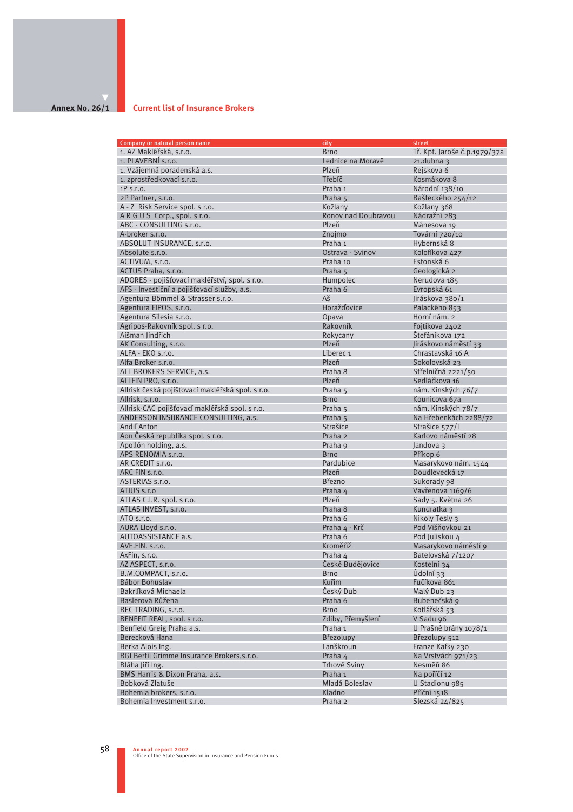## **Annex No. 26/1**

#### **Current list of Insurance Brokers**

| Company or natural person name                   | city                | street                       |
|--------------------------------------------------|---------------------|------------------------------|
| 1. AZ Makléřská, s.r.o.                          | <b>Brno</b>         | Tř. Kpt. Jaroše č.p.1979/37a |
| 1. PLAVEBNI s.r.o.                               | Lednice na Moravě   | $21$ .dubna 3                |
| 1. Vzájemná poradenská a.s.                      | Plzeň               | Rejskova 6                   |
| 1. zprostředkovací s.r.o.                        | Třebíč              | Kosmákova 8                  |
| $1P$ s.r.o.                                      | Praha 1             | Národní 138/10               |
| 2P Partner, s.r.o.                               |                     | Bašteckého 254/12            |
|                                                  | Praha 5             |                              |
| A - Z Risk Service spol. s r.o.                  | Kožlany             | Kožlany 368                  |
| ARGUS Corp., spol. s r.o.                        | Ronov nad Doubravou | Nádražní 283                 |
| ABC - CONSULTING s.r.o.                          | Plzeň               | Mánesova 19                  |
| A-broker s.r.o.                                  | Znojmo              | Tovární 720/10               |
| ABSOLUT INSURANCE, s.r.o.                        | Praha 1             | Hybernská 8                  |
| Absolute s.r.o.                                  | Ostrava - Svinov    | Kolofíkova 427               |
| ACTIVUM, s.r.o.                                  | Praha 10            | Estonská 6                   |
| ACTUS Praha, s.r.o.                              | Praha 5             | Geologická 2                 |
| ADORES - pojišťovací makléřství, spol. s r.o.    | Humpolec            | Nerudova 185                 |
|                                                  |                     |                              |
| AFS - Investiční a pojišťovací služby, a.s.      | Praha 6             | Evropská 61                  |
| Agentura Bömmel & Strasser s.r.o.                | Aš                  | Jiráskova 380/1              |
| Agentura FIPOS, s.r.o.                           | <b>Horažďovice</b>  | Palackého 853                |
| Agentura Silesia s.r.o.                          | Opava               | Horní nám. 2                 |
| Agripos-Rakovník spol. s r.o.                    | Rakovník            | Fojtíkova 2402               |
| Aišman Jindřich                                  | Rokycany            | Štefánikova 172              |
| AK Consulting, s.r.o.                            | Plzeň               | Jiráskovo náměstí 33         |
| ALFA - EKO s.r.o.                                | Liberec 1           | Chrastavská 16 A             |
| Alfa Broker s.r.o.                               | Plzeň               | Sokolovská 23                |
| ALL BROKERS SERVICE, a.s.                        | Praha 8             | Střelničná 2221/50           |
| ALLFIN PRO, s.r.o.                               | Plzeň               | Sedláčkova 16                |
| Allrisk česká pojišťovací makléřská spol. s r.o. |                     | nám. Kinských 76/7           |
|                                                  | Praha 5             |                              |
| Allrisk. s.r.o.                                  | <b>Brno</b>         | Kounicova 67a                |
| Allrisk-CAC pojišťovací makléřská spol. s r.o.   | Praha 5             | nám. Kinských 78/7           |
| ANDERSON INSURANCE CONSULTING, a.s.              | Praha 5             | Na Hřebenkách 2288/72        |
| Andil'Anton                                      | Strašice            | Strašice 577/I               |
| Aon Česká republika spol. s r.o.                 | Praha 2             | Karlovo náměstí 28           |
| Apollón holding, a.s.                            | Praha 9             | Jandova 3                    |
| APS RENOMIA s.r.o.                               | <b>Brno</b>         | Příkop 6                     |
| AR CREDIT s.r.o.                                 | Pardubice           | Masarykovo nám. 1544         |
| ARC FIN s.r.o.                                   | Plzeň               | Doudlevecká 17               |
| ASTERIAS s.r.o.                                  | <b>Březno</b>       | Sukorady 98                  |
| ATIUS s.r.o                                      | Praha 4             | Vavřenova 1169/6             |
| ATLAS C.I.R. spol. s r.o.                        | Plzeň               | Sady 5. Května 26            |
|                                                  |                     |                              |
| ATLAS INVEST, s.r.o.                             | Praha 8             | Kundratka 3                  |
| ATO S.r.o.                                       | Praha 6             | Nikoly Tesly 3               |
| AURA Lloyd s.r.o.                                | Praha 4 - Krč       | Pod Višňovkou 21             |
| AUTOASSISTANCE a.s.                              | Praha 6             | Pod Juliskou 4               |
| AVE.FIN. s.r.o.                                  | Kroměříž            | Masarykovo náměstí 9         |
| AxFin, s.r.o.                                    | Praha 4             | Batelovská 7/1207            |
| AZ ASPECT, s.r.o.                                | České Budějovice    | Kostelní 34                  |
| B.M.COMPACT, s.r.o.                              | Brno                | Údolní 33                    |
| Bábor Bohuslav                                   | Kuřim               | Fučíkova 861                 |
| Bakrlíková Michaela                              | Český Dub           | Malý Dub 23                  |
| Baslerová Růžena                                 | Praha 6             | Bubenečská 9                 |
| BEC TRADING, s.r.o.                              | <b>Brno</b>         | Kotlářská 53                 |
| BENEFIT REAL, spol. s r.o.                       | Zdiby, Přemyšlení   | V Sadu 96                    |
|                                                  |                     |                              |
| Benfield Greig Praha a.s.                        | Praha 1             | U Prašné brány 1078/1        |
| Berecková Hana                                   | Březolupy           | Březolupy 512                |
| Berka Alois Ing.                                 | Lanškroun           | Franze Kafky 230             |
| BGI Bertil Grimme Insurance Brokers, s.r.o.      | Praha 4             | Na Vrstvách 971/23           |
| Bláha Jiří Ing.                                  | Trhové Sviny        | Nesměň 86                    |
| BMS Harris & Dixon Praha, a.s.                   | Praha 1             | Na poříčí 12                 |
| Bobková Zlatuše                                  | Mladá Boleslav      | U Stadionu 985               |
| Bohemia brokers, s.r.o.                          | Kladno              | Příční 1518                  |
| Bohemia Investment s.r.o.                        | Praha <sub>2</sub>  | Slezská 24/825               |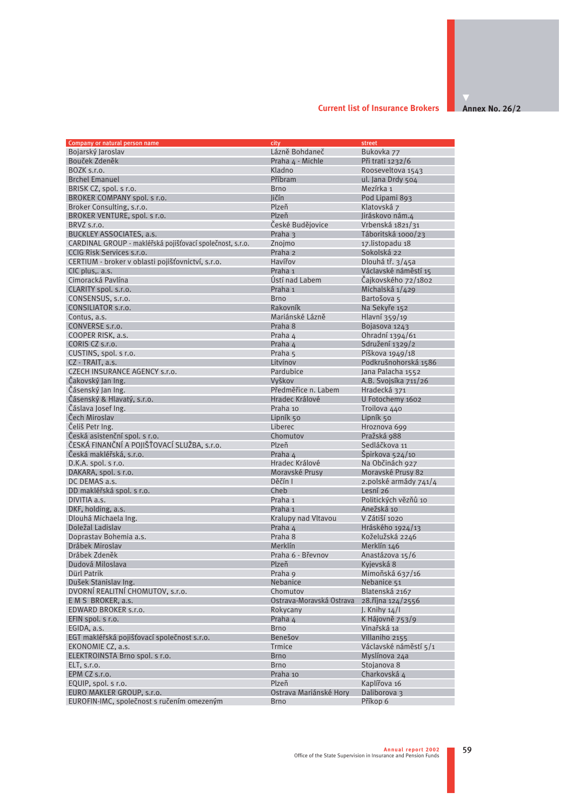#### **Current list of Insurance Brokers**

**Annex No. 26/2** 

| Company or natural person name                            | city                     | street                |
|-----------------------------------------------------------|--------------------------|-----------------------|
| Bojarský Jaroslav                                         | Lázně Bohdaneč           | Bukovka 77            |
| Bouček Zdeněk                                             | Praha 4 - Michle         | Při trati 1232/6      |
| BOZK s.r.o.                                               | Kladno                   | Rooseveltova 1543     |
| <b>Brchel Emanuel</b>                                     | Příbram                  | ul. Jana Drdy 504     |
| BRISK CZ, spol. s r.o.                                    | <b>Brno</b>              | Mezírka 1             |
| BROKER COMPANY spol. s r.o.                               | <b>Jičín</b>             | Pod Lipami 893        |
| Broker Consulting, s.r.o.                                 | Plzeň                    | Klatovská z           |
| BROKER VENTURE, spol. s r.o.                              | Plzeň                    | Jiráskovo nám.4       |
| BRVZ s.r.o.                                               | České Budějovice         | Vrbenská 1821/31      |
| <b>BUCKLEY ASSOCIATES, a.s.</b>                           | Praha 3                  | Táboritská 1000/23    |
| CARDINAL GROUP - makléřská pojišťovací společnost, s.r.o. | Znoimo                   | 17.listopadu 18       |
| CCIG Risk Services s.r.o.                                 | Praha <sub>2</sub>       | Sokolská 22           |
| CERTIUM - broker v oblasti pojišťovnictví, s.r.o.         | Havířov                  | Dlouhá tř. 3/45a      |
| CIC plus, a.s.                                            | Praha 1                  | Václavské náměstí 15  |
| Cimoracká Pavlína                                         | Ústí nad Labem           | Čajkovského 72/1802   |
| CLARITY spol. s.r.o.                                      | Praha 1                  | Michalská 1/429       |
| CONSENSUS, s.r.o.                                         | <b>Brno</b>              | Bartošova 5           |
| CONSILIATOR s.r.o.                                        | Rakovník                 | Na Sekyře 152         |
| Contus, a.s.                                              | Mariánské Lázně          | Hlavní 359/19         |
| CONVERSE s.r.o.                                           | Praha 8                  | Bojasova 1243         |
| COOPER RISK, a.s.                                         | Praha 4                  | Ohradní 1394/61       |
| CORIS CZ s.r.o.                                           | Praha 4                  | Sdružení 1329/2       |
| CUSTINS, spol. s r.o.                                     | Praha 5                  | Píškova 1949/18       |
| CZ - TRAIT, a.s.                                          | Litvínov                 | Podkrušnohorská 1586  |
| CZECH INSURANCE AGENCY s.r.o.                             | Pardubice                | Jana Palacha 1552     |
| Čakovský Jan Ing.                                         | Vyškov                   | A.B. Svojsíka 711/26  |
| Čásenský Jan Ing.                                         | Předměřice n. Labem      | Hradecká 371          |
| Čásenský & Hlavatý, s.r.o.                                | Hradec Králové           | U Fotochemy 1602      |
| Čáslava Josef Ing.                                        | Praha 10                 | Troilova 440          |
| Čech Miroslav                                             | Lipník 50                | Lipník 50             |
| Čeliš Petr Ing.                                           | Liberec                  | Hroznova 699          |
| Česká asistenční spol. s r.o.                             | Chomutov                 | Pražská 988           |
| ČESKÁ FINANČNÍ A POJIŠŤOVACÍ SLUŽBA, s.r.o.               | Plzeň                    | Sedláčkova 11         |
| Česká makléřská, s.r.o.                                   | Praha 4                  | Špirkova 524/10       |
| $D.K.A.$ spol. s r.o.                                     | Hradec Králové           | Na Občinách 927       |
| DAKARA, spol. s r.o.                                      | Moravské Prusy           | Moravské Prusy 82     |
| DC DEMAS a.s.                                             | Děčín I                  | 2.polské armády 741/4 |
| DD makléřská spol. s r.o.                                 | Cheb                     | Lesní 26              |
| DIVITIA a.s.                                              | Praha 1                  | Politických vězňů 10  |
| DKF, holding, a.s.                                        | Praha 1                  | Anežská 10            |
| Dlouhá Michaela Ing.                                      | Kralupy nad Vltavou      | V Zátiší 1020         |
| Doležal Ladislav                                          | Praha 4                  | Hráského 1924/13      |
| Doprastav Bohemia a.s.                                    | Praha 8                  | Koželužská 2246       |
| Drábek Miroslav                                           | Merklín                  | Merklín 146           |
| Drábek Zdeněk                                             | Praha 6 - Břevnov        | Anastázova 15/6       |
| Dudová Miloslava                                          | Plzeň                    | Kyjevská 8            |
| Dürl Patrik                                               | Praha 9                  | Mimoňská 637/16       |
| Dušek Stanislav Ing.                                      | Nebanice                 | Nebanice 51           |
| DVORNÍ REALITNÍ CHOMUTOV, s.r.o.                          | Chomutov                 | Blatenská 2167        |
| EMS BROKER, a.s.                                          | Ostrava-Moravská Ostrava | 28. října 124/2556    |
| EDWARD BROKER s.r.o.                                      | Rokycany                 | J. Knihy $14/1$       |
| EFIN spol. s r.o.                                         | Praha 4                  | K Hájovně 753/9       |
| EGIDA, a.s.                                               | <b>Brno</b>              | Vinařská 1a           |
| EGT makléřská pojišťovací společnost s.r.o.               | Benešov                  | Villaniho 2155        |
| EKONOMIE CZ, a.s.                                         | <b>Trmice</b>            | Václavské náměstí 5/1 |
| ELEKTROINSTA Brno spol. s r.o.                            | <b>Brno</b>              | Myslínova 24a         |
| ELT. s.r.o.                                               | <b>Brno</b>              | Stojanova 8           |
| EPM CZ s.r.o.                                             | Praha 10                 | Charkovská 4          |
| EQUIP, spol. s r.o.                                       | Plzeň                    | Kaplířova 16          |
| EURO MAKLER GROUP, s.r.o.                                 | Ostrava Mariánské Hory   | Daliborova 3          |
| EUROFIN-IMC, společnost s ručením omezeným                | <b>Brno</b>              | Příkop 6              |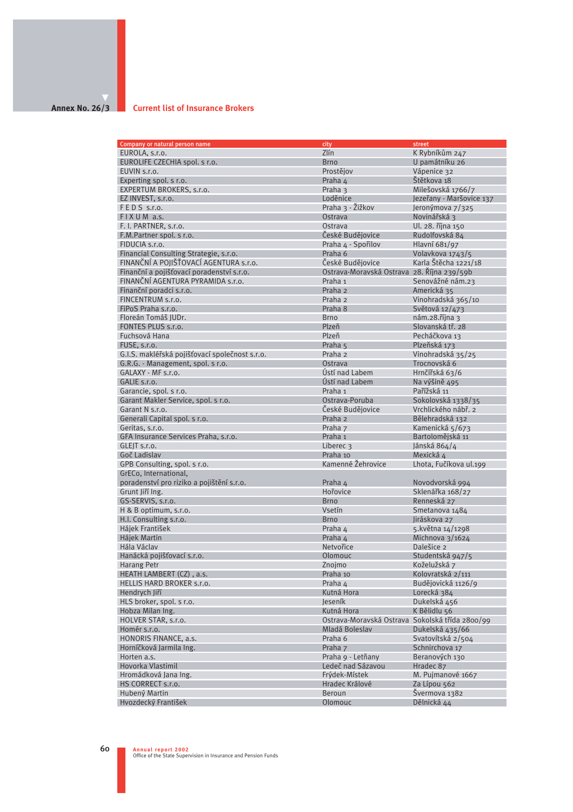## **Annex No. 26/3**

#### **Current list of Insurance Brokers**

| Company or natural person name                 | city                                            | street                    |
|------------------------------------------------|-------------------------------------------------|---------------------------|
| EUROLA, s.r.o.                                 | Zlín                                            | K Rybníkům 247            |
| EUROLIFE CZECHIA spol. s r.o.                  | <b>Brno</b>                                     | U památníku 26            |
| EUVIN s.r.o.                                   | Prostějov                                       | Vápenice 32               |
| Experting spol. s r.o.                         | Praha 4                                         | Štětkova 18               |
| EXPERTUM BROKERS, s.r.o.                       | Praha 3                                         | Milešovská 1766/7         |
| EZ INVEST, s.r.o.                              | Loděnice                                        | Jezeřany - Maršovice 137  |
| FEDS s.r.o.                                    | Praha 3 - Žižkov                                | Jeronýmova 7/325          |
| FIXUM a.s.                                     | Ostrava                                         | Novinářská 3              |
| F. I. PARTNER, s.r.o.                          | Ostrava                                         | Ul. 28. října 150         |
| F.M.Partner spol. s r.o.                       | České Budějovice                                | Rudolfovská 84            |
| FIDUCIA s.r.o.                                 | Praha 4 - Spořilov                              | Hlavní 681/97             |
| Financial Consulting Strategie, s.r.o.         | Praha 6                                         | Volavkova 1743/5          |
| FINANČNÍ A POJIŠŤOVACÍ AGENTURA s.r.o.         | České Budějovice                                | Karla Štěcha 1221/18      |
| Finanční a pojišťovací poradenství s.r.o.      | Ostrava-Moravská Ostrava 28. Října 239/59b      |                           |
| FINANČNÍ AGENTURA PYRAMIDA s.r.o.              | Praha 1                                         | Senovážné nám.23          |
| Finanční poradci s.r.o.                        | Praha 2                                         | Americká 35               |
| FINCENTRUM s.r.o.                              |                                                 |                           |
|                                                | Praha <sub>2</sub>                              | Vinohradská 365/10        |
| FiPoS Praha s.r.o.                             | Praha 8                                         | Světová 12/473            |
| Floreán Tomáš JUDr.                            | <b>Brno</b>                                     | nám.28.října <sub>3</sub> |
| FONTES PLUS s.r.o.                             | Plzeň                                           | Slovanská tř. 28          |
| Fuchsová Hana                                  | Plzeň                                           | Pecháčkova 13             |
| FUSE, s.r.o.                                   | Praha 5                                         | Plzeňská 173              |
| G.I.S. makléřská pojišťovací společnost s.r.o. | Praha 2                                         | Vinohradská 35/25         |
| G.R.G. - Management, spol. s r.o.              | Ostrava                                         | Trocnovská 6              |
| GALAXY - MF s.r.o.                             | Ústí nad Labem                                  | Hrnčířská 63/6            |
| GALIE s.r.o.                                   | Ústí nad Labem                                  | Na výšině 495             |
| Garancie, spol. s r.o.                         | Praha 1                                         | Pařížská 11               |
| Garant Makler Service, spol. s r.o.            | Ostrava-Poruba                                  | Sokolovská 1338/35        |
| Garant N s.r.o.                                | České Budějovice                                | Vrchlického nábř. 2       |
| Generali Capital spol. s r.o.                  | Praha 2                                         | Bělehradská 132           |
| Geritas, s.r.o.                                | Praha 7                                         | Kamenická 5/673           |
| GFA Insurance Services Praha, s.r.o.           | Praha 1                                         | Bartolomějská 11          |
| GLEJT s.r.o.                                   | Liberec 3                                       | Jánská 864/4              |
| Goč Ladislav                                   | Praha 10                                        | Mexická 4                 |
| GPB Consulting, spol. s r.o.                   | Kamenné Žehrovice                               | Lhota, Fučíkova ul.199    |
| GrECo, International,                          |                                                 |                           |
| poradenství pro riziko a pojištění s.r.o.      | Praha 4                                         | Novodvorská 994           |
| Grunt Jiří Ing.                                | Hořovice                                        | Sklenářka 168/27          |
| GS-SERVIS, s.r.o.                              | <b>Brno</b>                                     | Renneská 27               |
| H & B optimum, s.r.o.                          | Vsetín                                          | Smetanova 1484            |
| H.I. Consulting s.r.o.                         | <b>Brno</b>                                     | Jiráskova 27              |
| Hájek František                                | Praha 4                                         | 5. května 14/1298         |
| <b>Háiek Martin</b>                            | Praha 4                                         | Michnova 3/1624           |
| Hála Václav                                    | Netvořice                                       | Dalešice 2                |
| Hanácká pojišťovací s.r.o.                     | Olomouc                                         | Studentská 947/5          |
| Harang Petr                                    | Znojmo                                          | Koželužská z              |
| HEATH LAMBERT (CZ), a.s.                       | Praha 10                                        | Kolovratská 2/111         |
| HELLIS HARD BROKER s.r.o.                      | Praha 4                                         | Budějovická 1126/9        |
| Hendrych Jiří                                  | Kutná Hora                                      | Lorecká 384               |
| HLS broker, spol. s r.o.                       | Jeseník                                         | Dukelská 456              |
| Hobza Milan Ing.                               | Kutná Hora                                      | K Bělidlu 56              |
| HOLVER STAR, s.r.o.                            | Ostrava-Moravská Ostrava Sokolská třída 2800/99 |                           |
| Homér s.r.o.                                   | Mladá Boleslav                                  | Dukelská 435/66           |
| HONORIS FINANCE, a.s.                          | Praha 6                                         | Svatovítská 2/504         |
| Horníčková Jarmila Ing.                        | Praha 7                                         | Schnirchova 17            |
| Horten a.s.                                    | Praha 9 - Letňany                               | Beranových 130            |
| Hovorka Vlastimil                              | Ledeč nad Sázavou                               | Hradec 87                 |
| Hromádková Jana Ing.                           | Frýdek-Místek                                   | M. Pujmanové 1667         |
| HS CORRECT s.r.o.                              | Hradec Králové                                  | Za Lípou 562              |
| Hubený Martin                                  | Beroun                                          | Švermova 1382             |
| Hvozdecký František                            | Olomouc                                         | Dělnická 44               |
|                                                |                                                 |                           |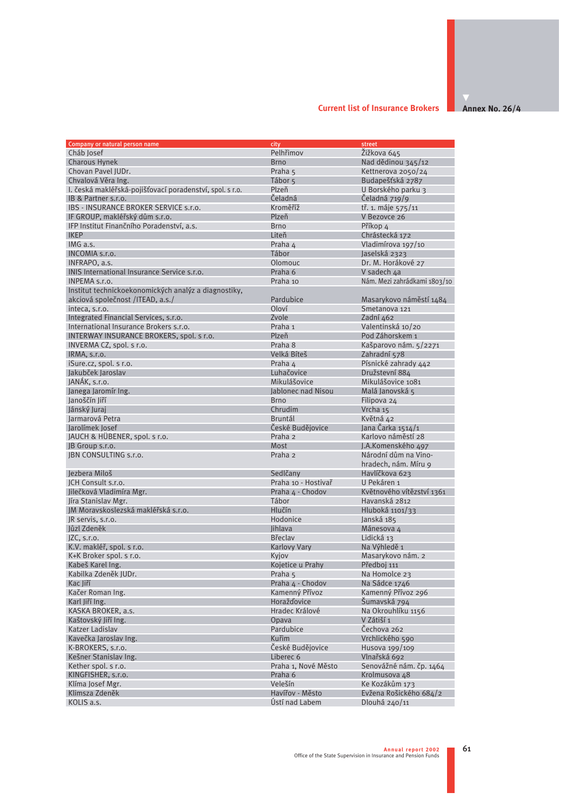#### **Annex No. 26/4 Current list of Insurance Brokers**

| Company or natural person name                           | city                | street                       |
|----------------------------------------------------------|---------------------|------------------------------|
| Cháb Josef                                               | Pelhřimov           | Žižkova 645                  |
| <b>Charous Hynek</b>                                     | <b>Brno</b>         | Nad dědinou 345/12           |
| Chovan Pavel IUDr.                                       | Praha 5             | Kettnerova 2050/24           |
| Chvalová Věra Ing.                                       | Tábor 5             | Budapešťská 2787             |
| I. česká makléřská-pojišťovací poradenství, spol. s r.o. | Plzeň               | U Borského parku 3           |
| IB & Partner s.r.o.                                      | Čeladná             | Čeladná 719/9                |
| IBS - INSURANCE BROKER SERVICE s.r.o.                    | Kroměříž            | tř. 1. máje 575/11           |
| IF GROUP, makléřský dům s.r.o.                           | Plzeň               | V Bezovce 26                 |
| IFP Institut Finančního Poradenství, a.s.                | <b>Brno</b>         | Příkop 4                     |
| <b>IKEP</b>                                              | Liteň               | Chrástecká 172               |
| IMG a.s.                                                 | Praha 4             | Vladimírova 197/10           |
| INCOMIA s.r.o.                                           | Tábor               | Jaselská 2323                |
| INFRAPO, a.s.                                            | Olomouc             | Dr. M. Horákové 27           |
| INIS International Insurance Service s.r.o.              | Praha 6             | V sadech 4a                  |
| INPEMA s.r.o.                                            | Praha 10            | Nám. Mezi zahrádkami 1803/10 |
| Institut technickoekonomických analýz a diagnostiky,     |                     |                              |
| akciová společnost / ITEAD, a.s./                        | Pardubice           | Masarykovo náměstí 1484      |
| inteca, s.r.o.                                           | Oloví               | Smetanova 121                |
| Integrated Financial Services, s.r.o.                    | Zvole               | Zadní 462                    |
| International Insurance Brokers s.r.o.                   | Praha 1             | Valentinská 10/20            |
| INTERWAY INSURANCE BROKERS, spol. s r.o.                 | Plzeň               | Pod Záhorskem 1              |
| INVERMA CZ, spol. s r.o.                                 | Praha 8             | Kašparovo nám. 5/2271        |
| IRMA, s.r.o.                                             | Velká Bíteš         | Zahradní 578                 |
| iSure.cz, spol. s r.o.                                   | Praha 4             | Písnické zahrady 442         |
| Jakubček Jaroslav                                        | Luhačovice          | Družstevní 884               |
| JANÁK, s.r.o.                                            | Mikulášovice        | Mikulášovice 1081            |
| Janega Jaromír Ing.                                      | Jablonec nad Nisou  | Malá Janovská 5              |
| Janoščín Jiří                                            | <b>Brno</b>         | Filipova 24                  |
| Jánský Juraj                                             | Chrudim             | Vrcha 15                     |
| Jarmarová Petra                                          | <b>Bruntál</b>      | Květná 42                    |
| Jarolímek Josef                                          | České Budějovice    | Jana Čarka 1514/1            |
|                                                          | Praha <sub>2</sub>  | Karlovo náměstí 28           |
| JAUCH & HÜBENER, spol. s r.o.<br>JB Group s.r.o.         | Most                | J.A.Komenského 497           |
| JBN CONSULTING s.r.o.                                    | Praha <sub>2</sub>  | Národní dům na Vino-         |
|                                                          |                     |                              |
|                                                          |                     | hradech, nám. Míru 9         |
| Jezbera Miloš                                            | Sedlčany            | Havlíčkova 623               |
| JCH Consult s.r.o.                                       | Praha 10 - Hostivař | U Pekáren 1                  |
| Jilečková Vladimíra Mgr.                                 | Praha 4 - Chodov    | Květnového vítězství 1361    |
| Jíra Stanislav Mgr.                                      | Tábor               | Havanská 2812                |
| JM Moravskoslezská makléřská s.r.o.                      | Hlučín              | Hluboká $1101/33$            |
| JR servis, s.r.o.                                        | Hodonice            | Janská 185                   |
| Jůzl Zdeněk                                              | Jihlava             | Mánesova 4                   |
| $\textsf{IZC}, \textsf{s.r.o.}$                          | <b>Břeclav</b>      | Lidická 13                   |
| K.V. makléř, spol. s r.o.                                | <b>Karlovy Vary</b> | Na Výhledě 1                 |
| K+K Broker spol. s r.o.                                  | Kyjov               | Masarykovo nám. 2            |
| Kabeš Karel Ing.                                         | Kojetice u Prahy    | Předboj 111                  |
| Kabilka Zdeněk JUDr.                                     | Praha 5             | Na Homolce 23                |
| Kac liří                                                 | Praha 4 - Chodov    | Na Sádce 1746                |
| Kačer Roman Ing.                                         | Kamenný Přívoz      | Kamenný Přívoz 296           |
| Karl Jiří Ing.                                           | <b>Horažďovice</b>  | Šumavská 794                 |
| KASKA BROKER, a.s.                                       | Hradec Králové      | Na Okrouhlíku 1156           |
| Kaštovský liří Ing.                                      | Opava               | V Zátiší 1                   |
| Katzer Ladislav                                          | Pardubice           | Čechova 262                  |
| Kavečka Jaroslav Ing.                                    | Kuřim               | Vrchlického 590              |
| K-BROKERS, s.r.o.                                        | České Budějovice    | Husova 199/109               |
| Kešner Stanislav Ing.                                    | Liberec 6           | Vlnařská 692                 |
| Kether spol. s r.o.                                      | Praha 1, Nové Město | Senovážné nám. čp. 1464      |
| KINGFISHER, s.r.o.                                       | Praha 6             | Krolmusova 48                |
| Klíma Josef Mgr.                                         | Velešín             | Ke Kozákům 173               |
| Klimsza Zdeněk                                           | Havířov - Město     | Evžena Rošického 684/2       |
| KOLIS a.s.                                               | Ústí nad Labem      | Dlouhá 240/11                |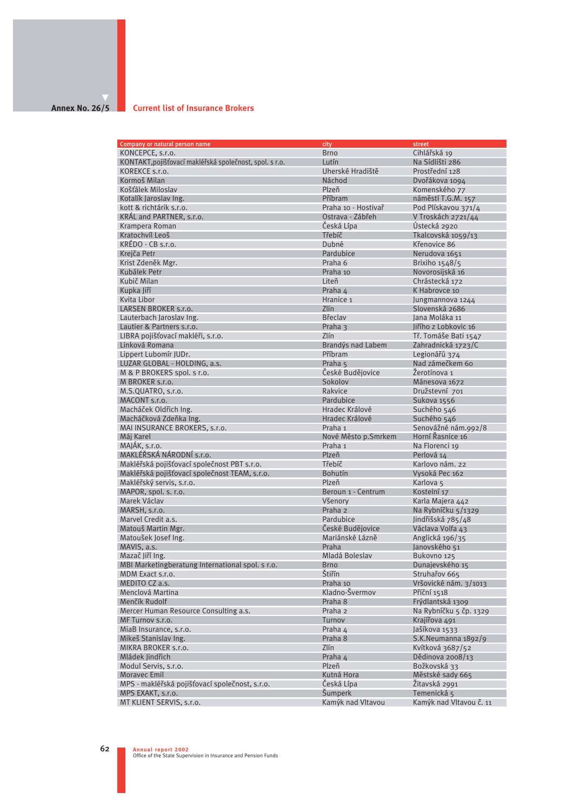#### **Annex No. 26/5 Current list of Insurance Brokers**

| Company or natural person name                          | city                | street                  |
|---------------------------------------------------------|---------------------|-------------------------|
| KONCEPCE, s.r.o.                                        | <b>Brno</b>         | Cihlářská 19            |
| KONTAKT, pojišťovací makléřská společnost, spol. s r.o. | Lutín               | Na Sídlišti 286         |
| KOREKCE s.r.o.                                          | Uherské Hradiště    | Prostřední 128          |
| Kormoš Milan                                            | Náchod              | Dvořákova 1094          |
| Košťálek Miloslav                                       | Plzeň               | Komenského 77           |
| Kotalík Jaroslav Ing.                                   | Příbram             | náměstí T.G.M. 157      |
| kott & richtárik s.r.o.                                 | Praha 10 - Hostivař | Pod Plískavou 371/4     |
| KRAL and PARTNER, s.r.o.                                | Ostrava - Zábřeh    | V Troskách 2721/44      |
| Krampera Roman                                          | Česká Lípa          | Ústecká 2920            |
| Kratochvíl Leoš                                         | Třebíč              | Tkalcovská 1059/13      |
| $KRÉDO - CB$ s.r.o.                                     | Dubné               | Křenovice 86            |
| Krejča Petr                                             | Pardubice           | Nerudova 1651           |
|                                                         |                     |                         |
| Krist Zdeněk Mgr.                                       | Praha 6             | Brixiho 1548/5          |
| Kubálek Petr                                            | Praha 10            | Novorosiiská 16         |
| Kubič Milan                                             | Liteň               | Chrástecká 172          |
| Kupka Jiří                                              | Praha 4             | K Habrovce 10           |
| Kvita Libor                                             | Hranice 1           | Jungmannova 1244        |
| LARSEN BROKER s.r.o.                                    | <b>Zlín</b>         | Slovenská 2686          |
| Lauterbach Jaroslav Ing.                                | <b>Břeclav</b>      | lana Moláka 11          |
| Lautier & Partners s.r.o.                               | Praha 3             | Jiřího z Lobkovic 16    |
| LIBRA pojišťovací makléři, s.r.o.                       | Zlín                | Tř. Tomáše Bati 1547    |
| Linková Romana                                          | Brandýs nad Labem   | Zahradnická 1723/C      |
| Lippert Lubomír JUDr.                                   | Příbram             | Legionářů 374           |
| LUZAR GLOBAL - HOLDING, a.s.                            | Praha 5             | Nad zámečkem 60         |
| M & P BROKERS spol. s r.o.                              | České Budějovice    | Žerotínova 1            |
| M BROKER s.r.o.                                         | Sokolov             | Mánesova 1672           |
| M.S.QUATRO, s.r.o.                                      | Rakvice             | Družstevní 701          |
| MACONT s.r.o.                                           | Pardubice           | Sukova 1556             |
| Macháček Oldřich Ing.                                   | Hradec Králové      | Suchého 546             |
| Macháčková Zdeňka Ing.                                  | Hradec Králové      | Suchého 546             |
| MAI INSURANCE BROKERS, s.r.o.                           | Praha 1             | Senovážné nám.992/8     |
| Máj Karel                                               | Nové Město p.Smrkem | Horní Řasnice 16        |
| MAJÁK, s.r.o.                                           | Praha 1             | Na Florenci 19          |
| MAKLÉŘSKÁ NÁRODNÍ s.r.o.                                | Plzeň               | Perlová 14              |
| Makléřská pojišťovací společnost PBT s.r.o.             | Třebíč              | Karlovo nám. 22         |
| Makléřská pojišťovací společnost TEAM, s.r.o.           | <b>Bohutín</b>      | Vysoká Pec 162          |
|                                                         | Plzeň               |                         |
| Makléřský servis, s.r.o.                                |                     | Karlova <sub>5</sub>    |
| MAPOR, spol. s. r.o.                                    | Beroun 1 - Centrum  | Kostelní 17             |
| Marek Václav                                            | Všenory             | Karla Majera 442        |
| MARSH, s.r.o.                                           | Praha 2             | Na Rybníčku 5/1329      |
| Marvel Credit a.s.                                      | Pardubice           | Jindřišská 785/48       |
| Matouš Martin Mgr.                                      | České Budějovice    | Václava Volfa 43        |
| Matoušek Josef Ing.                                     | Mariánské Lázně     | Anglická 196/35         |
| MAVIS, a.s.                                             | Praha               | Janovského 51           |
| Mazač Jiří Ing.                                         | Mladá Boleslav      | Bukovno 125             |
| MBI Marketingberatung International spol. s r.o.        | <b>Brno</b>         | Dunajevského 15         |
| MDM Exact s.r.o.                                        | Štiřín              | Struhařov 665           |
| MEDITO CZ a.s.                                          | Praha 10            | Vršovické nám. 3/1013   |
| Menclová Martina                                        | Kladno-Švermov      | Příční 1518             |
| Menčík Rudolf                                           | Praha 8             | Frýdlantská 1309        |
| Mercer Human Resource Consulting a.s.                   | Praha 2             | Na Rybníčku 5 čp. 1329  |
| MF Turnov s.r.o.                                        | Turnov              | Krajířova 491           |
| MiaB Insurance, s.r.o.                                  | Praha 4             | Jašíkova 1533           |
| Mikeš Stanislav Ing.                                    | Praha 8             | S.K.Neumanna 1892/9     |
| MIKRA BROKER s.r.o.                                     | Zlín                | Kvítková 3687/52        |
| Mládek Jindřich                                         | Praha 4             | Dědinova 2008/13        |
| Modul Servis, s.r.o.                                    | Plzeň               | Božkovská 33            |
| <b>Moravec Emil</b>                                     | Kutná Hora          | Městské sady 665        |
| MPS - makléřská pojišťovací společnost, s.r.o.          | Česká Lípa          | Žitavská 2991           |
| MPS EXAKT, s.r.o.                                       | Šumperk             | Temenická 5             |
|                                                         | Kamýk nad Vltavou   | Kamýk nad Vltavou č. 11 |
| MT KLIENT SERVIS, s.r.o.                                |                     |                         |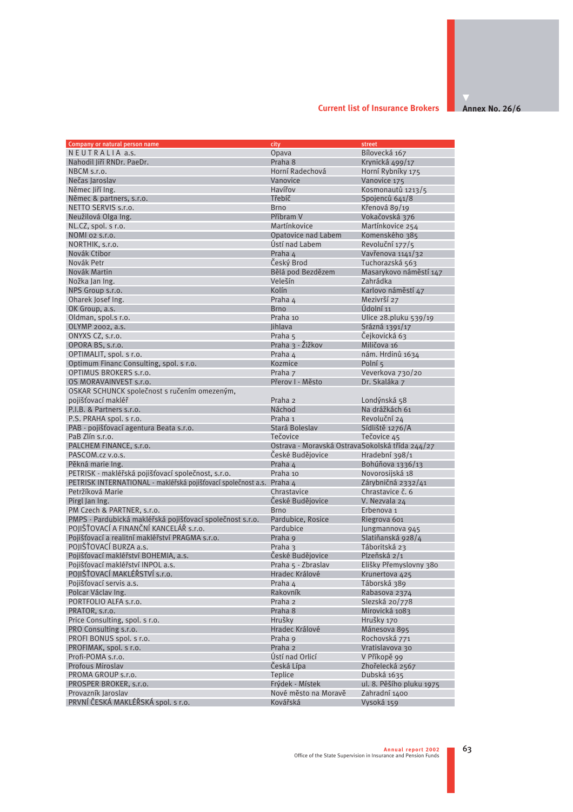#### **Annex No. 26/6 Current list of Insurance Brokers**

| Company or natural person name                                        | city                                            | street                   |
|-----------------------------------------------------------------------|-------------------------------------------------|--------------------------|
| NEUTRALIA a.s.                                                        | Opava                                           | Bílovecká 167            |
| Nahodil Jiří RNDr. PaeDr.                                             | Praha 8                                         | Krynická 499/17          |
| NBCM s.r.o.                                                           | Horní Radechová                                 | Horní Rybníky 175        |
| Nečas Jaroslav                                                        | Vanovice                                        | Vanovice 175             |
| Němec Jiří Ing.                                                       | Havířov                                         | Kosmonautů 1213/5        |
| Němec & partners, s.r.o.                                              | Třebíč                                          | Spojenců 641/8           |
| NETTO SERVIS s.r.o.                                                   | <b>Brno</b>                                     | Křenová 89/19            |
| Neužilová Olga Ing.                                                   | Příbram V                                       | Vokačovská 376           |
|                                                                       | Martínkovice                                    |                          |
| NL.CZ, spol. s r.o.                                                   |                                                 | Martínkovice 254         |
| NOMI 02 S.r.o.                                                        | Opatovice nad Labem                             | Komenského 385           |
| NORTHIK, s.r.o.                                                       | Ústí nad Labem                                  | Revoluční 177/5          |
| Novák Ctibor                                                          | Praha 4                                         | Vavřenova 1141/32        |
| Novák Petr                                                            | Český Brod                                      | Tuchorazská 563          |
| Novák Martin                                                          | Bělá pod Bezdězem                               | Masarykovo náměstí 147   |
| Nožka Jan Ing.                                                        | Velešín                                         | Zahrádka                 |
| NPS Group s.r.o.                                                      | Kolín                                           | Karlovo náměstí 47       |
| Oharek Josef Ing.                                                     | Praha 4                                         | Mezivrší 27              |
| OK Group, a.s.                                                        | <b>Brno</b>                                     | Údolní 11                |
| Oldman, spol.s r.o.                                                   | Praha 10                                        | Ulice 28.pluku 539/19    |
| OLYMP 2002, a.s.                                                      | lihlava                                         | Srázná 1391/17           |
| ONYXS CZ, s.r.o.                                                      | Praha 5                                         | Čejkovická 63            |
| OPORA BS, s.r.o.                                                      | Praha 3 - Žižkov                                | Miličova 16              |
| OPTIMALIT, spol. s r.o.                                               | Praha 4                                         | nám. Hrdinů 1634         |
| Optimum Financ Consulting, spol. s r.o.                               | Kozmice                                         | Polní 5                  |
| OPTIMUS BROKERS s.r.o.                                                | Praha 7                                         | Veverkova 730/20         |
| OS MORAVAINVEST s.r.o.                                                | Přerov I - Město                                | Dr. Skaláka 7            |
| OSKAR SCHUNCK společnost s ručením omezeným,                          |                                                 |                          |
| pojišťovací makléř                                                    | Praha 2                                         | Londýnská 58             |
| P.I.B. & Partners s.r.o.                                              | Náchod                                          | Na drážkách 61           |
| P.S. PRAHA spol. s r.o.                                               | Praha 1                                         | Revoluční 24             |
| PAB - pojišťovací agentura Beata s.r.o.                               | Stará Boleslav                                  | Sídliště 1276/A          |
| PaB Zlín s.r.o.                                                       | Tečovice                                        | Tečovice 45              |
| PALCHEM FINANCE, s.r.o.                                               | Ostrava - Moravská OstravaSokolská třída 244/27 |                          |
| PASCOM.cz v.o.s.                                                      | České Budějovice                                | Hradební 398/1           |
| Pěkná marie Ing.                                                      | Praha 4                                         | Bohúňova 1336/13         |
| PETRISK - makléřská pojišťovací společnost, s.r.o.                    | Praha 10                                        | Novorosijská 18          |
| PETRISK INTERNATIONAL - makléřská pojišťovací společnost a.s. Praha 4 |                                                 | Zárybničná 2332/41       |
| Petržíková Marie                                                      | Chrastavice                                     | Chrastavice č. 6         |
| Pirgl Jan Ing.                                                        | České Budějovice                                | V. Nezvala 24            |
| PM Czech & PARTNER, s.r.o.                                            | <b>Brno</b>                                     | Erbenova 1               |
| PMPS - Pardubická makléřská pojišťovací společnost s.r.o.             | Pardubice, Rosice                               | Riegrova 601             |
| POJIŠŤOVACÍ A FINANČNÍ KANCELÁŘ s.r.o.                                | Pardubice                                       | Jungmannova 945          |
| Pojišťovací a realitní makléřství PRAGMA s.r.o.                       |                                                 |                          |
| POJIŠŤOVACÍ BURZA a.s.                                                | Praha 9                                         | Slatiňanská 928/4        |
|                                                                       | Praha 3<br>České Budějovice                     | Táboritská 23            |
| Pojišťovací makléřství BOHEMIA, a.s.                                  |                                                 | Plzeňská 2/1             |
| Pojišťovací makléřství INPOL a.s.                                     | Praha 5 - Zbraslav                              | Elišky Přemyslovny 380   |
| POJIŠŤOVACÍ MAKLÉŘSTVÍ s.r.o.                                         | Hradec Králové                                  | Krunertova 425           |
| Pojišťovací servis a.s.                                               | Praha 4                                         | Táborská 389             |
| Polcar Václav Ing.                                                    | Rakovník                                        | Rabasova 2374            |
| PORTFOLIO ALFA s.r.o.                                                 | Praha 2                                         | Slezská 20/778           |
| PRATOR, s.r.o.                                                        | Praha 8                                         | Mirovická 1083           |
| Price Consulting, spol. s r.o.                                        | Hrušky                                          | Hrušky 170               |
| PRO Consulting s.r.o.                                                 | Hradec Králové                                  | Mánesova 895             |
| PROFI BONUS spol. s r.o.                                              | Praha 9                                         | Rochovská 771            |
| PROFIMAK, spol. s r.o.                                                | Praha 2                                         | Vratislavova 30          |
| Profi-POMA s.r.o.                                                     | Ústí nad Orlicí                                 | V Příkopě 99             |
| Profous Miroslav                                                      | Česká Lípa                                      | Zhořelecká 2567          |
| PROMA GROUP s.r.o.                                                    | <b>Teplice</b>                                  | Dubská 1635              |
| PROSPER BROKER, s.r.o.                                                | Frýdek - Místek                                 | ul. 8. Pěšího pluku 1975 |
| Provazník Jaroslav                                                    | Nové město na Moravě                            | Zahradní 1400            |
| PRVNÍ ČESKÁ MAKLÉŘSKÁ spol. s r.o.                                    | Kovářská                                        | Vysoká 159               |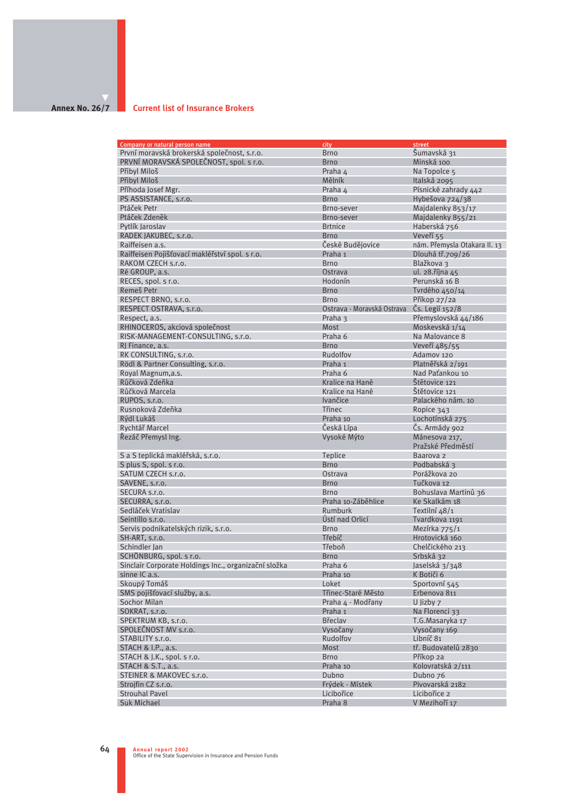## **Annex No. 26/7**

#### **Current list of Insurance Brokers**

| Company or natural person name                       | city                       | street                             |
|------------------------------------------------------|----------------------------|------------------------------------|
| První moravská brokerská společnost, s.r.o.          | <b>Brno</b>                | Šumavská 31                        |
| PRVNÍ MORAVSKÁ SPOLEČNOST, spol. s r.o.              | <b>Brno</b>                | Minská 100                         |
| Přibyl Miloš                                         | Praha 4                    | Na Topolce 5                       |
| Přibyl Miloš                                         | Mělník                     | Italská 2095                       |
|                                                      |                            |                                    |
| Příhoda Josef Mgr.                                   | Praha 4                    | Písnické zahrady 442               |
| PS ASSISTANCE, s.r.o.                                | <b>Brno</b>                | Hybešova 724/38                    |
| Ptáček Petr                                          | Brno-sever                 | Majdalenky 853/17                  |
| Ptáček Zdeněk                                        | Brno-sever                 | Majdalenky 855/21                  |
| Pytlík Jaroslav                                      | <b>Brtnice</b>             | Haberská 756                       |
| RADEK JAKUBEC, s.r.o.                                | <b>Brno</b>                | Veveří 55                          |
| Raiffeisen a.s.                                      | České Budějovice           | nám. Přemysla Otakara II. 13       |
| Raiffeisen Pojišťovací makléřství spol. s r.o.       | Praha 1                    | Dlouhá tř.709/26                   |
| RAKOM CZECH s.r.o.                                   | <b>Brno</b>                | Blažkova 3                         |
|                                                      |                            |                                    |
| Ré GROUP, a.s.                                       | Ostrava                    | ul. 28. října 45                   |
| RECES, spol. s r.o.                                  | Hodonín                    | Perunská 16 B                      |
| Remeš Petr                                           | <b>Brno</b>                | Tvrdého 450/14                     |
| RESPECT BRNO, s.r.o.                                 | <b>Brno</b>                | Příkop 27/2a                       |
| RESPECT OSTRAVA, s.r.o.                              | Ostrava - Moravská Ostrava | Čs. Legií 152/8                    |
| Respect, a.s.                                        | Praha 3                    | Přemyslovská 44/186                |
| RHINOCEROS, akciová společnost                       | Most                       | Moskevská 1/14                     |
| RISK-MANAGEMENT-CONSULTING, s.r.o.                   | Praha 6                    | Na Malovance 8                     |
|                                                      | <b>Brno</b>                |                                    |
| RJ Finance, a.s.                                     |                            | Veveří 485/55                      |
| RK CONSULTING, s.r.o.                                | Rudolfov                   | Adamov 120                         |
| Rödl & Partner Consulting, s.r.o.                    | Praha 1                    | Platněřská 2/191                   |
| Royal Magnum, a.s.                                   | Praha 6                    | Nad Paťankou 10                    |
| Růčková Zdeňka                                       | Kralice na Hané            | Štětovice 121                      |
| Růčková Marcela                                      | Kralice na Hané            | Štětovice 121                      |
| RUPOS, s.r.o.                                        | Ivančice                   | Palackého nám. 10                  |
| Rusnoková Zdeňka                                     | <b>Třinec</b>              | Ropice 343                         |
| Rýdl Lukáš                                           | Praha 10                   | Lochotínská 275                    |
|                                                      |                            |                                    |
| Rychtář Marcel                                       | Česká Lípa                 | Čs. Armády 902                     |
| Řezáč Přemysl Ing.                                   | Vysoké Mýto                | Mánesova 217,<br>Pražské Předměstí |
| S a S teplická makléřská, s.r.o.                     | <b>Teplice</b>             | Baarova 2                          |
| S plus S, spol. s r.o.                               | <b>Brno</b>                | Podbabská 3                        |
| SATUM CZECH s.r.o.                                   | Ostrava                    | Porážkova 20                       |
| SAVENE, s.r.o.                                       | <b>Brno</b>                | Tučkova 12                         |
|                                                      | <b>Brno</b>                |                                    |
| SECURA s.r.o.                                        |                            | Bohuslava Martinů 36               |
| SECURRA, s.r.o.                                      | Praha 10-Záběhlice         | Ke Skalkám 18                      |
| Sedláček Vratislav                                   | Rumburk                    | Textilní 48/1                      |
| Seintillo s.r.o.                                     | Ústí nad Orlicí            | Tvardkova 1191                     |
| Servis podnikatelských rizik, s.r.o.                 | <b>Brno</b>                | Mezírka 775/1                      |
| SH-ART, s.r.o.                                       | Třebíč                     | Hrotovická 160                     |
| Schindler Jan                                        | Třeboň                     | Chelčického 213                    |
| SCHÖNBURG, spol. s r.o.                              | <b>Brno</b>                | Srbská 32                          |
| Sinclair Corporate Holdings Inc., organizační složka | Praha 6                    | Jaselská 3/348                     |
| sinne IC a.s.                                        | Praha 10                   | K Botiči 6                         |
| Skoupý Tomáš                                         | Loket                      | Sportovní 545                      |
|                                                      |                            |                                    |
| SMS pojišťovací služby, a.s.                         | Třinec-Staré Město         | Erbenova 811                       |
| Sochor Milan                                         | Praha 4 - Modřany          | U Jizby 7                          |
| SOKRAT, s.r.o.                                       | Praha 1                    | Na Florenci 33                     |
| SPEKTRUM KB, s.r.o.                                  | <b>Břeclav</b>             | T.G.Masaryka 17                    |
| SPOLECNOST MV s.r.o.                                 | Vysočany                   | Vysočany 169                       |
| STABILITY s.r.o.                                     | Rudolfov                   | Libníč 81                          |
| STACH & I.P., a.s.                                   | Most                       | tř. Budovatelů 2830                |
| STACH & J.K., spol. s r.o.                           | <b>Brno</b>                | Příkop 2a                          |
| STACH & S.T., a.s.                                   | Praha 10                   | Kolovratská 2/111                  |
|                                                      |                            |                                    |
| STEINER & MAKOVEC s.r.o.                             | Dubno                      | Dubno 76                           |
| Strojfin CZ s.r.o.                                   | Frýdek - Místek            | Pivovarská 2182                    |
| <b>Strouhal Pavel</b>                                | Licibořice                 | Licibořice 2                       |
| Suk Michael                                          | Praha 8                    | V Mezihoří 17                      |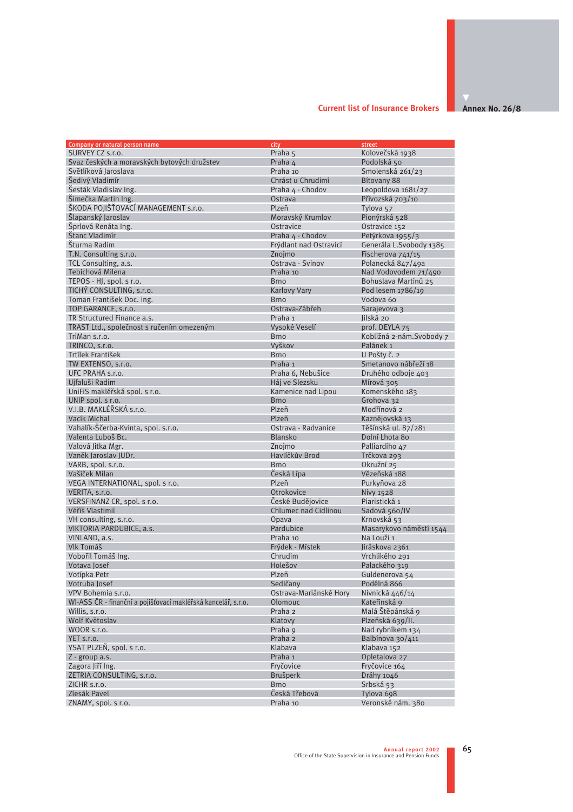#### **Current list of Insurance Brokers**

**Annex No. 26/8**

| Company or natural person name                                | city                   | street                    |
|---------------------------------------------------------------|------------------------|---------------------------|
| SURVEY CZ s.r.o.                                              | Praha 5                | Kolovečská 1938           |
| Svaz českých a moravských bytových družstev                   | Praha 4                | Podolská 50               |
| Světlíková Jaroslava                                          | Praha 10               | Smolenská 261/23          |
| Šedivý Vladimír                                               | Chrást u Chrudimi      | Bítovany 88               |
| Šesták Vladislav Ing.                                         | Praha 4 - Chodov       | Leopoldova 1681/27        |
| Šimečka Martin Ing.                                           | Ostrava                | Přívozská 703/10          |
| ŠKODA POJIŠŤOVACÍ MANAGEMENT s.r.o.                           | Plzeň                  | Tylova <sub>57</sub>      |
| Šlapanský Jaroslav                                            | Moravský Krumlov       | Pionýrská 528             |
| Šprlová Renáta Ing.                                           | Ostravice              | Ostravice 152             |
| Štanc Vladimír                                                | Praha 4 - Chodov       | Petýrkova 1955/3          |
|                                                               |                        |                           |
| Šturma Radim                                                  | Frýdlant nad Ostravicí | Generála L.Svobody 1385   |
| T.N. Consulting s.r.o.                                        | Znojmo                 | Fischerova 741/15         |
| TCL Consulting, a.s.                                          | Ostrava - Svinov       | Polanecká 847/49a         |
| Tebichová Milena                                              | Praha 10               | Nad Vodovodem 71/490      |
| TEPOS - HJ, spol. s r.o.                                      | <b>Brno</b>            | Bohuslava Martinů 25      |
| TICHÝ CONSULTING, s.r.o.                                      | <b>Karlovy Vary</b>    | Pod lesem 1786/19         |
| Toman František Doc. Ing.                                     | <b>Brno</b>            | Vodova 60                 |
| TOP GARANCE, s.r.o.                                           | Ostrava-Zábřeh         | Sarajevova 3              |
| TR Structured Finance a.s.                                    | Praha 1                | Jilská 20                 |
| TRAST Ltd., společnost s ručením omezeným                     | Vysoké Veselí          | prof. DEYLA 75            |
| TriMan s.r.o.                                                 | <b>Brno</b>            | Kobližná 2-nám. Svobody 7 |
| TRINCO, s.r.o.                                                | Vyškov                 | Palánek 1                 |
| Trtílek František                                             | <b>Brno</b>            | U Pošty č. 2              |
| TW EXTENSO, s.r.o.                                            | Praha 1                | Smetanovo nábřeží 18      |
| UFC PRAHA s.r.o.                                              | Praha 6, Nebušice      | Druhého odboje 403        |
| Ujfaluši Radim                                                | Háj ve Slezsku         | Mírová 305                |
| UniFiS makléřská spol. s r.o.                                 | Kamenice nad Lipou     | Komenského 183            |
| UNIP spol. s r.o.                                             | <b>Brno</b>            | Grohova 32                |
| V.I.B. MAKLÉŘSKÁ s.r.o.                                       | Plzeň                  | Modřínová 2               |
| Vacík Michal                                                  | Plzeň                  | Kaznějovská 13            |
| Vahalík-Ščerba-Kvinta, spol. s.r.o.                           | Ostrava - Radvanice    | Těšínská ul. 87/281       |
| Valenta Luboš Bc.                                             | Blansko                | Dolní Lhota 80            |
| Valová Jitka Mgr.                                             | Znojmo                 | Palliardiho 47            |
| Vaněk Jaroslav JUDr.                                          | Havlíčkův Brod         | Trčkova 293               |
| VARB, spol. s.r.o.                                            | <b>Brno</b>            | Okružní 25                |
| Vašíček Milan                                                 | Česká Lípa             | Vězeňská 188              |
| VEGA INTERNATIONAL, spol. s r.o.                              | Plzeň                  | Purkyňova 28              |
|                                                               | Otrokovice             | <b>Nivy 1528</b>          |
| VERITA, s.r.o.                                                | České Budějovice       |                           |
| VERSFINANZ CR, spol. s r.o.                                   |                        | Piaristická 1             |
| Věříš Vlastimil                                               | Chlumec nad Cidlinou   | Sadová 560/IV             |
| VH consulting, s.r.o.                                         | Opava                  | Krnovská 53               |
| VIKTORIA PARDUBICE, a.s.                                      | Pardubice              | Masarykovo náměstí 1544   |
| VINLAND, a.s.                                                 | Praha 10               | Na Louži 1                |
| Vlk Tomáš                                                     | Frýdek - Místek        | Jiráskova 2361            |
| Vobořil Tomáš Ing.                                            | Chrudim                | Vrchlikého 291            |
| Votava Josef                                                  | Holešov                | Palackého 319             |
| Votípka Petr                                                  | Plzeň                  | Guldenerova 54            |
| Votruba Josef                                                 | Sedlčany               | Podélná 866               |
| VPV Bohemia s.r.o.                                            | Ostrava-Mariánské Hory | Nivnická 446/14           |
| WI-ASS ČR - finanční a pojišťovací makléřská kancelář, s.r.o. | Olomouc                | Kateřinská 9              |
| Willis, s.r.o.                                                | Praha 2                | Malá Štěpánská 9          |
| Wolf Květoslav                                                | Klatovy                | Plzeňská 639/II.          |
| WOOR s.r.o.                                                   | Praha 9                | Nad rybníkem 134          |
| YET s.r.o.                                                    | Praha 2                | Balbínova 30/411          |
| YSAT PLZEŇ, spol. s r.o.                                      | Klabava                | Klabava 152               |
| Z - group a.s.                                                | Praha 1                | Opletalova 27             |
| Zagora Jiří Ing.                                              | Fryčovice              | Fryčovice 164             |
| ZETRIA CONSULTING, s.r.o.                                     | Brušperk               | Dráhy 1046                |
| ZICHR s.r.o.                                                  | <b>Brno</b>            | Srbská 53                 |
| Zlesák Pavel                                                  | Česká Třebová          | Tylova 698                |
| ZNAMY, spol. s r.o.                                           | Praha 10               | Veronské nám. 380         |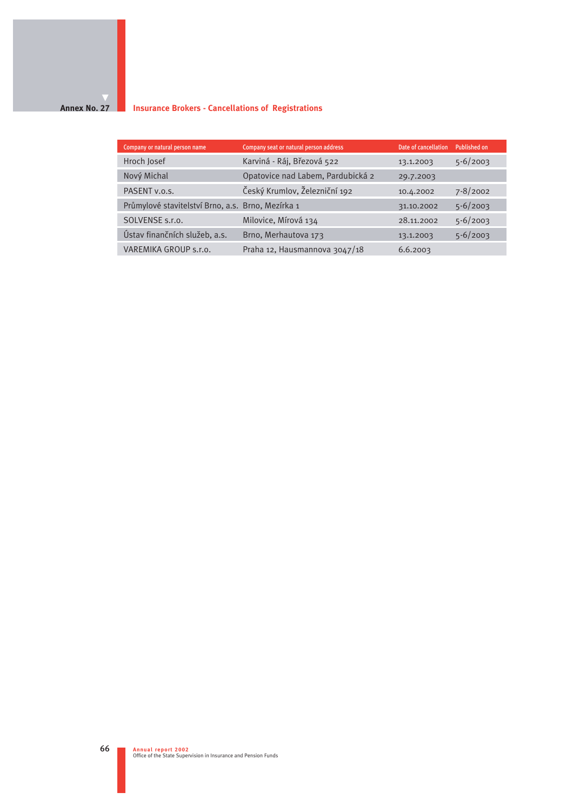#### **Annex No. 27 Insurance Brokers - Cancellations of Registrations**

| Company or natural person name                    | Company seat or natural person address | Date of cancellation | Published on |
|---------------------------------------------------|----------------------------------------|----------------------|--------------|
| Hroch Josef                                       | Karviná - Ráj, Březová 522             | 13.1.2003            | $5 - 6/2003$ |
| Nový Michal                                       | Opatovice nad Labem, Pardubická 2      | 29.7.2003            |              |
| PASENT v.o.s.                                     | Český Krumlov, Železniční 192          | 10.4.2002            | $7 - 8/2002$ |
| Průmylové stavitelství Brno, a.s. Brno, Mezírka 1 |                                        | 31.10.2002           | $5 - 6/2003$ |
| SOLVENSE s.r.o.                                   | Milovice, Mírová 134                   | 28.11.2002           | $5 - 6/2003$ |
| Ústav finančních služeb, a.s.                     | Brno, Merhautova 173                   | 13.1.2003            | $5 - 6/2003$ |
| VAREMIKA GROUP s.r.o.                             | Praha 12, Hausmannova 3047/18          | 6.6.2003             |              |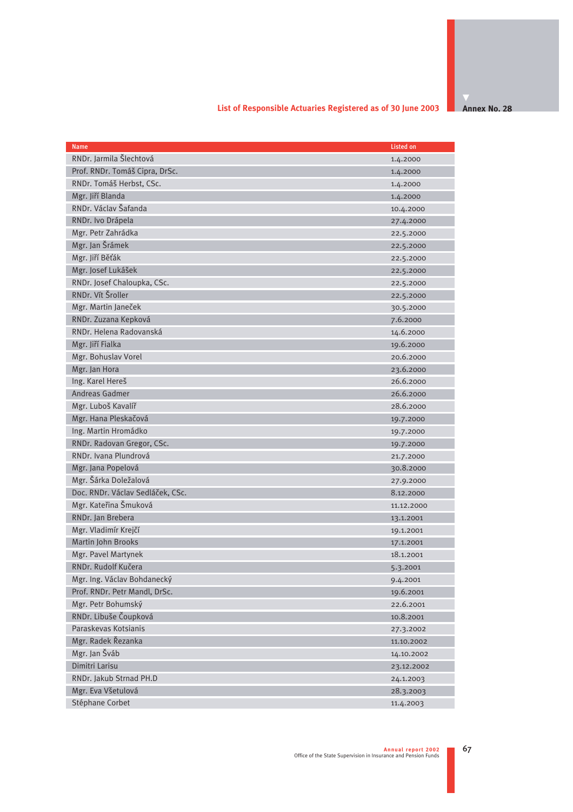# **List of Responsible Actuaries Registered as of 30 June 2003**

**Annex No. 28** 

| <b>Name</b>                      | <b>Listed on</b> |
|----------------------------------|------------------|
| RNDr. Jarmila Šlechtová          | 1.4.2000         |
| Prof. RNDr. Tomáš Cipra, DrSc.   | 1.4.2000         |
| RNDr. Tomáš Herbst, CSc.         | 1.4.2000         |
| Mgr. Jiří Blanda                 | 1.4.2000         |
| RNDr. Václav Šafanda             | 10.4.2000        |
| RNDr. Ivo Drápela                | 27.4.2000        |
| Mgr. Petr Zahrádka               | 22.5.2000        |
| Mgr. Jan Šrámek                  | 22.5.2000        |
| Mgr. Jiří Běťák                  | 22.5.2000        |
| Mgr. Josef Lukášek               | 22.5.2000        |
| RNDr. Josef Chaloupka, CSc.      | 22.5.2000        |
| RNDr. Vít Šroller                | 22.5.2000        |
| Mgr. Martin Janeček              | 30.5.2000        |
| RNDr. Zuzana Kepková             | 7.6.2000         |
| RNDr. Helena Radovanská          | 14.6.2000        |
| Mgr. Jiří Fialka                 | 19.6.2000        |
| Mgr. Bohuslav Vorel              | 20.6.2000        |
| Mgr. Jan Hora                    | 23.6.2000        |
| Ing. Karel Hereš                 | 26.6.2000        |
| <b>Andreas Gadmer</b>            | 26.6.2000        |
| Mgr. Luboš Kavalíř               | 28.6.2000        |
| Mgr. Hana Pleskačová             | 19.7.2000        |
| Ing. Martin Hromádko             | 19.7.2000        |
| RNDr. Radovan Gregor, CSc.       | 19.7.2000        |
| RNDr. Ivana Plundrová            | 21.7.2000        |
| Mgr. Jana Popelová               | 30.8.2000        |
| Mgr. Šárka Doležalová            | 27.9.2000        |
| Doc. RNDr. Václav Sedláček, CSc. | 8.12.2000        |
| Mgr. Kateřina Šmuková            | 11.12.2000       |
| RNDr. Jan Brebera                | 13.1.2001        |
| Mgr. Vladimír Krejčí             | 19.1.2001        |
| <b>Martin John Brooks</b>        | 17.1.2001        |
| Mgr. Pavel Martynek              | 18.1.2001        |
| RNDr. Rudolf Kučera              | 5.3.2001         |
| Mgr. Ing. Václav Bohdanecký      | 9.4.2001         |
| Prof. RNDr. Petr Mandl, DrSc.    | 19.6.2001        |
| Mgr. Petr Bohumský               | 22.6.2001        |
| RNDr. Libuše Čoupková            | 10.8.2001        |
| Paraskevas Kotsianis             | 27.3.2002        |
| Mgr. Radek Řezanka               | 11.10.2002       |
| Mgr. Jan Šváb                    | 14.10.2002       |
| Dimitri Larisu                   | 23.12.2002       |
| RNDr. Jakub Strnad PH.D          | 24.1.2003        |
| Mgr. Eva Všetulová               | 28.3.2003        |
| Stéphane Corbet                  | 11.4.2003        |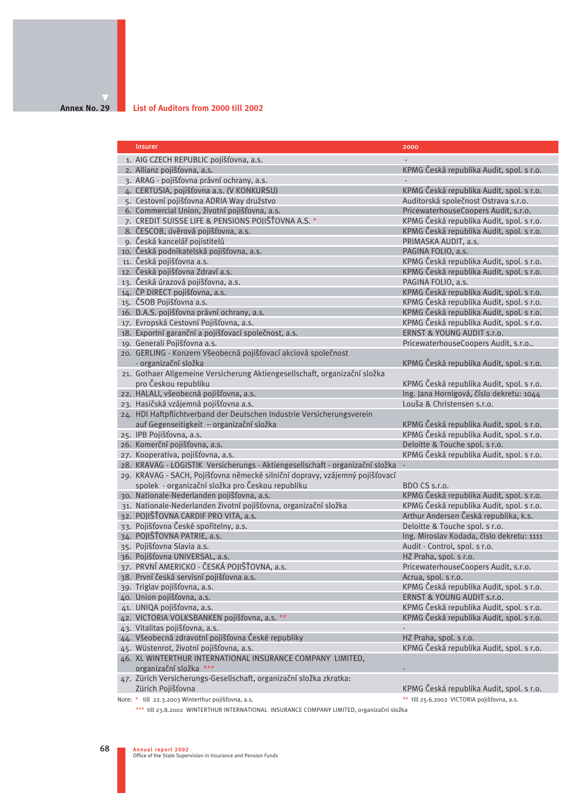#### **Annex No. 29**

#### **List of Auditors from 2000 till 2002**

| <b>Insurer</b>                                                                | 2000                                                                                 |
|-------------------------------------------------------------------------------|--------------------------------------------------------------------------------------|
|                                                                               |                                                                                      |
| 1. AIG CZECH REPUBLIC pojišťovna, a.s.                                        |                                                                                      |
| 2. Allianz pojišťovna, a.s.                                                   | KPMG Česká republika Audit, spol. s r.o.                                             |
| 3. ARAG - pojišťovna právní ochrany, a.s.                                     |                                                                                      |
| 4. CERTUSIA, pojišťovna a.s. (V KONKURSU)                                     | KPMG Česká republika Audit, spol. s r.o.                                             |
| 5. Cestovní pojišťovna ADRIA Way družstvo                                     | Auditorská společnost Ostrava s.r.o.                                                 |
| 6. Commercial Union, životní pojišťovna, a.s.                                 | PricewaterhouseCoopers Audit, s.r.o.                                                 |
| 7. CREDIT SUISSE LIFE & PENSIONS POJIŠŤOVNA A.S. *                            | KPMG Česká republika Audit, spol. s r.o.                                             |
| 8. ČESCOB, úvěrová pojišťovna, a.s.                                           | KPMG Česká republika Audit, spol. s r.o.                                             |
| 9. Česká kancelář pojistitelů                                                 | PRIMASKA AUDIT, a.s.                                                                 |
| 10. Česká podnikatelská pojišťovna, a.s.<br>11. Česká pojišťovna a.s.         | PAGINA FOLIO, a.s.                                                                   |
| 12. Česká pojišťovna Zdraví a.s.                                              | KPMG Česká republika Audit, spol. s r.o.<br>KPMG Česká republika Audit, spol. s r.o. |
| 13. Česká úrazová pojišťovna, a.s.                                            | PAGINA FOLIO, a.s.                                                                   |
| 14. ČP DIRECT pojišťovna, a.s.                                                | KPMG Česká republika Audit, spol. s r.o.                                             |
| 15. ČSOB Pojišťovna a.s.                                                      | KPMG Česká republika Audit, spol. s r.o.                                             |
| 16. D.A.S. pojišťovna právní ochrany, a.s.                                    | KPMG Česká republika Audit, spol. s r.o.                                             |
| 17. Evropská Cestovní Pojišťovna, a.s.                                        | KPMG Česká republika Audit, spol. s r.o.                                             |
| 18. Exportní garanční a pojišťovací společnost, a.s.                          | ERNST & YOUNG AUDIT s.r.o.                                                           |
| 19. Generali Pojišťovna a.s.                                                  | PricewaterhouseCoopers Audit, s.r.o                                                  |
| 20. GERLING - Konzern Všeobecná pojišťovací akciová společnost                |                                                                                      |
| - organizační složka                                                          | KPMG Česká republika Audit, spol. s r.o.                                             |
| 21. Gothaer Allgemeine Versicherung Aktiengesellschaft, organizační složka    |                                                                                      |
| pro Českou republiku                                                          | KPMG Česká republika Audit, spol. s r.o.                                             |
| 22. HALALI, všeobecná pojišťovna, a.s.                                        | Ing. Jana Hornigová, číslo dekretu: 1044                                             |
| 23. Hasičská vzájemná pojišťovna a.s.                                         | Louša & Christensen s.r.o.                                                           |
| 24. HDI Haftpflichtverband der Deutschen Industrie Versicherungsverein        |                                                                                      |
| auf Gegenseitigkeit – organizační složka                                      | KPMG Česká republika Audit, spol. s r.o.                                             |
| 25. IPB Pojišťovna, a.s.                                                      | KPMG Česká republika Audit, spol. s r.o.                                             |
| 26. Komerční pojišťovna, a.s.                                                 | Deloitte & Touche spol. s r.o.                                                       |
| 27. Kooperativa, pojišťovna, a.s.                                             | KPMG Česká republika Audit, spol. s r.o.                                             |
| 28. KRAVAG - LOGISTIK Versicherungs - Aktiengesellschaft - organizační složka | $\overline{\phantom{a}}$                                                             |
| 29. KRAVAG - SACH, Pojišťovna německé silniční dopravy, vzájemný pojišťovací  |                                                                                      |
| spolek - organizační složka pro Českou republiku                              | BDO CS s.r.o.                                                                        |
| 30. Nationale-Nederlanden pojišťovna, a.s.                                    | KPMG Česká republika Audit, spol. s r.o.                                             |
| 31. Nationale-Nederlanden životní pojišťovna, organizační složka              | KPMG Česká republika Audit, spol. s r.o.                                             |
| 32. POJIŠŤOVNA CARDIF PRO VITA, a.s.                                          | Arthur Andersen Česká republika, k.s.                                                |
| 33. Pojišťovna České spořitelny, a.s.                                         | Deloitte & Touche spol. s r.o.                                                       |
| 34. POJIŠŤOVNA PATRIE, a.s.                                                   | Ing. Miroslav Kodada, číslo dekretu: 1111                                            |
| 35. Pojišťovna Slavia a.s.                                                    | Audit - Control, spol. s r.o.                                                        |
| 36. Pojišťovna UNIVERSAL, a.s.                                                | HZ Praha, spol. s r.o.                                                               |
| 37. PRVNÍ AMERICKO - ČESKÁ POJIŠŤOVNA, a.s.                                   | PricewaterhouseCoopers Audit, s.r.o.                                                 |
| 38. První česká servisní pojišťovna a.s.                                      | Acrua, spol. s r.o.                                                                  |
| 39. Triglav pojišťovna, a.s.                                                  | KPMG Česká republika Audit, spol. s r.o.                                             |
| 40. Union pojišťovna, a.s.                                                    | ERNST & YOUNG AUDIT s.r.o.                                                           |
| 41. UNIQA pojišťovna, a.s.                                                    | KPMG Česká republika Audit, spol. s r.o.                                             |
| 42. VICTORIA VOLKSBANKEN pojišťovna, a.s. **                                  | KPMG Česká republika Audit, spol. s r.o.                                             |
| 43. Vitalitas pojišťovna, a.s.                                                |                                                                                      |
| 44. Všeobecná zdravotní pojišťovna České republiky                            | HZ Praha, spol. s r.o.                                                               |
| 45. Wüstenrot, životní pojišťovna, a.s.                                       | KPMG Česká republika Audit, spol. s r.o.                                             |
| 46. XL WINTERTHUR INTERNATIONAL INSURANCE COMPANY LIMITED,                    |                                                                                      |
| organizační složka ***                                                        |                                                                                      |
| 47. Zürich Versicherungs-Gesellschaft, organizační složka zkratka:            |                                                                                      |
| Zürich Pojišťovna                                                             | KPMG Česká republika Audit, spol. s r.o.                                             |
| Note: * till 22.3.2003 Winterthur pojišťovna, a.s.                            | ** till 25.6.2002 VICTORIA pojišťovna, a.s.                                          |

\*\*\* till 23.8.2002 WINTERTHUR INTERNATIONAL INSURANCE COMPANY LIMITED, organizační složka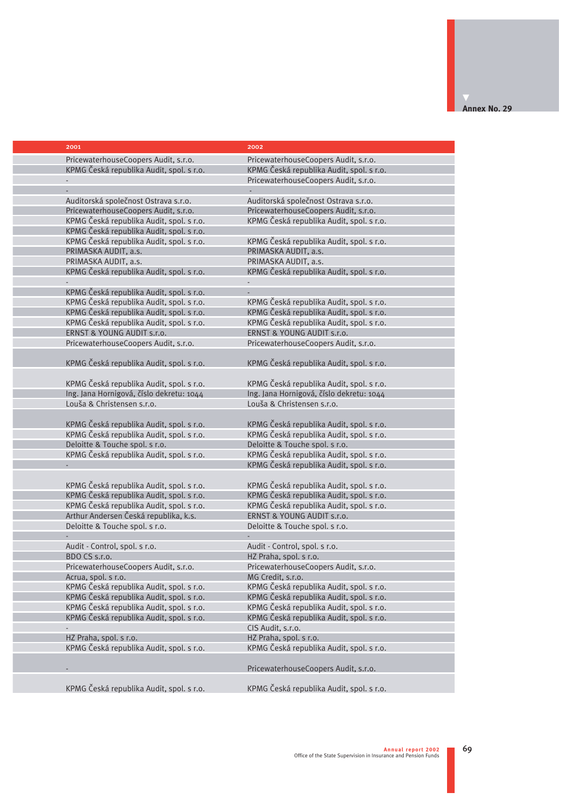| 2001                                                                                 | 2002                                                                                 |
|--------------------------------------------------------------------------------------|--------------------------------------------------------------------------------------|
|                                                                                      |                                                                                      |
| PricewaterhouseCoopers Audit, s.r.o.                                                 | PricewaterhouseCoopers Audit, s.r.o.                                                 |
| KPMG Česká republika Audit, spol. s r.o.                                             | KPMG Česká republika Audit, spol. s r.o.                                             |
|                                                                                      | PricewaterhouseCoopers Audit, s.r.o.                                                 |
|                                                                                      |                                                                                      |
| Auditorská společnost Ostrava s.r.o.                                                 | Auditorská společnost Ostrava s.r.o.                                                 |
| PricewaterhouseCoopers Audit, s.r.o.                                                 | PricewaterhouseCoopers Audit, s.r.o.                                                 |
| KPMG Česká republika Audit, spol. s r.o.                                             | KPMG Česká republika Audit, spol. s r.o.                                             |
| KPMG Česká republika Audit, spol. s r.o.                                             |                                                                                      |
| KPMG Česká republika Audit, spol. s r.o.                                             | KPMG Česká republika Audit, spol. s r.o.                                             |
| PRIMASKA AUDIT, a.s.                                                                 | PRIMASKA AUDIT, a.s.                                                                 |
| PRIMASKA AUDIT, a.s.                                                                 | PRIMASKA AUDIT, a.s.                                                                 |
| KPMG Česká republika Audit, spol. s r.o.                                             | KPMG Česká republika Audit, spol. s r.o.                                             |
|                                                                                      |                                                                                      |
| KPMG Česká republika Audit, spol. s r.o.                                             |                                                                                      |
| KPMG Česká republika Audit, spol. s r.o.                                             | KPMG Česká republika Audit, spol. s r.o.                                             |
| KPMG Česká republika Audit, spol. s r.o.                                             | KPMG Česká republika Audit, spol. s r.o.                                             |
| KPMG Česká republika Audit, spol. s r.o.                                             | KPMG Česká republika Audit, spol. s r.o.                                             |
| ERNST & YOUNG AUDIT s.r.o.                                                           | ERNST & YOUNG AUDIT S.r.o.                                                           |
| PricewaterhouseCoopers Audit, s.r.o.                                                 | PricewaterhouseCoopers Audit, s.r.o.                                                 |
|                                                                                      |                                                                                      |
| KPMG Česká republika Audit, spol. s r.o.                                             | KPMG Česká republika Audit, spol. s r.o.                                             |
|                                                                                      |                                                                                      |
| KPMG Česká republika Audit, spol. s r.o.                                             | KPMG Česká republika Audit, spol. s r.o.                                             |
| Ing. Jana Hornigová, číslo dekretu: 1044                                             | Ing. Jana Hornigová, číslo dekretu: 1044                                             |
| Louša & Christensen s.r.o.                                                           | Louša & Christensen s.r.o.                                                           |
|                                                                                      |                                                                                      |
| KPMG Česká republika Audit, spol. s r.o.                                             | KPMG Česká republika Audit, spol. s r.o.                                             |
| KPMG Česká republika Audit, spol. s r.o.                                             | KPMG Česká republika Audit, spol. s r.o.                                             |
| Deloitte & Touche spol. s r.o.                                                       | Deloitte & Touche spol. s r.o.                                                       |
| KPMG Česká republika Audit, spol. s r.o.                                             | KPMG Česká republika Audit, spol. s r.o.                                             |
|                                                                                      | KPMG Česká republika Audit, spol. s r.o.                                             |
|                                                                                      |                                                                                      |
| KPMG Česká republika Audit, spol. s r.o.                                             | KPMG Česká republika Audit, spol. s r.o.                                             |
| KPMG Česká republika Audit, spol. s r.o.<br>KPMG Česká republika Audit, spol. s r.o. | KPMG Česká republika Audit, spol. s r.o.<br>KPMG Česká republika Audit, spol. s r.o. |
| Arthur Andersen Česká republika, k.s.                                                | ERNST & YOUNG AUDIT s.r.o.                                                           |
| Deloitte & Touche spol. s r.o.                                                       | Deloitte & Touche spol. s r.o.                                                       |
|                                                                                      |                                                                                      |
| Audit - Control, spol. s r.o.                                                        | Audit - Control, spol. s r.o.                                                        |
| BDO CS s.r.o.                                                                        | HZ Praha, spol. s r.o.                                                               |
| PricewaterhouseCoopers Audit, s.r.o.                                                 | PricewaterhouseCoopers Audit, s.r.o.                                                 |
| Acrua, spol. s r.o.                                                                  | MG Credit, s.r.o.                                                                    |
| KPMG Česká republika Audit, spol. s r.o.                                             | KPMG Česká republika Audit, spol. s r.o.                                             |
| KPMG Česká republika Audit, spol. s r.o.                                             | KPMG Česká republika Audit, spol. s r.o.                                             |
| KPMG Česká republika Audit, spol. s r.o.                                             | KPMG Česká republika Audit, spol. s r.o.                                             |
| KPMG Česká republika Audit, spol. s r.o.                                             | KPMG Česká republika Audit, spol. s r.o.                                             |
|                                                                                      | CIS Audit, s.r.o.                                                                    |
| HZ Praha, spol. s r.o.                                                               | HZ Praha, spol. s r.o.                                                               |
| KPMG Česká republika Audit, spol. s r.o.                                             | KPMG Česká republika Audit, spol. s r.o.                                             |
|                                                                                      |                                                                                      |
|                                                                                      | PricewaterhouseCoopers Audit, s.r.o.                                                 |
|                                                                                      |                                                                                      |
| KPMG Česká republika Audit, spol. s r.o.                                             | KPMG Česká republika Audit, spol. s r.o.                                             |
|                                                                                      |                                                                                      |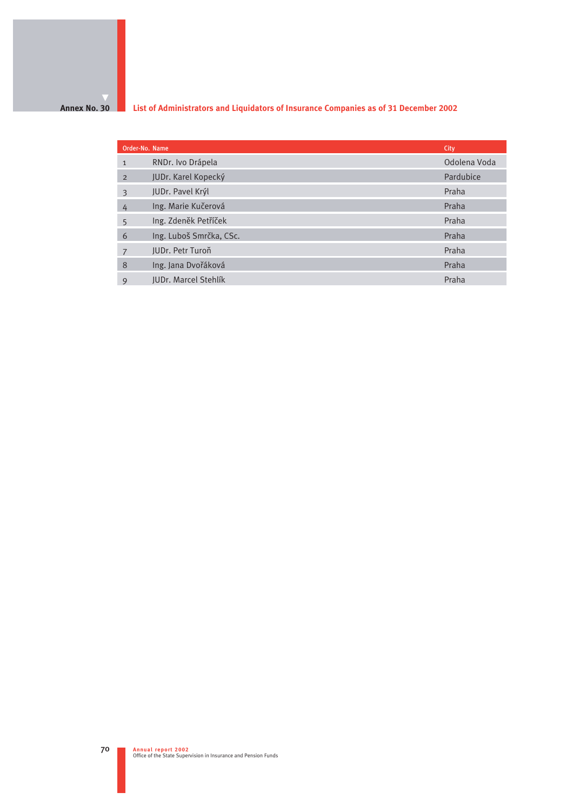## **Annex No. 30**

**List of Administrators and Liquidators of Insurance Companies as of 31 December 2002** 

| Order-No. Name |                         | City         |
|----------------|-------------------------|--------------|
| $\mathbf{1}$   | RNDr. Ivo Drápela       | Odolena Voda |
| $\overline{2}$ | JUDr. Karel Kopecký     | Pardubice    |
| 3              | JUDr. Pavel Krýl        | Praha        |
| 4              | Ing. Marie Kučerová     | Praha        |
| 5              | Ing. Zdeněk Petříček    | Praha        |
| 6              | Ing. Luboš Smrčka, CSc. | Praha        |
| 7              | JUDr. Petr Turoň        | Praha        |
| 8              | Ing. Jana Dvořáková     | Praha        |
| 9              | JUDr. Marcel Stehlík    | Praha        |